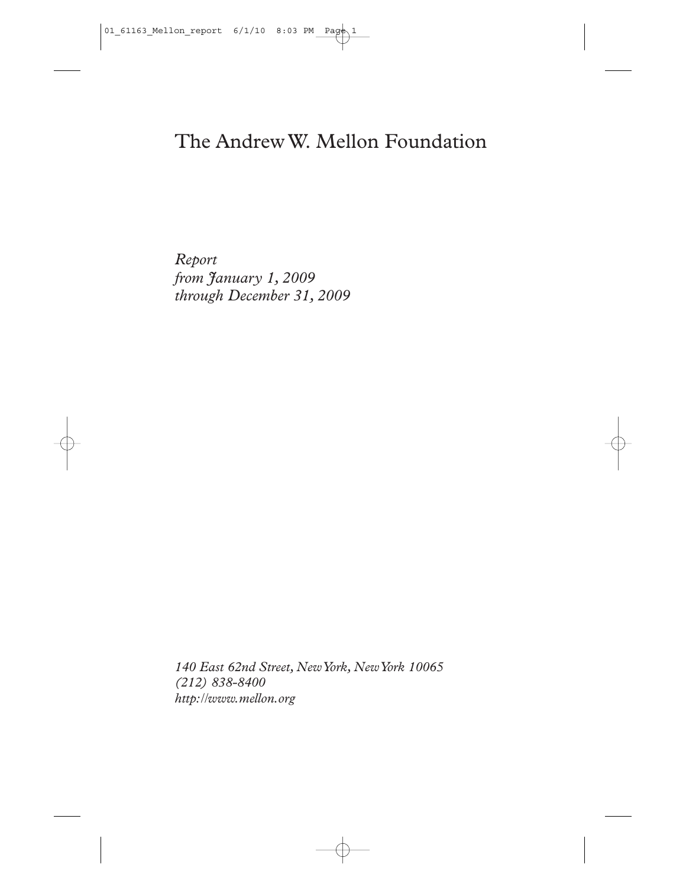# The Andrew W. Mellon Foundation

*Report from January 1, 2009 through December 31, 2009*

*140 East 62nd Street, New York, New York 10065 (212) 838-8400 http://www.mellon.org*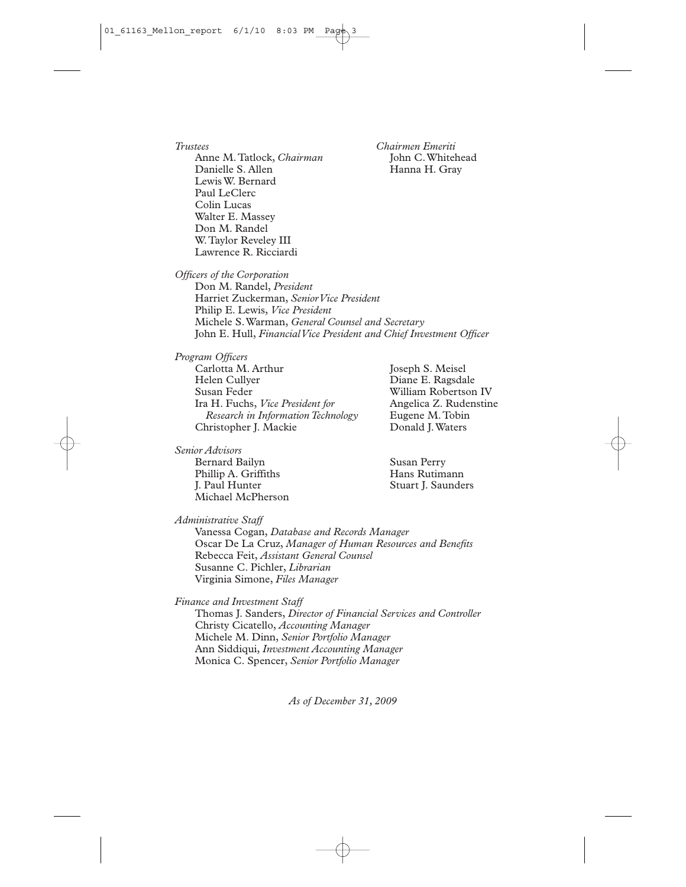*Trustees Chairmen Emeriti* Anne M. Tatlock, *Chairman*<br>Danielle S. Allen Lewis W. Bernard Paul LeClerc Colin Lucas Walter E. Massey Don M. Randel W.Taylor Reveley III Lawrence R. Ricciardi

Hanna H. Gray

*Officers of the Corporation*

Don M. Randel, *President* Harriet Zuckerman, *Senior Vice President* Philip E. Lewis, *Vice President* Michele S.Warman, *General Counsel and Secretary* John E. Hull, *Financial Vice President and Chief Investment Officer*

*Program Officers* Carlotta M. Arthur Joseph S. Meisel<br>Helen Cullver Diane E. Ragsda Helen Cullyer Diane E. Ragsdale Ira H. Fuchs, *Vice President for Research in Information Technology* Eugene M.Tobin Christopher J. Mackie

*Senior Advisors*

Bernard Bailyn Susan Perry<br>
Phillip A. Griffiths Susan Perry<br>
Hans Rutimann Phillip A. Griffiths<br>I. Paul Hunter Michael McPherson

William Robertson IV<br>Angelica Z. Rudenstine

Stuart J. Saunders

*Administrative Staff*

Vanessa Cogan, *Database and Records Manager* Oscar De La Cruz, *Manager of Human Resources and Benefits* Rebecca Feit, *Assistant General Counsel* Susanne C. Pichler, *Librarian* Virginia Simone, *Files Manager*

*Finance and Investment Staff*

Thomas J. Sanders, *Director of Financial Services and Controller* Christy Cicatello, *Accounting Manager* Michele M. Dinn, *Senior Portfolio Manager* Ann Siddiqui, *Investment Accounting Manager* Monica C. Spencer, *Senior Portfolio Manager*

*As of December 31, 2009*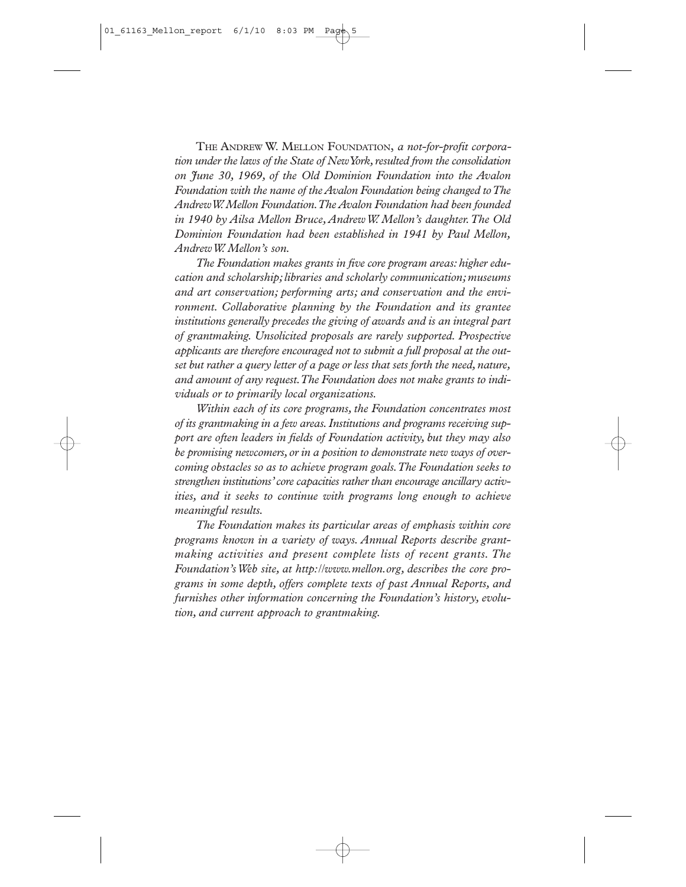THE ANDREW W. MELLON FOUNDATION, *a not-for-profit corporation under the laws of the State of New York,resulted from the consolidation on June 30, 1969, of the Old Dominion Foundation into the Avalon Foundation with the name of the Avalon Foundation being changed to The Andrew W.Mellon Foundation.The Avalon Foundation had been founded in 1940 by Ailsa Mellon Bruce, Andrew W. Mellon's daughter.The Old Dominion Foundation had been established in 1941 by Paul Mellon, Andrew W. Mellon's son.*

The Foundation makes grants in five core program areas: higher edu*cation and scholarship;libraries and scholarly communication;museums and art conservation; performing arts; and conservation and the environment. Collaborative planning by the Foundation and its grantee institutions generally precedes the giving of awards and is an integral part of grantmaking. Unsolicited proposals are rarely supported. Prospective applicants are therefore encouraged not to submit a full proposal at the out*set but rather a query letter of a page or less that sets forth the need, nature, *and amount of any request.The Foundation does not make grants to individuals or to primarily local organizations.*

*Within each of its core programs, the Foundation concentrates most of its grantmaking in a few areas.Institutions and programs receiving support are often leaders in fields of Foundation activity, but they may also be promising newcomers,or in a position to demonstrate new ways of overcoming obstacles so as to achieve program goals.The Foundation seeks to strengthen institutions'core capacities rather than encourage ancillary activities, and it seeks to continue with programs long enough to achieve meaningful results.*

*The Foundation makes its particular areas of emphasis within core programs known in a variety of ways. Annual Reports describe grantmaking activities and present complete lists of recent grants. The Foundation's Web site, at http://www.mellon.org, describes the core programs in some depth, offers complete texts of past Annual Reports, and furnishes other information concerning the Foundation's history, evolution, and current approach to grantmaking.*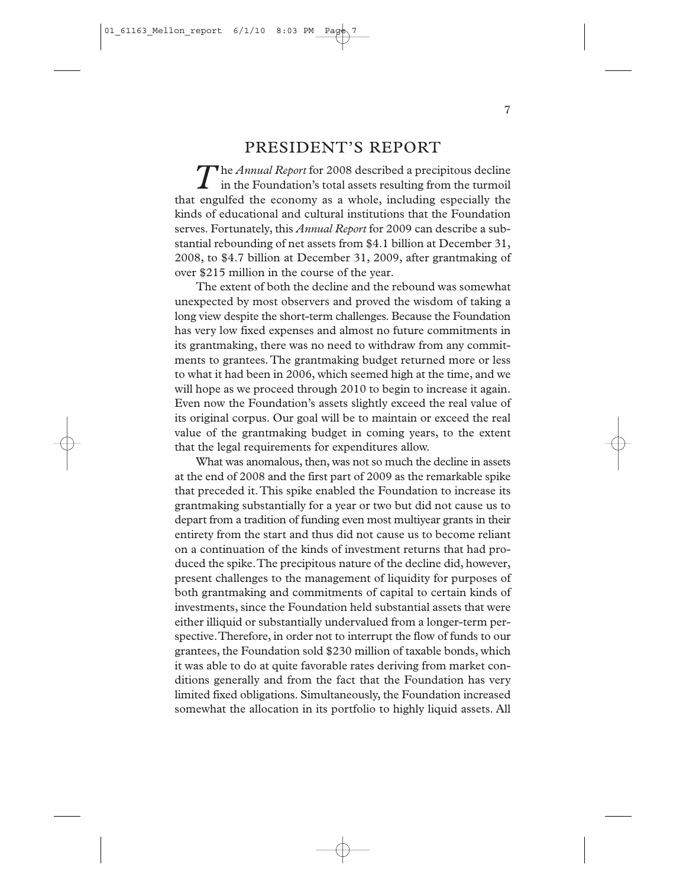### PRESIDENT'S REPORT

The *Annual Report* for 2008 described a precipitous decline in the Foundation's total assets resulting from the turmoil that engulfed the economy as a whole, including especially the kinds of educational and cultural institutions that the Foundation serves. Fortunately, this *Annual Report* for 2009 can describe a substantial rebounding of net assets from \$4.1 billion at December 31, 2008, to \$4.7 billion at December 31, 2009, after grantmaking of over \$215 million in the course of the year.

The extent of both the decline and the rebound was somewhat unexpected by most observers and proved the wisdom of taking a long view despite the short-term challenges. Because the Foundation has very low fixed expenses and almost no future commitments in its grantmaking, there was no need to withdraw from any commitments to grantees.The grantmaking budget returned more or less to what it had been in 2006, which seemed high at the time, and we will hope as we proceed through 2010 to begin to increase it again. Even now the Foundation's assets slightly exceed the real value of its original corpus. Our goal will be to maintain or exceed the real value of the grantmaking budget in coming years, to the extent that the legal requirements for expenditures allow.

What was anomalous, then, was not so much the decline in assets at the end of 2008 and the first part of 2009 as the remarkable spike that preceded it.This spike enabled the Foundation to increase its grantmaking substantially for a year or two but did not cause us to depart from a tradition of funding even most multiyear grants in their entirety from the start and thus did not cause us to become reliant on a continuation of the kinds of investment returns that had produced the spike.The precipitous nature of the decline did, however, present challenges to the management of liquidity for purposes of both grantmaking and commitments of capital to certain kinds of investments, since the Foundation held substantial assets that were either illiquid or substantially undervalued from a longer-term perspective.Therefore, in order not to interrupt the flow of funds to our grantees, the Foundation sold \$230 million of taxable bonds, which it was able to do at quite favorable rates deriving from market conditions generally and from the fact that the Foundation has very limited fixed obligations. Simultaneously, the Foundation increased somewhat the allocation in its portfolio to highly liquid assets. All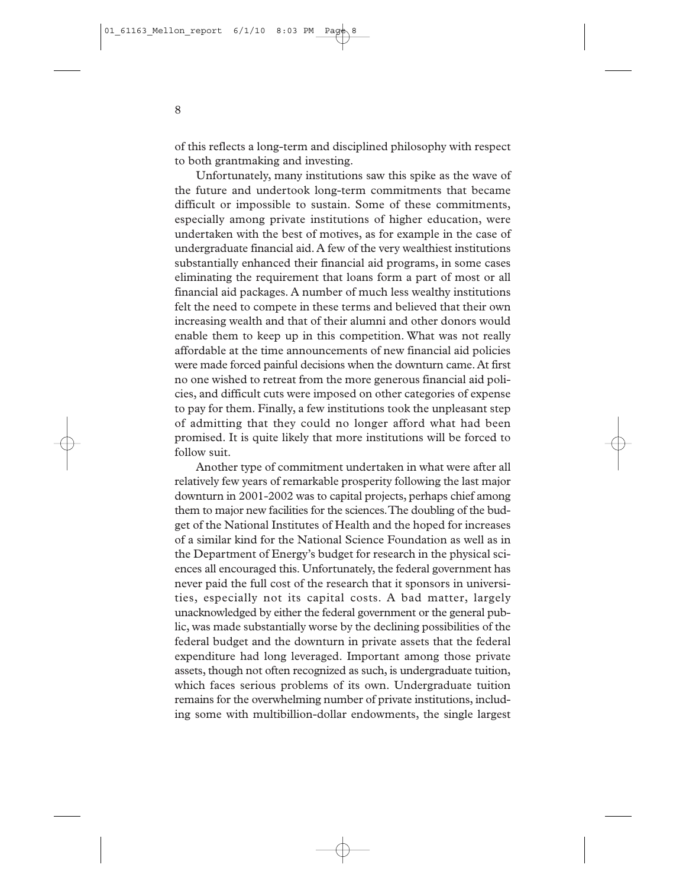of this reflects a long-term and disciplined philosophy with respect to both grantmaking and investing.

Unfortunately, many institutions saw this spike as the wave of the future and undertook long-term commitments that became difficult or impossible to sustain. Some of these commitments, especially among private institutions of higher education, were undertaken with the best of motives, as for example in the case of undergraduate financial aid. A few of the very wealthiest institutions substantially enhanced their financial aid programs, in some cases eliminating the requirement that loans form a part of most or all financial aid packages. A number of much less wealthy institutions felt the need to compete in these terms and believed that their own increasing wealth and that of their alumni and other donors would enable them to keep up in this competition. What was not really affordable at the time announcements of new financial aid policies were made forced painful decisions when the downturn came.At first no one wished to retreat from the more generous financial aid policies, and difficult cuts were imposed on other categories of expense to pay for them. Finally, a few institutions took the unpleasant step of admitting that they could no longer afford what had been promised. It is quite likely that more institutions will be forced to follow suit.

Another type of commitment undertaken in what were after all relatively few years of remarkable prosperity following the last major downturn in 2001-2002 was to capital projects, perhaps chief among them to major new facilities for the sciences.The doubling of the budget of the National Institutes of Health and the hoped for increases of a similar kind for the National Science Foundation as well as in the Department of Energy's budget for research in the physical sciences all encouraged this. Unfortunately, the federal government has never paid the full cost of the research that it sponsors in universities, especially not its capital costs. A bad matter, largely unacknowledged by either the federal government or the general public, was made substantially worse by the declining possibilities of the federal budget and the downturn in private assets that the federal expenditure had long leveraged. Important among those private assets, though not often recognized as such, is undergraduate tuition, which faces serious problems of its own. Undergraduate tuition remains for the overwhelming number of private institutions, including some with multibillion-dollar endowments, the single largest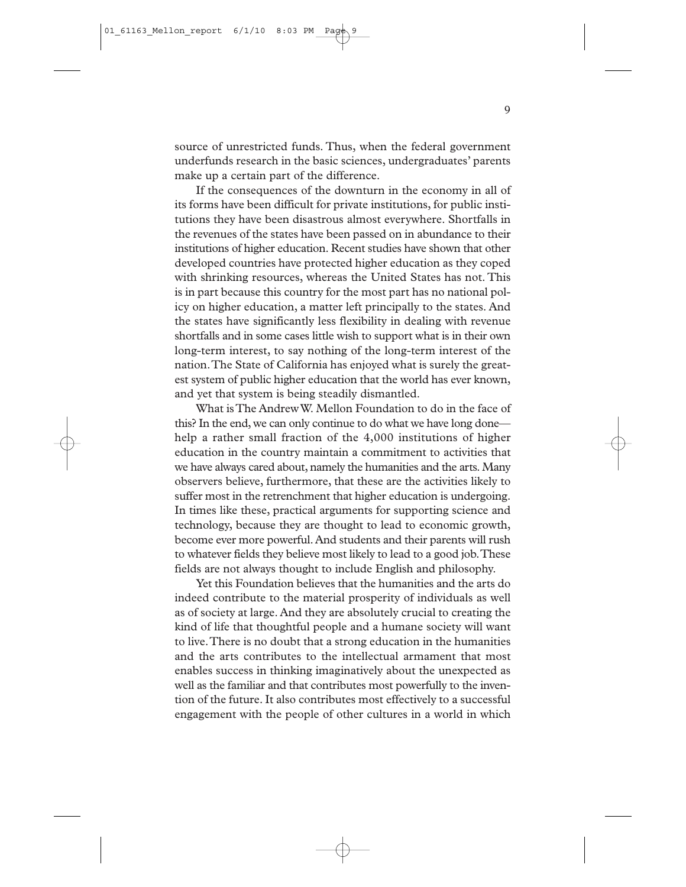source of unrestricted funds. Thus, when the federal government underfunds research in the basic sciences, undergraduates' parents make up a certain part of the difference.

If the consequences of the downturn in the economy in all of its forms have been difficult for private institutions, for public institutions they have been disastrous almost everywhere. Shortfalls in the revenues of the states have been passed on in abundance to their institutions of higher education. Recent studies have shown that other developed countries have protected higher education as they coped with shrinking resources, whereas the United States has not. This is in part because this country for the most part has no national policy on higher education, a matter left principally to the states. And the states have significantly less flexibility in dealing with revenue shortfalls and in some cases little wish to support what is in their own long-term interest, to say nothing of the long-term interest of the nation.The State of California has enjoyed what is surely the greatest system of public higher education that the world has ever known, and yet that system is being steadily dismantled.

What is The Andrew W. Mellon Foundation to do in the face of this? In the end, we can only continue to do what we have long done help a rather small fraction of the 4,000 institutions of higher education in the country maintain a commitment to activities that we have always cared about, namely the humanities and the arts. Many observers believe, furthermore, that these are the activities likely to suffer most in the retrenchment that higher education is undergoing. In times like these, practical arguments for supporting science and technology, because they are thought to lead to economic growth, become ever more powerful.And students and their parents will rush to whatever fields they believe most likely to lead to a good job.These fields are not always thought to include English and philosophy.

Yet this Foundation believes that the humanities and the arts do indeed contribute to the material prosperity of individuals as well as of society at large. And they are absolutely crucial to creating the kind of life that thoughtful people and a humane society will want to live.There is no doubt that a strong education in the humanities and the arts contributes to the intellectual armament that most enables success in thinking imaginatively about the unexpected as well as the familiar and that contributes most powerfully to the invention of the future. It also contributes most effectively to a successful engagement with the people of other cultures in a world in which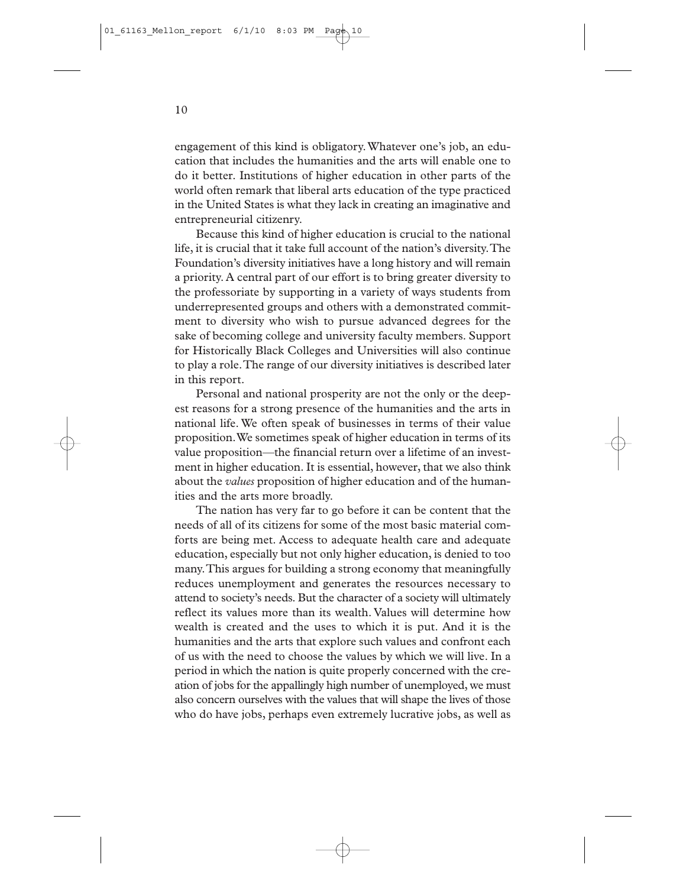engagement of this kind is obligatory.Whatever one's job, an education that includes the humanities and the arts will enable one to do it better. Institutions of higher education in other parts of the world often remark that liberal arts education of the type practiced in the United States is what they lack in creating an imaginative and entrepreneurial citizenry.

Because this kind of higher education is crucial to the national life, it is crucial that it take full account of the nation's diversity.The Foundation's diversity initiatives have a long history and will remain a priority. A central part of our effort is to bring greater diversity to the professoriate by supporting in a variety of ways students from underrepresented groups and others with a demonstrated commitment to diversity who wish to pursue advanced degrees for the sake of becoming college and university faculty members. Support for Historically Black Colleges and Universities will also continue to play a role.The range of our diversity initiatives is described later in this report.

Personal and national prosperity are not the only or the deepest reasons for a strong presence of the humanities and the arts in national life. We often speak of businesses in terms of their value proposition.We sometimes speak of higher education in terms of its value proposition—the financial return over a lifetime of an investment in higher education. It is essential, however, that we also think about the *values* proposition of higher education and of the humanities and the arts more broadly.

The nation has very far to go before it can be content that the needs of all of its citizens for some of the most basic material comforts are being met. Access to adequate health care and adequate education, especially but not only higher education, is denied to too many.This argues for building a strong economy that meaningfully reduces unemployment and generates the resources necessary to attend to society's needs. But the character of a society will ultimately reflect its values more than its wealth. Values will determine how wealth is created and the uses to which it is put. And it is the humanities and the arts that explore such values and confront each of us with the need to choose the values by which we will live. In a period in which the nation is quite properly concerned with the creation of jobs for the appallingly high number of unemployed, we must also concern ourselves with the values that will shape the lives of those who do have jobs, perhaps even extremely lucrative jobs, as well as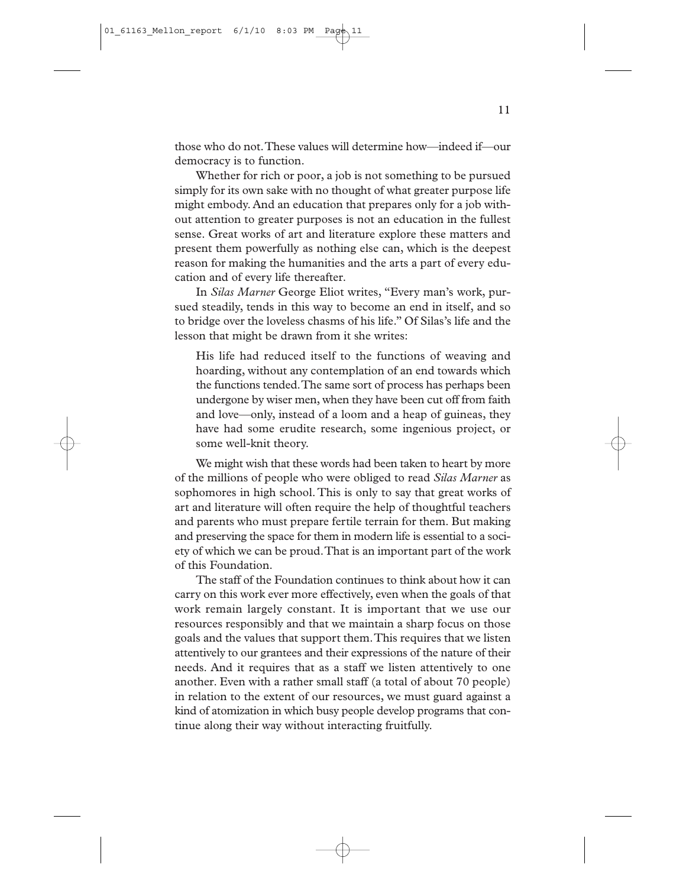those who do not.These values will determine how—indeed if—our democracy is to function.

Whether for rich or poor, a job is not something to be pursued simply for its own sake with no thought of what greater purpose life might embody. And an education that prepares only for a job without attention to greater purposes is not an education in the fullest sense. Great works of art and literature explore these matters and present them powerfully as nothing else can, which is the deepest reason for making the humanities and the arts a part of every education and of every life thereafter.

In *Silas Marner* George Eliot writes, "Every man's work, pursued steadily, tends in this way to become an end in itself, and so to bridge over the loveless chasms of his life." Of Silas's life and the lesson that might be drawn from it she writes:

His life had reduced itself to the functions of weaving and hoarding, without any contemplation of an end towards which the functions tended.The same sort of process has perhaps been undergone by wiser men, when they have been cut off from faith and love—only, instead of a loom and a heap of guineas, they have had some erudite research, some ingenious project, or some well-knit theory.

We might wish that these words had been taken to heart by more of the millions of people who were obliged to read *Silas Marner* as sophomores in high school. This is only to say that great works of art and literature will often require the help of thoughtful teachers and parents who must prepare fertile terrain for them. But making and preserving the space for them in modern life is essential to a society of which we can be proud.That is an important part of the work of this Foundation.

The staff of the Foundation continues to think about how it can carry on this work ever more effectively, even when the goals of that work remain largely constant. It is important that we use our resources responsibly and that we maintain a sharp focus on those goals and the values that support them.This requires that we listen attentively to our grantees and their expressions of the nature of their needs. And it requires that as a staff we listen attentively to one another. Even with a rather small staff (a total of about 70 people) in relation to the extent of our resources, we must guard against a kind of atomization in which busy people develop programs that continue along their way without interacting fruitfully.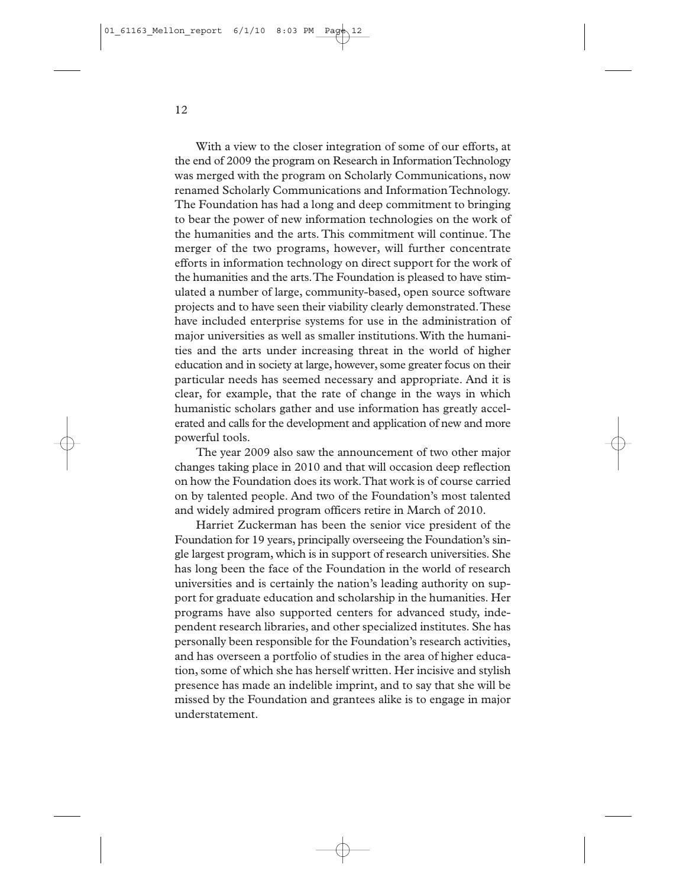With a view to the closer integration of some of our efforts, at the end of 2009 the program on Research in Information Technology was merged with the program on Scholarly Communications, now renamed Scholarly Communications and Information Technology. The Foundation has had a long and deep commitment to bringing to bear the power of new information technologies on the work of the humanities and the arts. This commitment will continue. The merger of the two programs, however, will further concentrate efforts in information technology on direct support for the work of the humanities and the arts.The Foundation is pleased to have stimulated a number of large, community-based, open source software projects and to have seen their viability clearly demonstrated.These have included enterprise systems for use in the administration of major universities as well as smaller institutions.With the humanities and the arts under increasing threat in the world of higher education and in society at large, however, some greater focus on their particular needs has seemed necessary and appropriate. And it is clear, for example, that the rate of change in the ways in which humanistic scholars gather and use information has greatly accelerated and calls for the development and application of new and more powerful tools.

The year 2009 also saw the announcement of two other major changes taking place in 2010 and that will occasion deep reflection on how the Foundation does its work.That work is of course carried on by talented people. And two of the Foundation's most talented and widely admired program officers retire in March of 2010.

Harriet Zuckerman has been the senior vice president of the Foundation for 19 years, principally overseeing the Foundation's single largest program, which is in support of research universities. She has long been the face of the Foundation in the world of research universities and is certainly the nation's leading authority on support for graduate education and scholarship in the humanities. Her programs have also supported centers for advanced study, independent research libraries, and other specialized institutes. She has personally been responsible for the Foundation's research activities, and has overseen a portfolio of studies in the area of higher education, some of which she has herself written. Her incisive and stylish presence has made an indelible imprint, and to say that she will be missed by the Foundation and grantees alike is to engage in major understatement.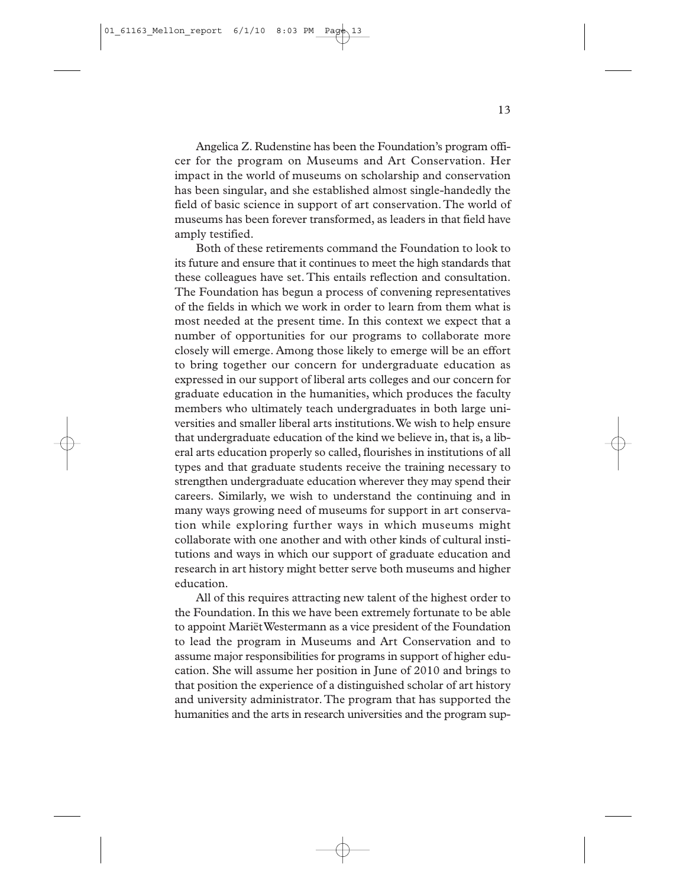Angelica Z. Rudenstine has been the Foundation's program officer for the program on Museums and Art Conservation. Her impact in the world of museums on scholarship and conservation has been singular, and she established almost single-handedly the field of basic science in support of art conservation.The world of museums has been forever transformed, as leaders in that field have amply testified.

Both of these retirements command the Foundation to look to its future and ensure that it continues to meet the high standards that these colleagues have set. This entails reflection and consultation. The Foundation has begun a process of convening representatives of the fields in which we work in order to learn from them what is most needed at the present time. In this context we expect that a number of opportunities for our programs to collaborate more closely will emerge. Among those likely to emerge will be an effort to bring together our concern for undergraduate education as expressed in our support of liberal arts colleges and our concern for graduate education in the humanities, which produces the faculty members who ultimately teach undergraduates in both large universities and smaller liberal arts institutions.We wish to help ensure that undergraduate education of the kind we believe in, that is, a liberal arts education properly so called, flourishes in institutions of all types and that graduate students receive the training necessary to strengthen undergraduate education wherever they may spend their careers. Similarly, we wish to understand the continuing and in many ways growing need of museums for support in art conservation while exploring further ways in which museums might collaborate with one another and with other kinds of cultural institutions and ways in which our support of graduate education and research in art history might better serve both museums and higher education.

All of this requires attracting new talent of the highest order to the Foundation. In this we have been extremely fortunate to be able to appoint Mariët Westermann as a vice president of the Foundation to lead the program in Museums and Art Conservation and to assume major responsibilities for programs in support of higher education. She will assume her position in June of 2010 and brings to that position the experience of a distinguished scholar of art history and university administrator.The program that has supported the humanities and the arts in research universities and the program sup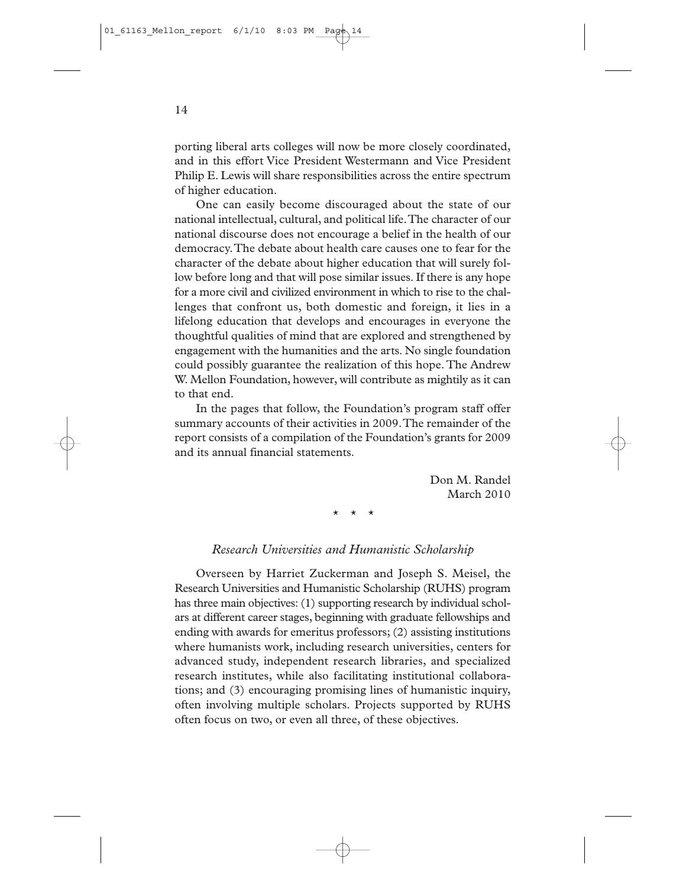porting liberal arts colleges will now be more closely coordinated, and in this effort Vice President Westermann and Vice President Philip E. Lewis will share responsibilities across the entire spectrum of higher education.

One can easily become discouraged about the state of our national intellectual, cultural, and political life.The character of our national discourse does not encourage a belief in the health of our democracy.The debate about health care causes one to fear for the character of the debate about higher education that will surely follow before long and that will pose similar issues. If there is any hope for a more civil and civilized environment in which to rise to the challenges that confront us, both domestic and foreign, it lies in a lifelong education that develops and encourages in everyone the thoughtful qualities of mind that are explored and strengthened by engagement with the humanities and the arts. No single foundation could possibly guarantee the realization of this hope. The Andrew W. Mellon Foundation, however, will contribute as mightily as it can to that end.

In the pages that follow, the Foundation's program staff offer summary accounts of their activities in 2009.The remainder of the report consists of a compilation of the Foundation's grants for 2009 and its annual financial statements.

> Don M. Randel March 2010

\* \* \*

#### *Research Universities and Humanistic Scholarship*

Overseen by Harriet Zuckerman and Joseph S. Meisel, the Research Universities and Humanistic Scholarship (RUHS) program has three main objectives: (1) supporting research by individual scholars at different career stages, beginning with graduate fellowships and ending with awards for emeritus professors; (2) assisting institutions where humanists work, including research universities, centers for advanced study, independent research libraries, and specialized research institutes, while also facilitating institutional collaborations; and (3) encouraging promising lines of humanistic inquiry, often involving multiple scholars. Projects supported by RUHS often focus on two, or even all three, of these objectives.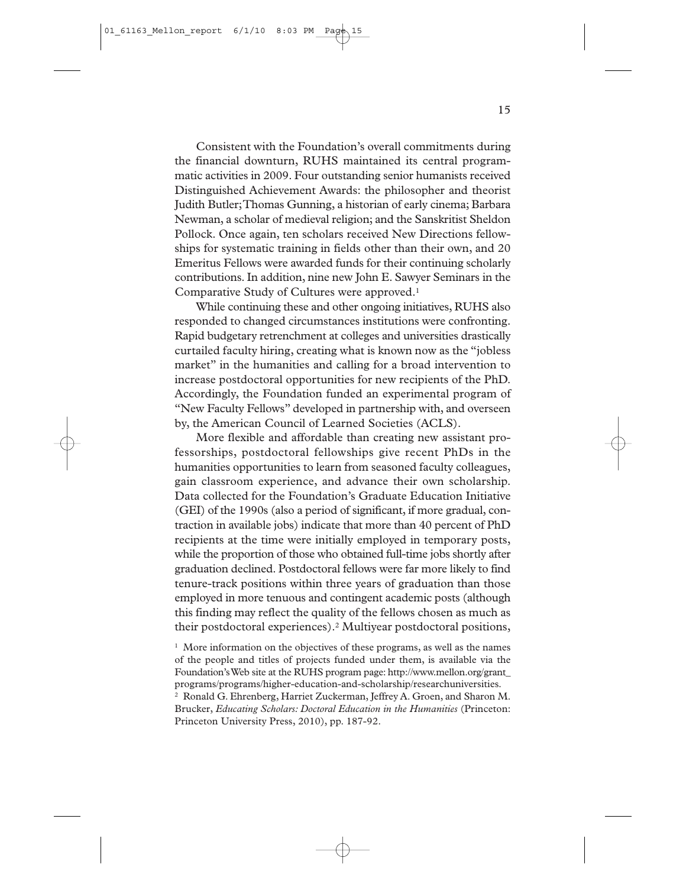Consistent with the Foundation's overall commitments during the financial downturn, RUHS maintained its central programmatic activities in 2009. Four outstanding senior humanists received Distinguished Achievement Awards: the philosopher and theorist Judith Butler;Thomas Gunning, a historian of early cinema; Barbara Newman, a scholar of medieval religion; and the Sanskritist Sheldon Pollock. Once again, ten scholars received New Directions fellowships for systematic training in fields other than their own, and 20 Emeritus Fellows were awarded funds for their continuing scholarly contributions. In addition, nine new John E. Sawyer Seminars in the Comparative Study of Cultures were approved.1

While continuing these and other ongoing initiatives, RUHS also responded to changed circumstances institutions were confronting. Rapid budgetary retrenchment at colleges and universities drastically curtailed faculty hiring, creating what is known now as the "jobless market" in the humanities and calling for a broad intervention to increase postdoctoral opportunities for new recipients of the PhD. Accordingly, the Foundation funded an experimental program of "New Faculty Fellows" developed in partnership with, and overseen by, the American Council of Learned Societies (ACLS).

More flexible and affordable than creating new assistant professorships, postdoctoral fellowships give recent PhDs in the humanities opportunities to learn from seasoned faculty colleagues, gain classroom experience, and advance their own scholarship. Data collected for the Foundation's Graduate Education Initiative (GEI) of the 1990s (also a period of significant, if more gradual, contraction in available jobs) indicate that more than 40 percent of PhD recipients at the time were initially employed in temporary posts, while the proportion of those who obtained full-time jobs shortly after graduation declined. Postdoctoral fellows were far more likely to find tenure-track positions within three years of graduation than those employed in more tenuous and contingent academic posts (although this finding may reflect the quality of the fellows chosen as much as their postdoctoral experiences).2 Multiyear postdoctoral positions,

 $<sup>1</sup>$  More information on the objectives of these programs, as well as the names</sup> of the people and titles of projects funded under them, is available via the Foundation's Web site at the RUHS program page: http://www.mellon.org/grant\_ programs/programs/higher-education-and-scholarship/researchuniversities.

<sup>2</sup> Ronald G. Ehrenberg, Harriet Zuckerman, Jeffrey A. Groen, and Sharon M. Brucker, *Educating Scholars: Doctoral Education in the Humanities* (Princeton: Princeton University Press, 2010), pp. 187-92.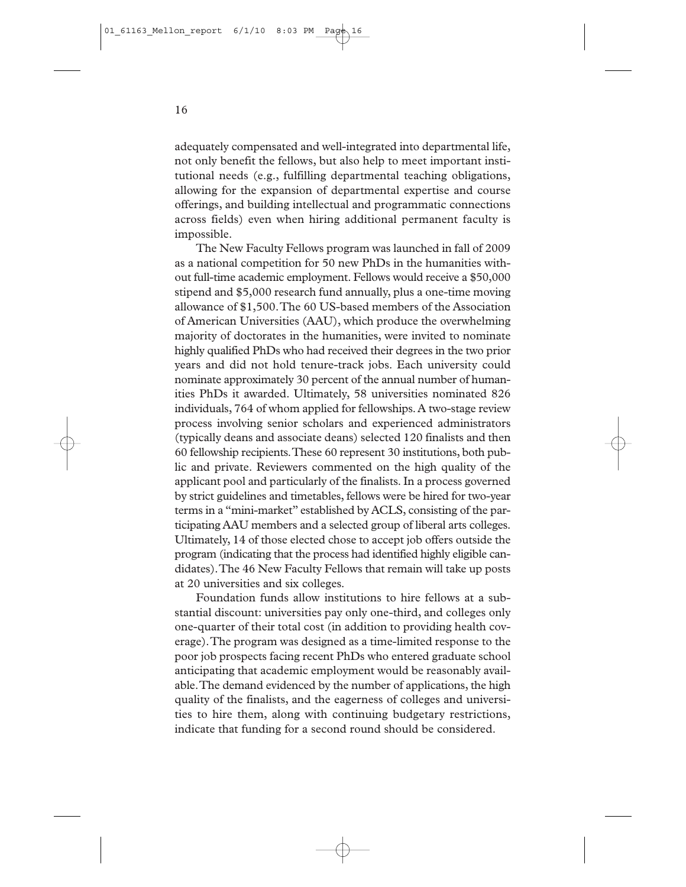adequately compensated and well-integrated into departmental life, not only benefit the fellows, but also help to meet important institutional needs (e.g., fulfilling departmental teaching obligations, allowing for the expansion of departmental expertise and course offerings, and building intellectual and programmatic connections across fields) even when hiring additional permanent faculty is impossible.

The New Faculty Fellows program was launched in fall of 2009 as a national competition for 50 new PhDs in the humanities without full-time academic employment. Fellows would receive a \$50,000 stipend and \$5,000 research fund annually, plus a one-time moving allowance of \$1,500.The 60 US-based members of the Association of American Universities (AAU), which produce the overwhelming majority of doctorates in the humanities, were invited to nominate highly qualified PhDs who had received their degrees in the two prior years and did not hold tenure-track jobs. Each university could nominate approximately 30 percent of the annual number of humanities PhDs it awarded. Ultimately, 58 universities nominated 826 individuals, 764 of whom applied for fellowships. A two-stage review process involving senior scholars and experienced administrators (typically deans and associate deans) selected 120 finalists and then 60 fellowship recipients.These 60 represent 30 institutions, both public and private. Reviewers commented on the high quality of the applicant pool and particularly of the finalists. In a process governed by strict guidelines and timetables, fellows were be hired for two-year terms in a "mini-market" established by ACLS, consisting of the participating AAU members and a selected group of liberal arts colleges. Ultimately, 14 of those elected chose to accept job offers outside the program (indicating that the process had identified highly eligible candidates).The 46 New Faculty Fellows that remain will take up posts at 20 universities and six colleges.

Foundation funds allow institutions to hire fellows at a substantial discount: universities pay only one-third, and colleges only one-quarter of their total cost (in addition to providing health coverage).The program was designed as a time-limited response to the poor job prospects facing recent PhDs who entered graduate school anticipating that academic employment would be reasonably available.The demand evidenced by the number of applications, the high quality of the finalists, and the eagerness of colleges and universities to hire them, along with continuing budgetary restrictions, indicate that funding for a second round should be considered.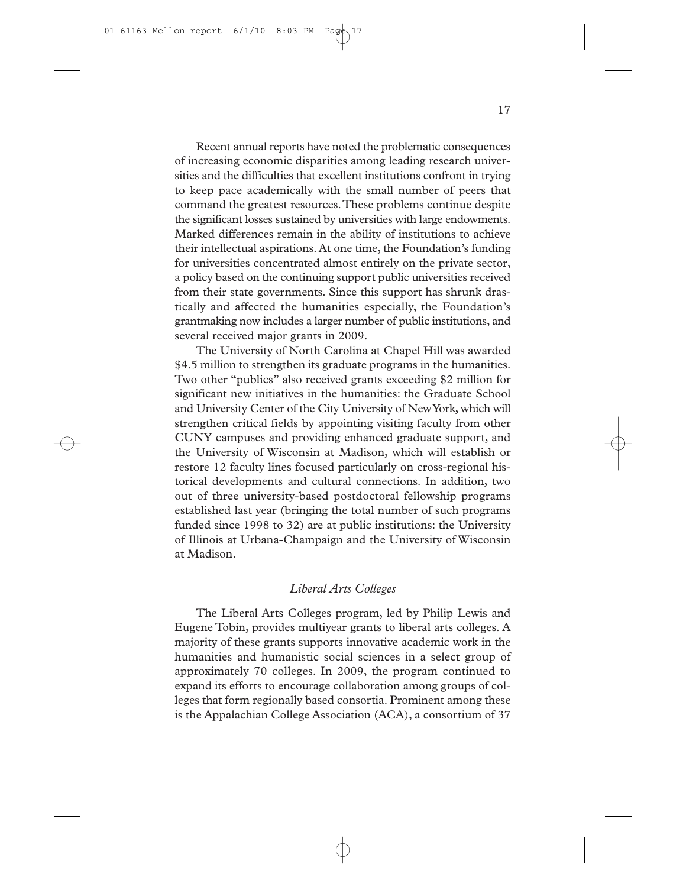Recent annual reports have noted the problematic consequences of increasing economic disparities among leading research universities and the difficulties that excellent institutions confront in trying to keep pace academically with the small number of peers that command the greatest resources.These problems continue despite the significant losses sustained by universities with large endowments. Marked differences remain in the ability of institutions to achieve their intellectual aspirations. At one time, the Foundation's funding for universities concentrated almost entirely on the private sector, a policy based on the continuing support public universities received from their state governments. Since this support has shrunk drastically and affected the humanities especially, the Foundation's grantmaking now includes a larger number of public institutions, and several received major grants in 2009.

The University of North Carolina at Chapel Hill was awarded \$4.5 million to strengthen its graduate programs in the humanities. Two other "publics" also received grants exceeding \$2 million for significant new initiatives in the humanities: the Graduate School and University Center of the City University of New York, which will strengthen critical fields by appointing visiting faculty from other CUNY campuses and providing enhanced graduate support, and the University of Wisconsin at Madison, which will establish or restore 12 faculty lines focused particularly on cross-regional historical developments and cultural connections. In addition, two out of three university-based postdoctoral fellowship programs established last year (bringing the total number of such programs funded since 1998 to 32) are at public institutions: the University of Illinois at Urbana-Champaign and the University of Wisconsin at Madison.

#### *Liberal Arts Colleges*

The Liberal Arts Colleges program, led by Philip Lewis and Eugene Tobin, provides multiyear grants to liberal arts colleges. A majority of these grants supports innovative academic work in the humanities and humanistic social sciences in a select group of approximately 70 colleges. In 2009, the program continued to expand its efforts to encourage collaboration among groups of colleges that form regionally based consortia. Prominent among these is the Appalachian College Association (ACA), a consortium of 37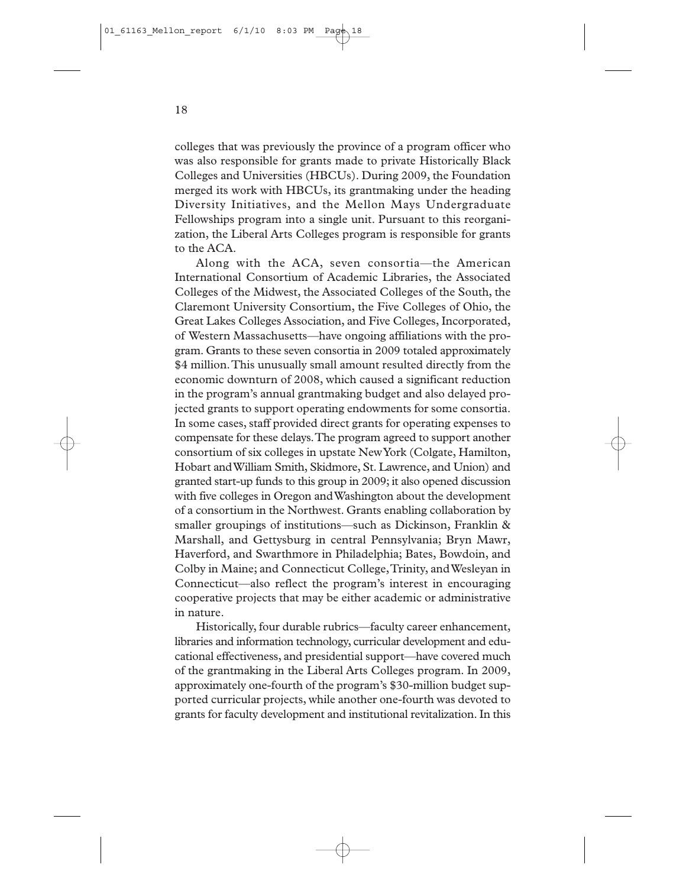colleges that was previously the province of a program officer who was also responsible for grants made to private Historically Black Colleges and Universities (HBCUs). During 2009, the Foundation merged its work with HBCUs, its grantmaking under the heading Diversity Initiatives, and the Mellon Mays Undergraduate Fellowships program into a single unit. Pursuant to this reorganization, the Liberal Arts Colleges program is responsible for grants to the ACA.

Along with the ACA, seven consortia—the American International Consortium of Academic Libraries, the Associated Colleges of the Midwest, the Associated Colleges of the South, the Claremont University Consortium, the Five Colleges of Ohio, the Great Lakes Colleges Association, and Five Colleges, Incorporated, of Western Massachusetts—have ongoing affiliations with the program. Grants to these seven consortia in 2009 totaled approximately \$4 million.This unusually small amount resulted directly from the economic downturn of 2008, which caused a significant reduction in the program's annual grantmaking budget and also delayed projected grants to support operating endowments for some consortia. In some cases, staff provided direct grants for operating expenses to compensate for these delays.The program agreed to support another consortium of six colleges in upstate New York (Colgate, Hamilton, Hobart and William Smith, Skidmore, St. Lawrence, and Union) and granted start-up funds to this group in 2009; it also opened discussion with five colleges in Oregon and Washington about the development of a consortium in the Northwest. Grants enabling collaboration by smaller groupings of institutions—such as Dickinson, Franklin & Marshall, and Gettysburg in central Pennsylvania; Bryn Mawr, Haverford, and Swarthmore in Philadelphia; Bates, Bowdoin, and Colby in Maine; and Connecticut College,Trinity, and Wesleyan in Connecticut—also reflect the program's interest in encouraging cooperative projects that may be either academic or administrative in nature.

Historically, four durable rubrics—faculty career enhancement, libraries and information technology, curricular development and educational effectiveness, and presidential support—have covered much of the grantmaking in the Liberal Arts Colleges program. In 2009, approximately one-fourth of the program's \$30-million budget supported curricular projects, while another one-fourth was devoted to grants for faculty development and institutional revitalization. In this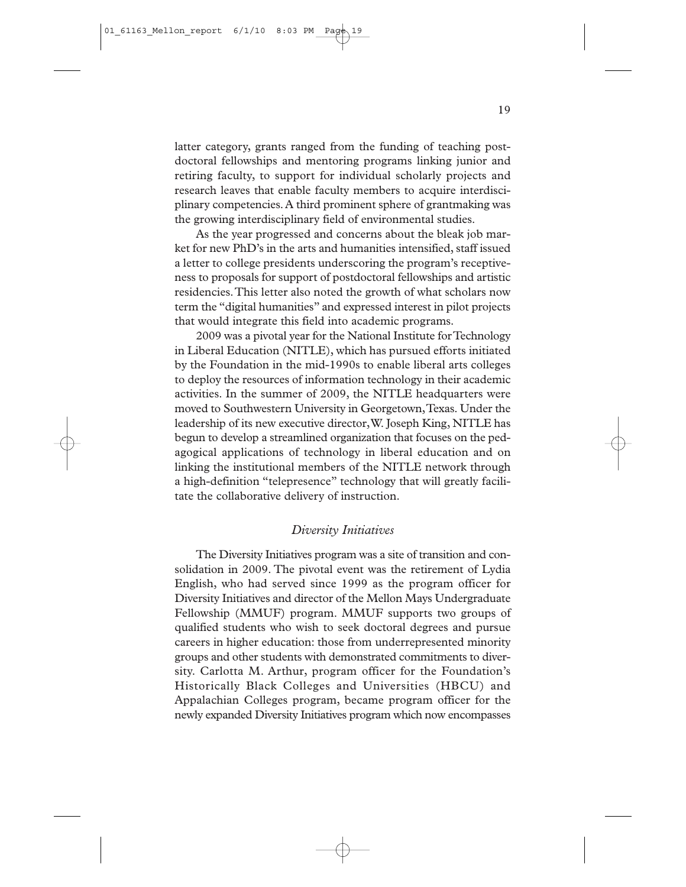latter category, grants ranged from the funding of teaching postdoctoral fellowships and mentoring programs linking junior and retiring faculty, to support for individual scholarly projects and research leaves that enable faculty members to acquire interdisciplinary competencies. A third prominent sphere of grantmaking was the growing interdisciplinary field of environmental studies.

As the year progressed and concerns about the bleak job market for new PhD's in the arts and humanities intensified, staff issued a letter to college presidents underscoring the program's receptiveness to proposals for support of postdoctoral fellowships and artistic residencies.This letter also noted the growth of what scholars now term the "digital humanities" and expressed interest in pilot projects that would integrate this field into academic programs.

2009 was a pivotal year for the National Institute for Technology in Liberal Education (NITLE), which has pursued efforts initiated by the Foundation in the mid-1990s to enable liberal arts colleges to deploy the resources of information technology in their academic activities. In the summer of 2009, the NITLE headquarters were moved to Southwestern University in Georgetown,Texas. Under the leadership of its new executive director,W. Joseph King, NITLE has begun to develop a streamlined organization that focuses on the pedagogical applications of technology in liberal education and on linking the institutional members of the NITLE network through a high-definition "telepresence" technology that will greatly facilitate the collaborative delivery of instruction.

#### *Diversity Initiatives*

The Diversity Initiatives program was a site of transition and consolidation in 2009. The pivotal event was the retirement of Lydia English, who had served since 1999 as the program officer for Diversity Initiatives and director of the Mellon Mays Undergraduate Fellowship (MMUF) program. MMUF supports two groups of qualified students who wish to seek doctoral degrees and pursue careers in higher education: those from underrepresented minority groups and other students with demonstrated commitments to diversity. Carlotta M. Arthur, program officer for the Foundation's Historically Black Colleges and Universities (HBCU) and Appalachian Colleges program, became program officer for the newly expanded Diversity Initiatives program which now encompasses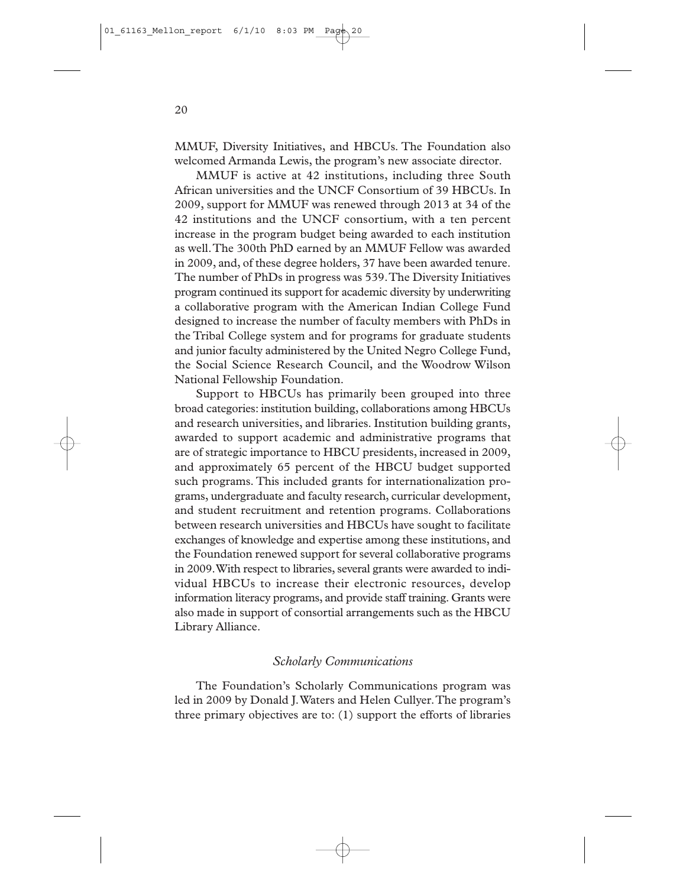MMUF, Diversity Initiatives, and HBCUs. The Foundation also welcomed Armanda Lewis, the program's new associate director.

MMUF is active at 42 institutions, including three South African universities and the UNCF Consortium of 39 HBCUs. In 2009, support for MMUF was renewed through 2013 at 34 of the 42 institutions and the UNCF consortium, with a ten percent increase in the program budget being awarded to each institution as well.The 300th PhD earned by an MMUF Fellow was awarded in 2009, and, of these degree holders, 37 have been awarded tenure. The number of PhDs in progress was 539.The Diversity Initiatives program continued its support for academic diversity by underwriting a collaborative program with the American Indian College Fund designed to increase the number of faculty members with PhDs in the Tribal College system and for programs for graduate students and junior faculty administered by the United Negro College Fund, the Social Science Research Council, and the Woodrow Wilson National Fellowship Foundation.

Support to HBCUs has primarily been grouped into three broad categories: institution building, collaborations among HBCUs and research universities, and libraries. Institution building grants, awarded to support academic and administrative programs that are of strategic importance to HBCU presidents, increased in 2009, and approximately 65 percent of the HBCU budget supported such programs. This included grants for internationalization programs, undergraduate and faculty research, curricular development, and student recruitment and retention programs. Collaborations between research universities and HBCUs have sought to facilitate exchanges of knowledge and expertise among these institutions, and the Foundation renewed support for several collaborative programs in 2009.With respect to libraries, several grants were awarded to individual HBCUs to increase their electronic resources, develop information literacy programs, and provide staff training. Grants were also made in support of consortial arrangements such as the HBCU Library Alliance.

#### *Scholarly Communications*

The Foundation's Scholarly Communications program was led in 2009 by Donald J.Waters and Helen Cullyer.The program's three primary objectives are to: (1) support the efforts of libraries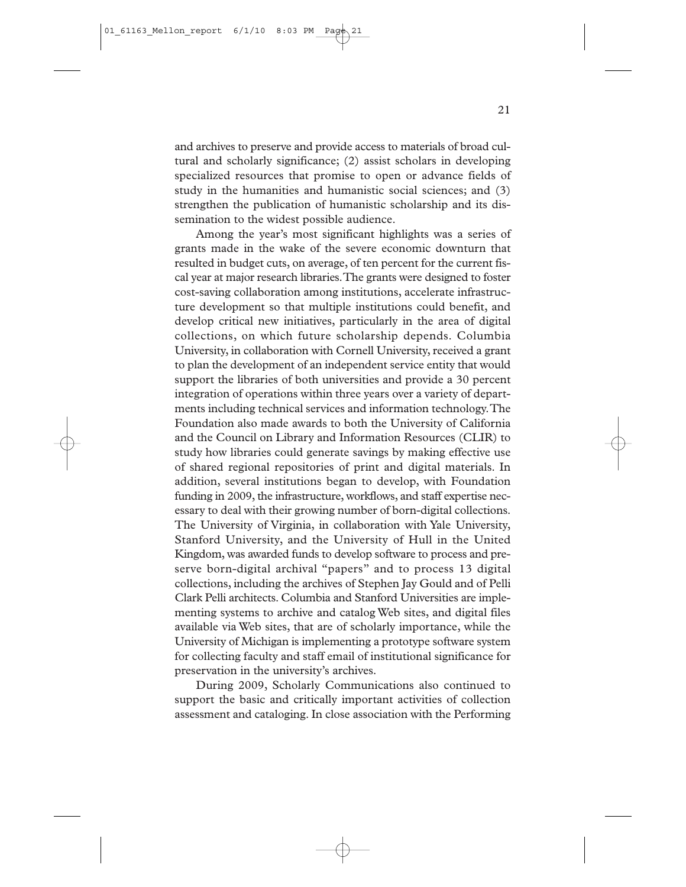and archives to preserve and provide access to materials of broad cultural and scholarly significance; (2) assist scholars in developing specialized resources that promise to open or advance fields of study in the humanities and humanistic social sciences; and (3) strengthen the publication of humanistic scholarship and its dissemination to the widest possible audience.

Among the year's most significant highlights was a series of grants made in the wake of the severe economic downturn that resulted in budget cuts, on average, of ten percent for the current fiscal year at major research libraries.The grants were designed to foster cost-saving collaboration among institutions, accelerate infrastructure development so that multiple institutions could benefit, and develop critical new initiatives, particularly in the area of digital collections, on which future scholarship depends. Columbia University, in collaboration with Cornell University, received a grant to plan the development of an independent service entity that would support the libraries of both universities and provide a 30 percent integration of operations within three years over a variety of departments including technical services and information technology.The Foundation also made awards to both the University of California and the Council on Library and Information Resources (CLIR) to study how libraries could generate savings by making effective use of shared regional repositories of print and digital materials. In addition, several institutions began to develop, with Foundation funding in 2009, the infrastructure, workflows, and staff expertise necessary to deal with their growing number of born-digital collections. The University of Virginia, in collaboration with Yale University, Stanford University, and the University of Hull in the United Kingdom, was awarded funds to develop software to process and preserve born-digital archival "papers" and to process 13 digital collections, including the archives of Stephen Jay Gould and of Pelli Clark Pelli architects. Columbia and Stanford Universities are implementing systems to archive and catalog Web sites, and digital files available via Web sites, that are of scholarly importance, while the University of Michigan is implementing a prototype software system for collecting faculty and staff email of institutional significance for preservation in the university's archives.

During 2009, Scholarly Communications also continued to support the basic and critically important activities of collection assessment and cataloging. In close association with the Performing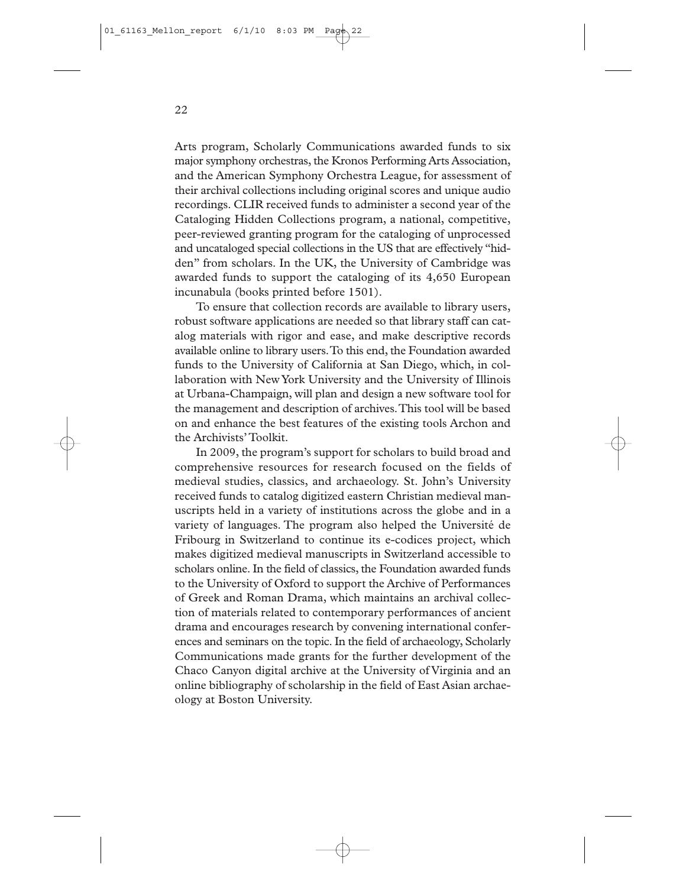Arts program, Scholarly Communications awarded funds to six major symphony orchestras, the Kronos Performing Arts Association, and the American Symphony Orchestra League, for assessment of their archival collections including original scores and unique audio recordings. CLIR received funds to administer a second year of the Cataloging Hidden Collections program, a national, competitive, peer-reviewed granting program for the cataloging of unprocessed and uncataloged special collections in the US that are effectively "hidden" from scholars. In the UK, the University of Cambridge was awarded funds to support the cataloging of its 4,650 European incunabula (books printed before 1501).

To ensure that collection records are available to library users, robust software applications are needed so that library staff can catalog materials with rigor and ease, and make descriptive records available online to library users.To this end, the Foundation awarded funds to the University of California at San Diego, which, in collaboration with New York University and the University of Illinois at Urbana-Champaign, will plan and design a new software tool for the management and description of archives.This tool will be based on and enhance the best features of the existing tools Archon and the Archivists'Toolkit.

In 2009, the program's support for scholars to build broad and comprehensive resources for research focused on the fields of medieval studies, classics, and archaeology. St. John's University received funds to catalog digitized eastern Christian medieval manuscripts held in a variety of institutions across the globe and in a variety of languages. The program also helped the Université de Fribourg in Switzerland to continue its e-codices project, which makes digitized medieval manuscripts in Switzerland accessible to scholars online. In the field of classics, the Foundation awarded funds to the University of Oxford to support the Archive of Performances of Greek and Roman Drama, which maintains an archival collection of materials related to contemporary performances of ancient drama and encourages research by convening international conferences and seminars on the topic. In the field of archaeology, Scholarly Communications made grants for the further development of the Chaco Canyon digital archive at the University of Virginia and an online bibliography of scholarship in the field of East Asian archaeology at Boston University.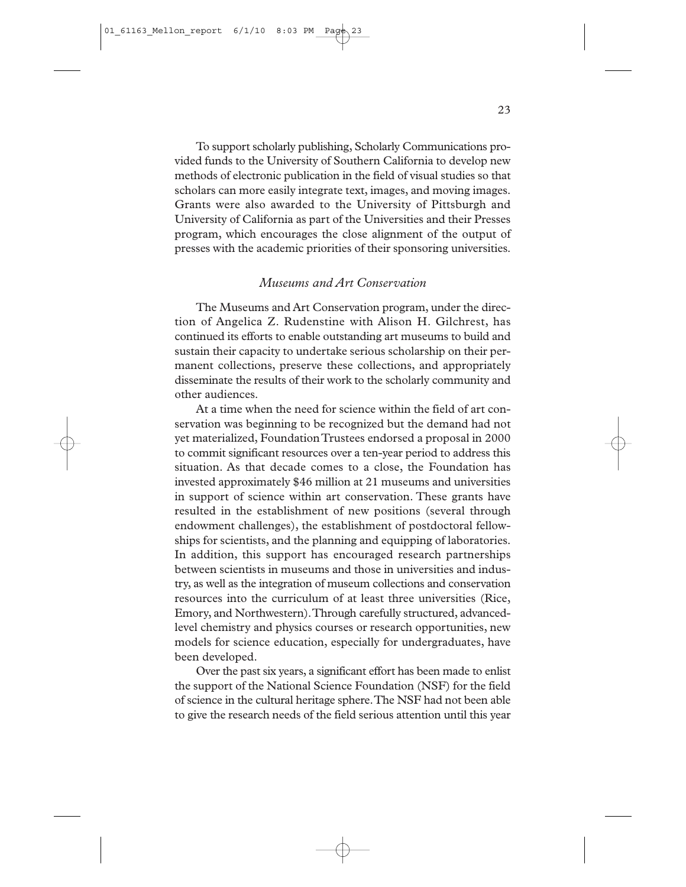To support scholarly publishing, Scholarly Communications provided funds to the University of Southern California to develop new methods of electronic publication in the field of visual studies so that scholars can more easily integrate text, images, and moving images. Grants were also awarded to the University of Pittsburgh and University of California as part of the Universities and their Presses program, which encourages the close alignment of the output of presses with the academic priorities of their sponsoring universities.

#### *Museums and Art Conservation*

The Museums and Art Conservation program, under the direction of Angelica Z. Rudenstine with Alison H. Gilchrest, has continued its efforts to enable outstanding art museums to build and sustain their capacity to undertake serious scholarship on their permanent collections, preserve these collections, and appropriately disseminate the results of their work to the scholarly community and other audiences.

At a time when the need for science within the field of art conservation was beginning to be recognized but the demand had not yet materialized, Foundation Trustees endorsed a proposal in 2000 to commit significant resources over a ten-year period to address this situation. As that decade comes to a close, the Foundation has invested approximately \$46 million at 21 museums and universities in support of science within art conservation. These grants have resulted in the establishment of new positions (several through endowment challenges), the establishment of postdoctoral fellowships for scientists, and the planning and equipping of laboratories. In addition, this support has encouraged research partnerships between scientists in museums and those in universities and industry, as well as the integration of museum collections and conservation resources into the curriculum of at least three universities (Rice, Emory, and Northwestern).Through carefully structured, advancedlevel chemistry and physics courses or research opportunities, new models for science education, especially for undergraduates, have been developed.

Over the past six years, a significant effort has been made to enlist the support of the National Science Foundation (NSF) for the field of science in the cultural heritage sphere.The NSF had not been able to give the research needs of the field serious attention until this year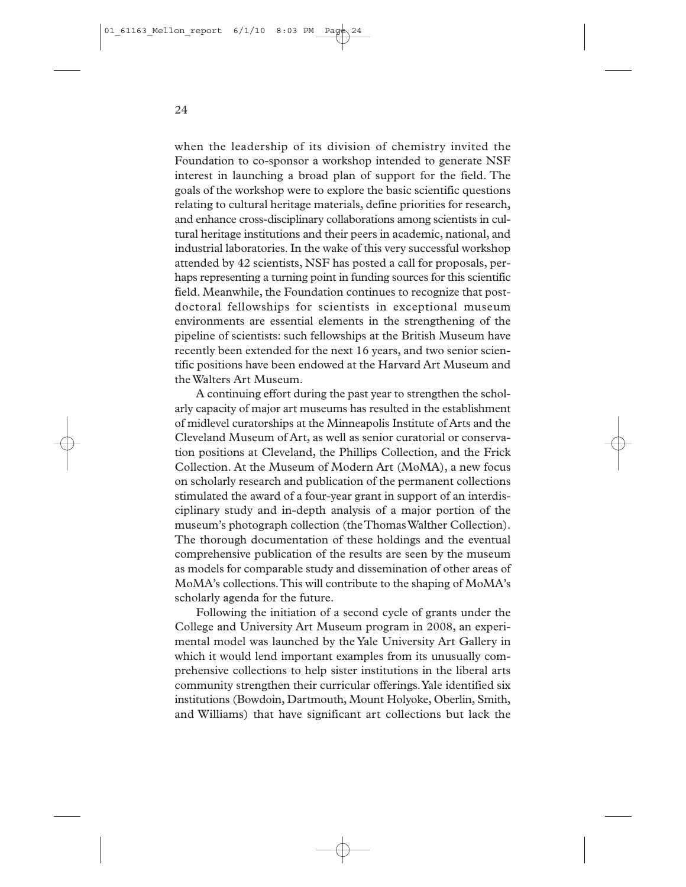when the leadership of its division of chemistry invited the Foundation to co-sponsor a workshop intended to generate NSF interest in launching a broad plan of support for the field. The goals of the workshop were to explore the basic scientific questions relating to cultural heritage materials, define priorities for research, and enhance cross-disciplinary collaborations among scientists in cultural heritage institutions and their peers in academic, national, and industrial laboratories. In the wake of this very successful workshop attended by 42 scientists, NSF has posted a call for proposals, perhaps representing a turning point in funding sources for this scientific field. Meanwhile, the Foundation continues to recognize that postdoctoral fellowships for scientists in exceptional museum environments are essential elements in the strengthening of the pipeline of scientists: such fellowships at the British Museum have recently been extended for the next 16 years, and two senior scientific positions have been endowed at the Harvard Art Museum and the Walters Art Museum.

A continuing effort during the past year to strengthen the scholarly capacity of major art museums has resulted in the establishment of midlevel curatorships at the Minneapolis Institute of Arts and the Cleveland Museum of Art, as well as senior curatorial or conservation positions at Cleveland, the Phillips Collection, and the Frick Collection. At the Museum of Modern Art (MoMA), a new focus on scholarly research and publication of the permanent collections stimulated the award of a four-year grant in support of an interdisciplinary study and in-depth analysis of a major portion of the museum's photograph collection (the Thomas Walther Collection). The thorough documentation of these holdings and the eventual comprehensive publication of the results are seen by the museum as models for comparable study and dissemination of other areas of MoMA's collections.This will contribute to the shaping of MoMA's scholarly agenda for the future.

Following the initiation of a second cycle of grants under the College and University Art Museum program in 2008, an experimental model was launched by the Yale University Art Gallery in which it would lend important examples from its unusually comprehensive collections to help sister institutions in the liberal arts community strengthen their curricular offerings.Yale identified six institutions (Bowdoin, Dartmouth, Mount Holyoke, Oberlin, Smith, and Williams) that have significant art collections but lack the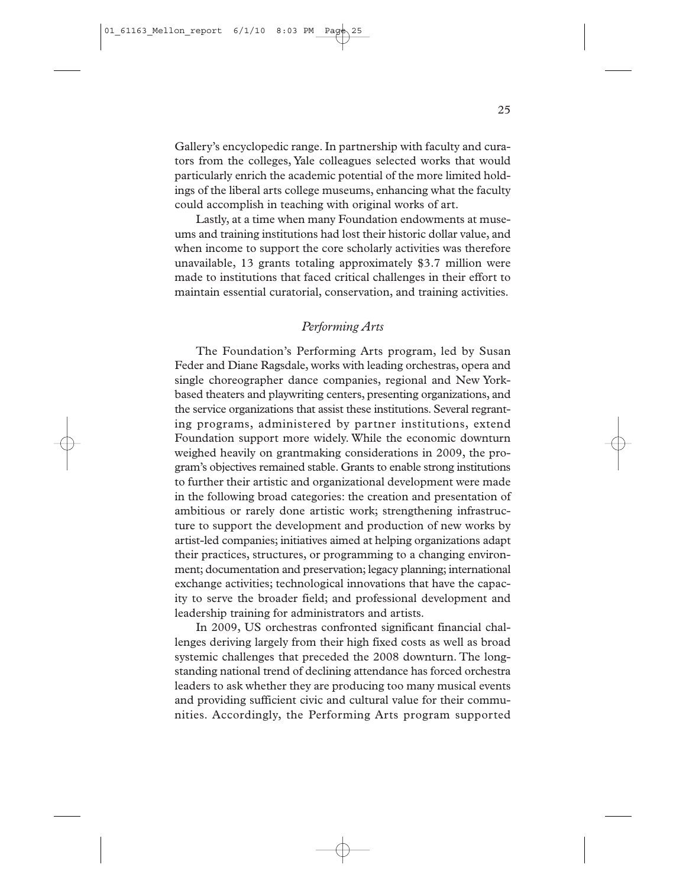Gallery's encyclopedic range. In partnership with faculty and curators from the colleges, Yale colleagues selected works that would particularly enrich the academic potential of the more limited holdings of the liberal arts college museums, enhancing what the faculty could accomplish in teaching with original works of art.

Lastly, at a time when many Foundation endowments at museums and training institutions had lost their historic dollar value, and when income to support the core scholarly activities was therefore unavailable, 13 grants totaling approximately \$3.7 million were made to institutions that faced critical challenges in their effort to maintain essential curatorial, conservation, and training activities.

#### *Performing Arts*

The Foundation's Performing Arts program, led by Susan Feder and Diane Ragsdale, works with leading orchestras, opera and single choreographer dance companies, regional and New Yorkbased theaters and playwriting centers, presenting organizations, and the service organizations that assist these institutions. Several regranting programs, administered by partner institutions, extend Foundation support more widely. While the economic downturn weighed heavily on grantmaking considerations in 2009, the program's objectives remained stable. Grants to enable strong institutions to further their artistic and organizational development were made in the following broad categories: the creation and presentation of ambitious or rarely done artistic work; strengthening infrastructure to support the development and production of new works by artist-led companies; initiatives aimed at helping organizations adapt their practices, structures, or programming to a changing environment; documentation and preservation; legacy planning; international exchange activities; technological innovations that have the capacity to serve the broader field; and professional development and leadership training for administrators and artists.

In 2009, US orchestras confronted significant financial challenges deriving largely from their high fixed costs as well as broad systemic challenges that preceded the 2008 downturn. The longstanding national trend of declining attendance has forced orchestra leaders to ask whether they are producing too many musical events and providing sufficient civic and cultural value for their communities. Accordingly, the Performing Arts program supported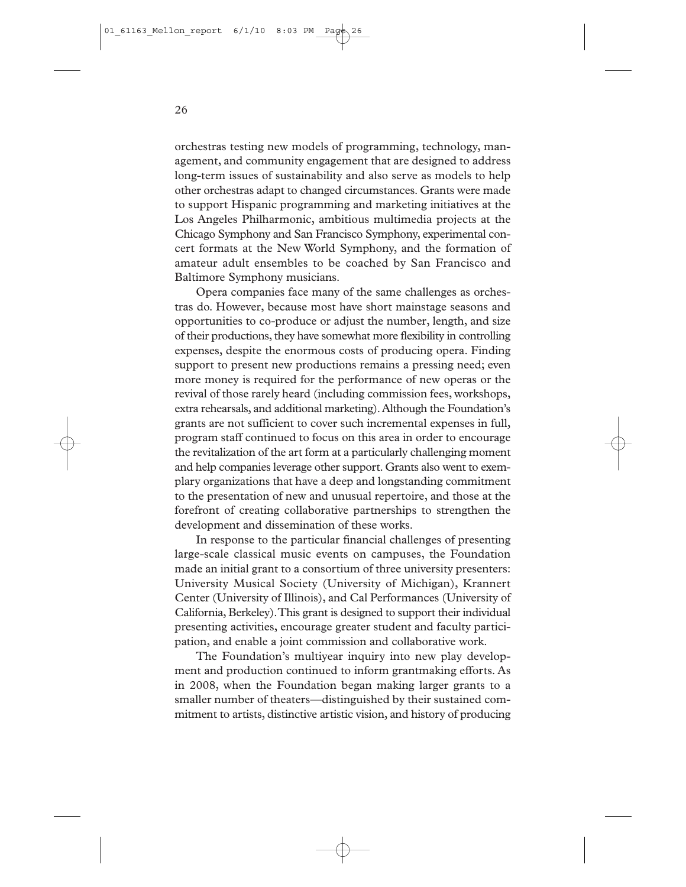orchestras testing new models of programming, technology, management, and community engagement that are designed to address long-term issues of sustainability and also serve as models to help other orchestras adapt to changed circumstances. Grants were made to support Hispanic programming and marketing initiatives at the Los Angeles Philharmonic, ambitious multimedia projects at the Chicago Symphony and San Francisco Symphony, experimental concert formats at the New World Symphony, and the formation of amateur adult ensembles to be coached by San Francisco and Baltimore Symphony musicians.

Opera companies face many of the same challenges as orchestras do. However, because most have short mainstage seasons and opportunities to co-produce or adjust the number, length, and size of their productions, they have somewhat more flexibility in controlling expenses, despite the enormous costs of producing opera. Finding support to present new productions remains a pressing need; even more money is required for the performance of new operas or the revival of those rarely heard (including commission fees, workshops, extra rehearsals, and additional marketing).Although the Foundation's grants are not sufficient to cover such incremental expenses in full, program staff continued to focus on this area in order to encourage the revitalization of the art form at a particularly challenging moment and help companies leverage other support. Grants also went to exemplary organizations that have a deep and longstanding commitment to the presentation of new and unusual repertoire, and those at the forefront of creating collaborative partnerships to strengthen the development and dissemination of these works.

In response to the particular financial challenges of presenting large-scale classical music events on campuses, the Foundation made an initial grant to a consortium of three university presenters: University Musical Society (University of Michigan), Krannert Center (University of Illinois), and Cal Performances (University of California, Berkeley).This grant is designed to support their individual presenting activities, encourage greater student and faculty participation, and enable a joint commission and collaborative work.

The Foundation's multiyear inquiry into new play development and production continued to inform grantmaking efforts. As in 2008, when the Foundation began making larger grants to a smaller number of theaters—distinguished by their sustained commitment to artists, distinctive artistic vision, and history of producing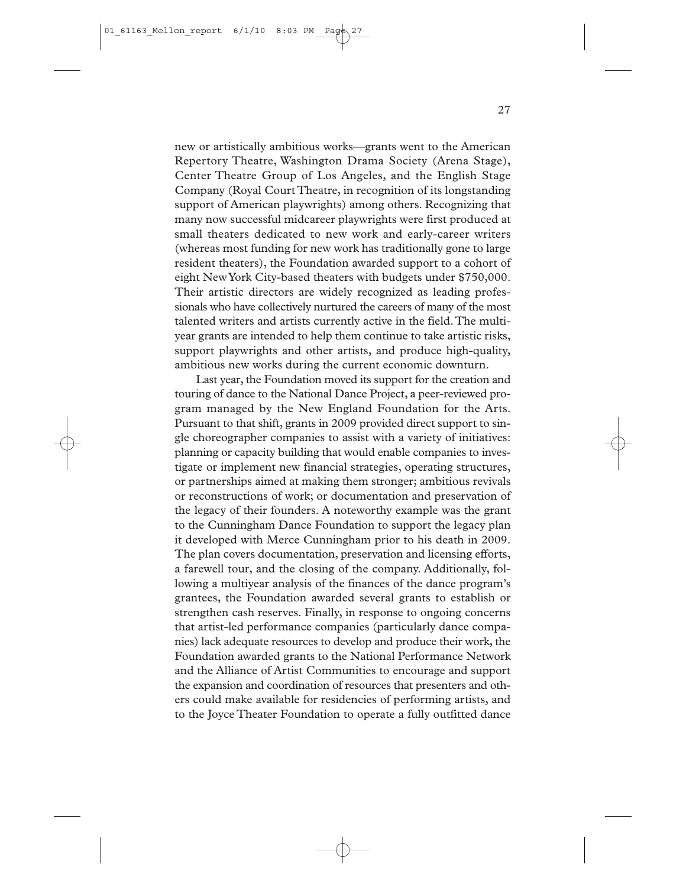new or artistically ambitious works—grants went to the American Repertory Theatre, Washington Drama Society (Arena Stage), Center Theatre Group of Los Angeles, and the English Stage Company (Royal Court Theatre, in recognition of its longstanding support of American playwrights) among others. Recognizing that many now successful midcareer playwrights were first produced at small theaters dedicated to new work and early-career writers (whereas most funding for new work has traditionally gone to large resident theaters), the Foundation awarded support to a cohort of eight New York City-based theaters with budgets under \$750,000. Their artistic directors are widely recognized as leading professionals who have collectively nurtured the careers of many of the most talented writers and artists currently active in the field.The multiyear grants are intended to help them continue to take artistic risks, support playwrights and other artists, and produce high-quality, ambitious new works during the current economic downturn.

Last year, the Foundation moved its support for the creation and touring of dance to the National Dance Project, a peer-reviewed program managed by the New England Foundation for the Arts. Pursuant to that shift, grants in 2009 provided direct support to single choreographer companies to assist with a variety of initiatives: planning or capacity building that would enable companies to investigate or implement new financial strategies, operating structures, or partnerships aimed at making them stronger; ambitious revivals or reconstructions of work; or documentation and preservation of the legacy of their founders. A noteworthy example was the grant to the Cunningham Dance Foundation to support the legacy plan it developed with Merce Cunningham prior to his death in 2009. The plan covers documentation, preservation and licensing efforts, a farewell tour, and the closing of the company. Additionally, following a multiyear analysis of the finances of the dance program's grantees, the Foundation awarded several grants to establish or strengthen cash reserves. Finally, in response to ongoing concerns that artist-led performance companies (particularly dance companies) lack adequate resources to develop and produce their work, the Foundation awarded grants to the National Performance Network and the Alliance of Artist Communities to encourage and support the expansion and coordination of resources that presenters and others could make available for residencies of performing artists, and to the Joyce Theater Foundation to operate a fully outfitted dance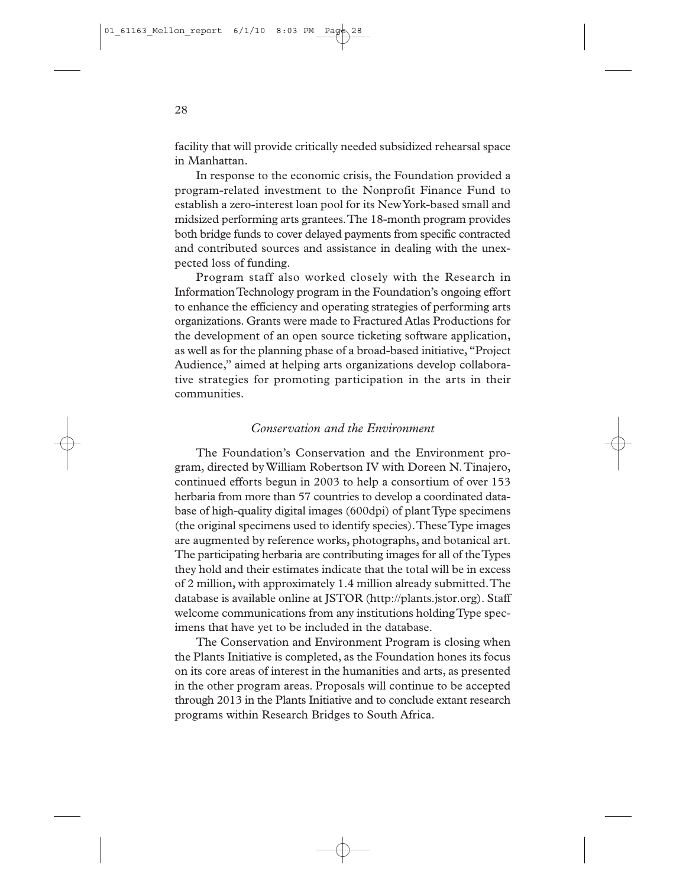facility that will provide critically needed subsidized rehearsal space in Manhattan.

In response to the economic crisis, the Foundation provided a program-related investment to the Nonprofit Finance Fund to establish a zero-interest loan pool for its New York-based small and midsized performing arts grantees.The 18-month program provides both bridge funds to cover delayed payments from specific contracted and contributed sources and assistance in dealing with the unexpected loss of funding.

Program staff also worked closely with the Research in Information Technology program in the Foundation's ongoing effort to enhance the efficiency and operating strategies of performing arts organizations. Grants were made to Fractured Atlas Productions for the development of an open source ticketing software application, as well as for the planning phase of a broad-based initiative, "Project Audience," aimed at helping arts organizations develop collaborative strategies for promoting participation in the arts in their communities.

#### *Conservation and the Environment*

The Foundation's Conservation and the Environment program, directed by William Robertson IV with Doreen N.Tinajero, continued efforts begun in 2003 to help a consortium of over 153 herbaria from more than 57 countries to develop a coordinated database of high-quality digital images (600dpi) of plant Type specimens (the original specimens used to identify species).These Type images are augmented by reference works, photographs, and botanical art. The participating herbaria are contributing images for all of the Types they hold and their estimates indicate that the total will be in excess of 2 million, with approximately 1.4 million already submitted.The database is available online at JSTOR (http://plants.jstor.org). Staff welcome communications from any institutions holding Type specimens that have yet to be included in the database.

The Conservation and Environment Program is closing when the Plants Initiative is completed, as the Foundation hones its focus on its core areas of interest in the humanities and arts, as presented in the other program areas. Proposals will continue to be accepted through 2013 in the Plants Initiative and to conclude extant research programs within Research Bridges to South Africa.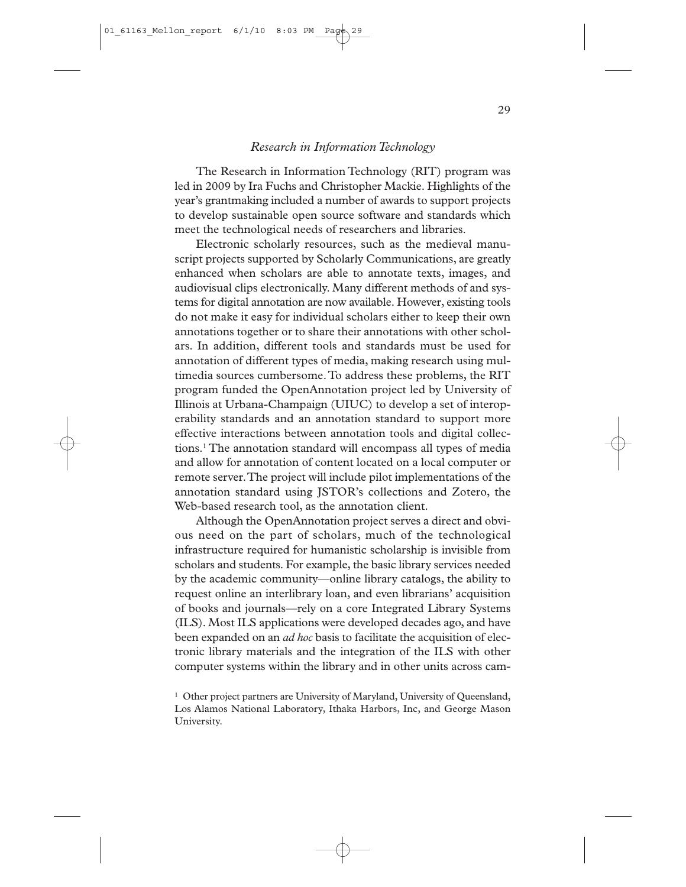#### *Research in Information Technology*

The Research in Information Technology (RIT) program was led in 2009 by Ira Fuchs and Christopher Mackie. Highlights of the year's grantmaking included a number of awards to support projects to develop sustainable open source software and standards which meet the technological needs of researchers and libraries.

Electronic scholarly resources, such as the medieval manuscript projects supported by Scholarly Communications, are greatly enhanced when scholars are able to annotate texts, images, and audiovisual clips electronically. Many different methods of and systems for digital annotation are now available. However, existing tools do not make it easy for individual scholars either to keep their own annotations together or to share their annotations with other scholars. In addition, different tools and standards must be used for annotation of different types of media, making research using multimedia sources cumbersome.To address these problems, the RIT program funded the OpenAnnotation project led by University of Illinois at Urbana-Champaign (UIUC) to develop a set of interoperability standards and an annotation standard to support more effective interactions between annotation tools and digital collections.1 The annotation standard will encompass all types of media and allow for annotation of content located on a local computer or remote server.The project will include pilot implementations of the annotation standard using JSTOR's collections and Zotero, the Web-based research tool, as the annotation client.

Although the OpenAnnotation project serves a direct and obvious need on the part of scholars, much of the technological infrastructure required for humanistic scholarship is invisible from scholars and students. For example, the basic library services needed by the academic community—online library catalogs, the ability to request online an interlibrary loan, and even librarians' acquisition of books and journals—rely on a core Integrated Library Systems (ILS). Most ILS applications were developed decades ago, and have been expanded on an *ad hoc* basis to facilitate the acquisition of electronic library materials and the integration of the ILS with other computer systems within the library and in other units across cam-

<sup>&</sup>lt;sup>1</sup> Other project partners are University of Maryland, University of Queensland, Los Alamos National Laboratory, Ithaka Harbors, Inc, and George Mason University.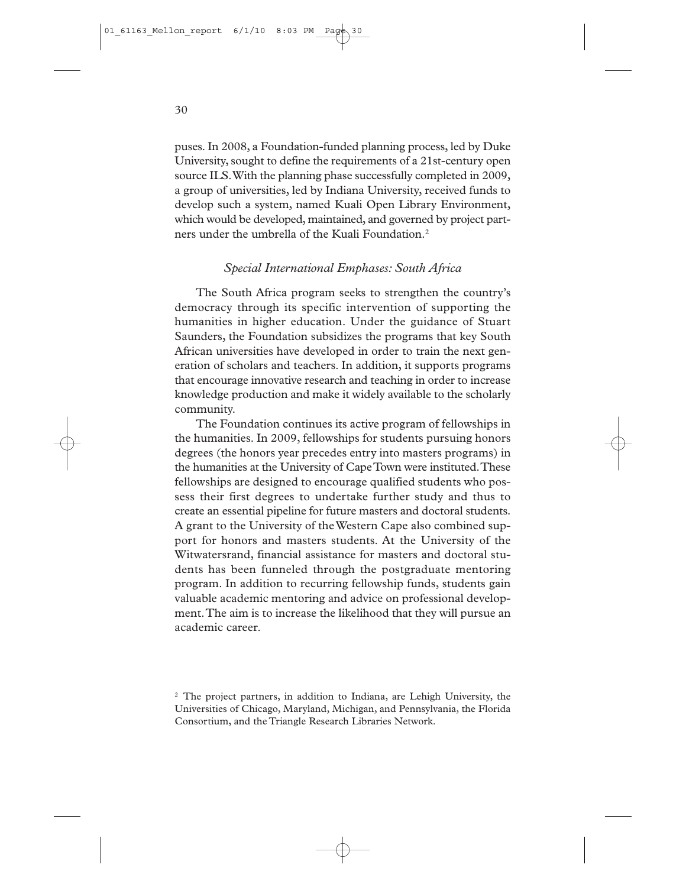puses. In 2008, a Foundation-funded planning process, led by Duke University, sought to define the requirements of a 21st-century open source ILS.With the planning phase successfully completed in 2009, a group of universities, led by Indiana University, received funds to develop such a system, named Kuali Open Library Environment, which would be developed, maintained, and governed by project partners under the umbrella of the Kuali Foundation.2

#### *Special International Emphases: South Africa*

The South Africa program seeks to strengthen the country's democracy through its specific intervention of supporting the humanities in higher education. Under the guidance of Stuart Saunders, the Foundation subsidizes the programs that key South African universities have developed in order to train the next generation of scholars and teachers. In addition, it supports programs that encourage innovative research and teaching in order to increase knowledge production and make it widely available to the scholarly community.

The Foundation continues its active program of fellowships in the humanities. In 2009, fellowships for students pursuing honors degrees (the honors year precedes entry into masters programs) in the humanities at the University of Cape Town were instituted.These fellowships are designed to encourage qualified students who possess their first degrees to undertake further study and thus to create an essential pipeline for future masters and doctoral students. A grant to the University of the Western Cape also combined support for honors and masters students. At the University of the Witwatersrand, financial assistance for masters and doctoral students has been funneled through the postgraduate mentoring program. In addition to recurring fellowship funds, students gain valuable academic mentoring and advice on professional development.The aim is to increase the likelihood that they will pursue an academic career.

<sup>2</sup> The project partners, in addition to Indiana, are Lehigh University, the Universities of Chicago, Maryland, Michigan, and Pennsylvania, the Florida Consortium, and the Triangle Research Libraries Network.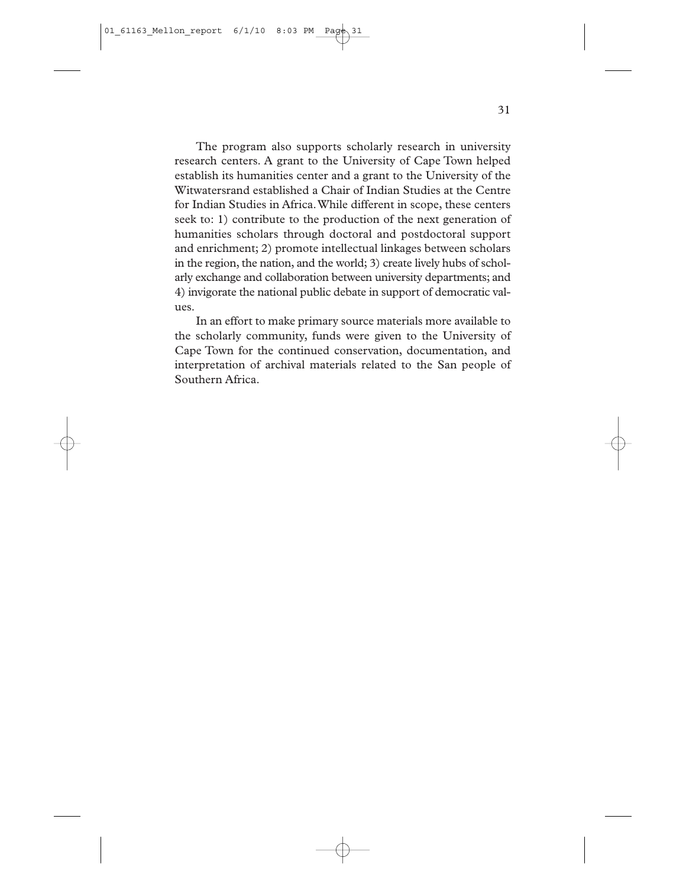The program also supports scholarly research in university research centers. A grant to the University of Cape Town helped establish its humanities center and a grant to the University of the Witwatersrand established a Chair of Indian Studies at the Centre for Indian Studies in Africa.While different in scope, these centers seek to: 1) contribute to the production of the next generation of humanities scholars through doctoral and postdoctoral support and enrichment; 2) promote intellectual linkages between scholars in the region, the nation, and the world; 3) create lively hubs of scholarly exchange and collaboration between university departments; and 4) invigorate the national public debate in support of democratic values.

In an effort to make primary source materials more available to the scholarly community, funds were given to the University of Cape Town for the continued conservation, documentation, and interpretation of archival materials related to the San people of Southern Africa.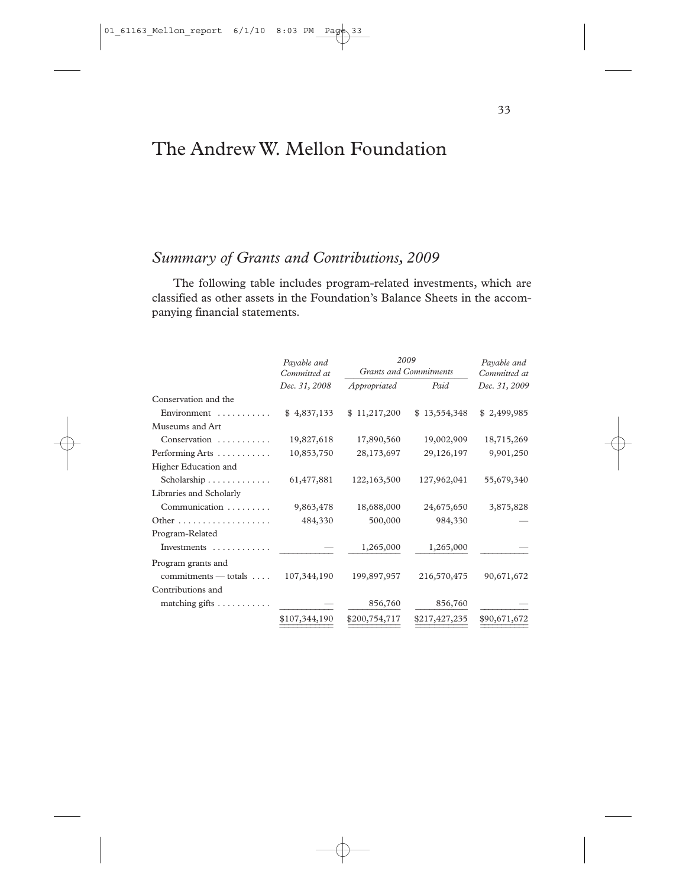## The Andrew W. Mellon Foundation

### *Summary of Grants and Contributions, 2009*

The following table includes program-related investments, which are classified as other assets in the Foundation's Balance Sheets in the accompanying financial statements.

|                                    | Payable and<br>Committed at<br>Dec. 31, 2008 | 2009<br><b>Grants and Commitments</b> |               | Payable and<br>Committed at |
|------------------------------------|----------------------------------------------|---------------------------------------|---------------|-----------------------------|
|                                    |                                              | Appropriated                          | Paid          | Dec. 31, 2009               |
| Conservation and the               |                                              |                                       |               |                             |
| Environment $\dots\dots\dots$      | \$4,837,133                                  | \$11,217,200                          | \$13,554,348  | \$2,499,985                 |
| Museums and Art                    |                                              |                                       |               |                             |
| Conservation                       | 19,827,618                                   | 17,890,560                            | 19,002,909    | 18,715,269                  |
| Performing Arts                    | 10,853,750                                   | 28,173,697                            | 29,126,197    | 9,901,250                   |
| Higher Education and               |                                              |                                       |               |                             |
| Scholarship                        | 61,477,881                                   | 122,163,500                           | 127,962,041   | 55,679,340                  |
| Libraries and Scholarly            |                                              |                                       |               |                             |
| Communication                      | 9,863,478                                    | 18,688,000                            | 24,675,650    | 3,875,828                   |
| Other                              | 484,330                                      | 500,000                               | 984,330       |                             |
| Program-Related                    |                                              |                                       |               |                             |
| Investments                        |                                              | 1,265,000                             | 1,265,000     |                             |
| Program grants and                 |                                              |                                       |               |                             |
| $commitments - totals $            | 107,344,190                                  | 199,897,957                           | 216,570,475   | 90,671,672                  |
| Contributions and                  |                                              |                                       |               |                             |
| matching gifts $\dots \dots \dots$ |                                              | 856,760                               | 856,760       |                             |
|                                    | \$107,344,190                                | \$200,754,717                         | \$217,427,235 | \$90,671,672                |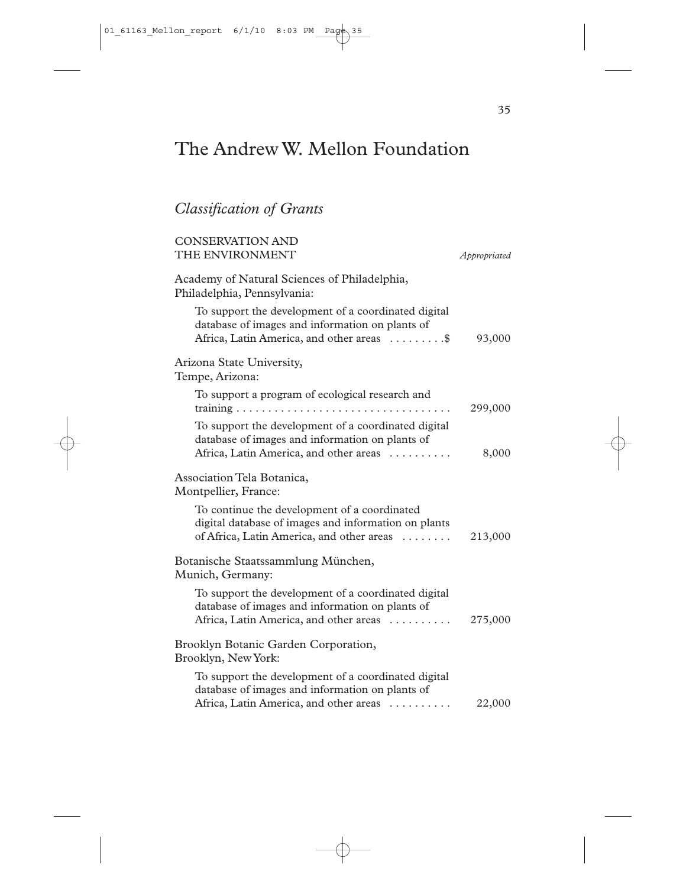# The Andrew W. Mellon Foundation

## *Classification of Grants*

| <b>CONSERVATION AND</b><br>THE ENVIRONMENT                                                                                                          | Appropriated |
|-----------------------------------------------------------------------------------------------------------------------------------------------------|--------------|
| Academy of Natural Sciences of Philadelphia,<br>Philadelphia, Pennsylvania:                                                                         |              |
| To support the development of a coordinated digital<br>database of images and information on plants of<br>Africa, Latin America, and other areas \$ | 93,000       |
| Arizona State University,<br>Tempe, Arizona:                                                                                                        |              |
| To support a program of ecological research and                                                                                                     | 299,000      |
| To support the development of a coordinated digital<br>database of images and information on plants of<br>Africa, Latin America, and other areas    | 8,000        |
| Association Tela Botanica,<br>Montpellier, France:                                                                                                  |              |
| To continue the development of a coordinated<br>digital database of images and information on plants<br>of Africa, Latin America, and other areas   | 213,000      |
| Botanische Staatssammlung München,<br>Munich, Germany:                                                                                              |              |
| To support the development of a coordinated digital<br>database of images and information on plants of<br>Africa, Latin America, and other areas    | 275,000      |
| Brooklyn Botanic Garden Corporation,<br>Brooklyn, New York:                                                                                         |              |
| To support the development of a coordinated digital<br>database of images and information on plants of<br>Africa, Latin America, and other areas    | 22,000       |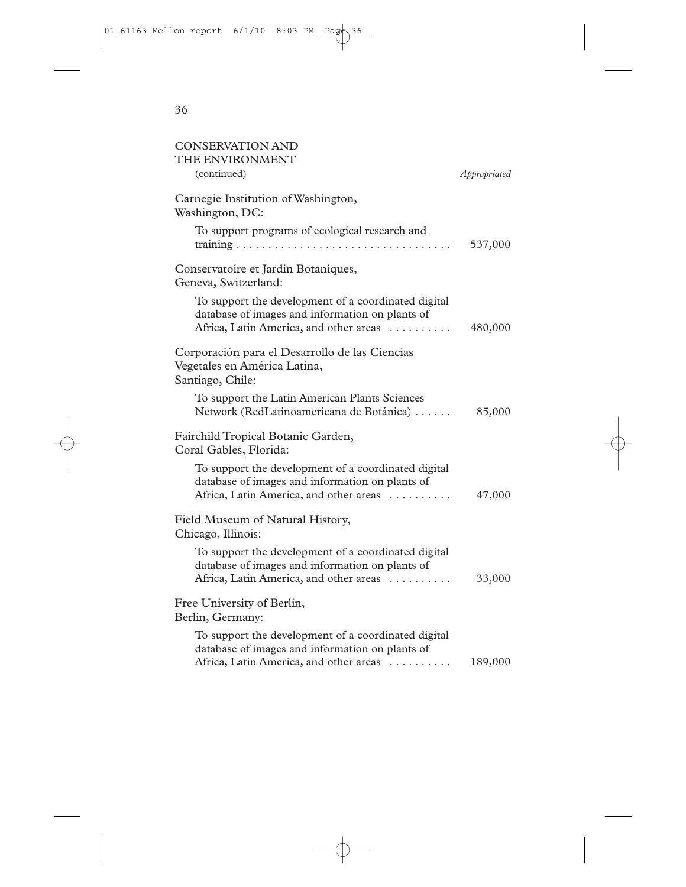| <b>CONSERVATION AND</b><br>THE ENVIRONMENT                                                                                                       |              |
|--------------------------------------------------------------------------------------------------------------------------------------------------|--------------|
| (continued)                                                                                                                                      | Appropriated |
| Carnegie Institution of Washington,<br>Washington, DC:                                                                                           |              |
| To support programs of ecological research and                                                                                                   | 537,000      |
| Conservatoire et Jardin Botaniques,<br>Geneva, Switzerland:                                                                                      |              |
| To support the development of a coordinated digital<br>database of images and information on plants of<br>Africa, Latin America, and other areas | 480,000      |
| Corporación para el Desarrollo de las Ciencias<br>Vegetales en América Latina,<br>Santiago, Chile:                                               |              |
| To support the Latin American Plants Sciences<br>Network (RedLatinoamericana de Botánica)                                                        | 85,000       |
| Fairchild Tropical Botanic Garden,<br>Coral Gables, Florida:                                                                                     |              |
| To support the development of a coordinated digital<br>database of images and information on plants of<br>Africa, Latin America, and other areas | 47,000       |
| Field Museum of Natural History,<br>Chicago, Illinois:                                                                                           |              |
| To support the development of a coordinated digital<br>database of images and information on plants of<br>Africa, Latin America, and other areas | 33,000       |
| Free University of Berlin,<br>Berlin, Germany:                                                                                                   |              |
| To support the development of a coordinated digital<br>database of images and information on plants of<br>Africa, Latin America, and other areas | 189,000      |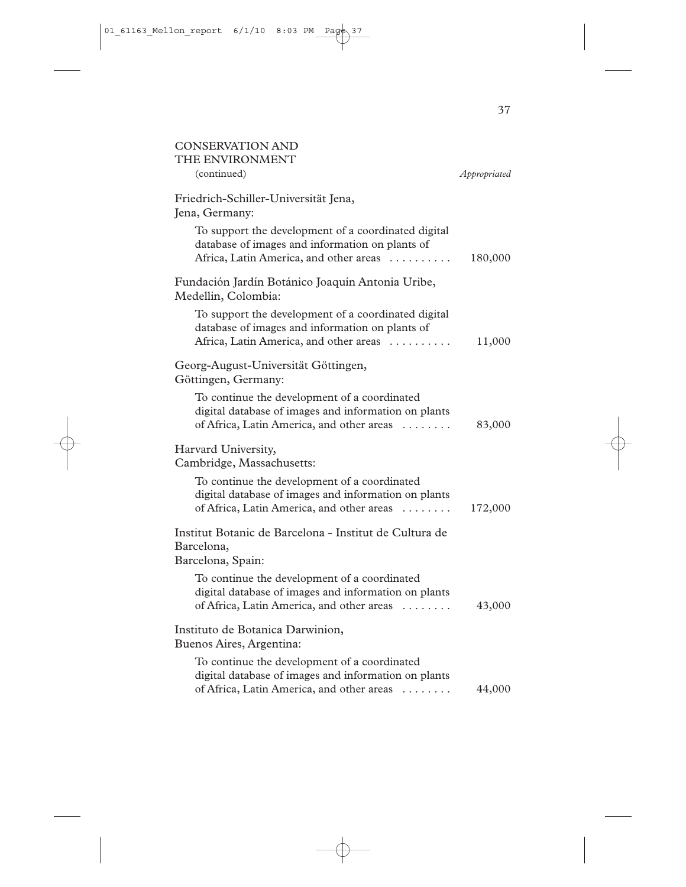| <b>CONSERVATION AND</b><br>THE ENVIRONMENT                                                                                                                  |              |
|-------------------------------------------------------------------------------------------------------------------------------------------------------------|--------------|
| (continued)                                                                                                                                                 | Appropriated |
| Friedrich-Schiller-Universität Jena,<br>Jena, Germany:                                                                                                      |              |
| To support the development of a coordinated digital<br>database of images and information on plants of<br>Africa, Latin America, and other areas            | 180,000      |
| Fundación Jardín Botánico Joaquín Antonia Uribe,<br>Medellin, Colombia:                                                                                     |              |
| To support the development of a coordinated digital<br>database of images and information on plants of<br>Africa, Latin America, and other areas            | 11,000       |
| Georg-August-Universität Göttingen,<br>Göttingen, Germany:                                                                                                  |              |
| To continue the development of a coordinated<br>digital database of images and information on plants<br>of Africa, Latin America, and other areas           | 83,000       |
| Harvard University,<br>Cambridge, Massachusetts:                                                                                                            |              |
| To continue the development of a coordinated<br>digital database of images and information on plants<br>of Africa, Latin America, and other areas           | 172,000      |
| Institut Botanic de Barcelona - Institut de Cultura de<br>Barcelona,<br>Barcelona, Spain:                                                                   |              |
| To continue the development of a coordinated<br>digital database of images and information on plants<br>of Africa, Latin America, and other areas           | 43,000       |
| Instituto de Botanica Darwinion,<br>Buenos Aires, Argentina:                                                                                                |              |
| To continue the development of a coordinated<br>digital database of images and information on plants<br>of Africa, Latin America, and other areas<br>$\sim$ | 44,000       |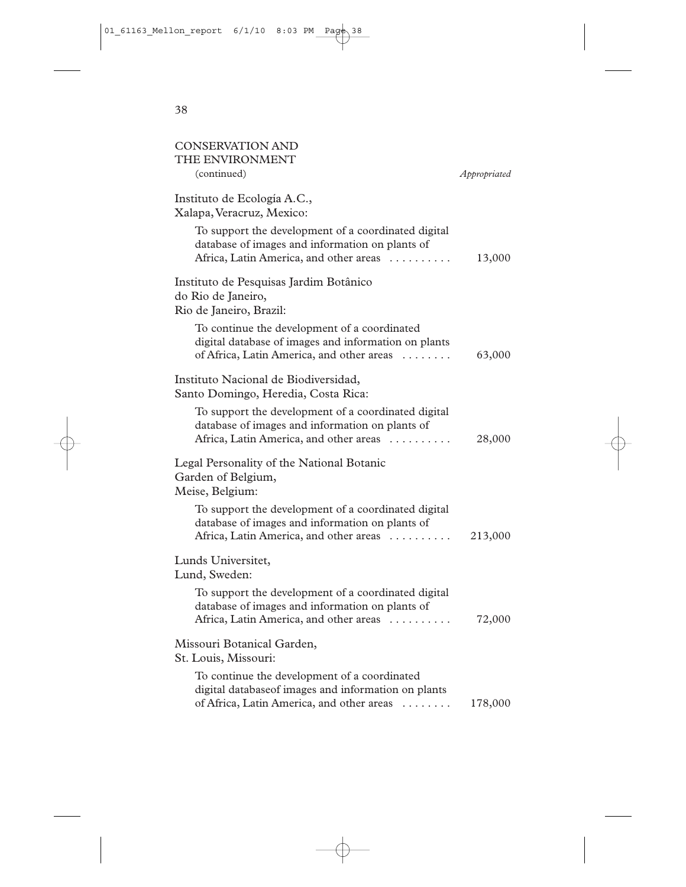| <b>CONSERVATION AND</b><br>THE ENVIRONMENT                                                                                                        |              |
|---------------------------------------------------------------------------------------------------------------------------------------------------|--------------|
| (continued)                                                                                                                                       | Appropriated |
| Instituto de Ecología A.C.,<br>Xalapa, Veracruz, Mexico:                                                                                          |              |
| To support the development of a coordinated digital<br>database of images and information on plants of<br>Africa, Latin America, and other areas  | 13,000       |
| Instituto de Pesquisas Jardim Botânico<br>do Rio de Janeiro,<br>Rio de Janeiro, Brazil:                                                           |              |
| To continue the development of a coordinated<br>digital database of images and information on plants<br>of Africa, Latin America, and other areas | 63,000       |
| Instituto Nacional de Biodiversidad,<br>Santo Domingo, Heredia, Costa Rica:                                                                       |              |
| To support the development of a coordinated digital<br>database of images and information on plants of<br>Africa, Latin America, and other areas  | 28,000       |
| Legal Personality of the National Botanic<br>Garden of Belgium,<br>Meise, Belgium:                                                                |              |
| To support the development of a coordinated digital<br>database of images and information on plants of<br>Africa, Latin America, and other areas  | 213,000      |
| Lunds Universitet,<br>Lund, Sweden:                                                                                                               |              |
| To support the development of a coordinated digital<br>database of images and information on plants of<br>Africa, Latin America, and other areas  | 72,000       |
| Missouri Botanical Garden,<br>St. Louis, Missouri:                                                                                                |              |
| To continue the development of a coordinated<br>digital databaseof images and information on plants<br>of Africa, Latin America, and other areas  | 178,000      |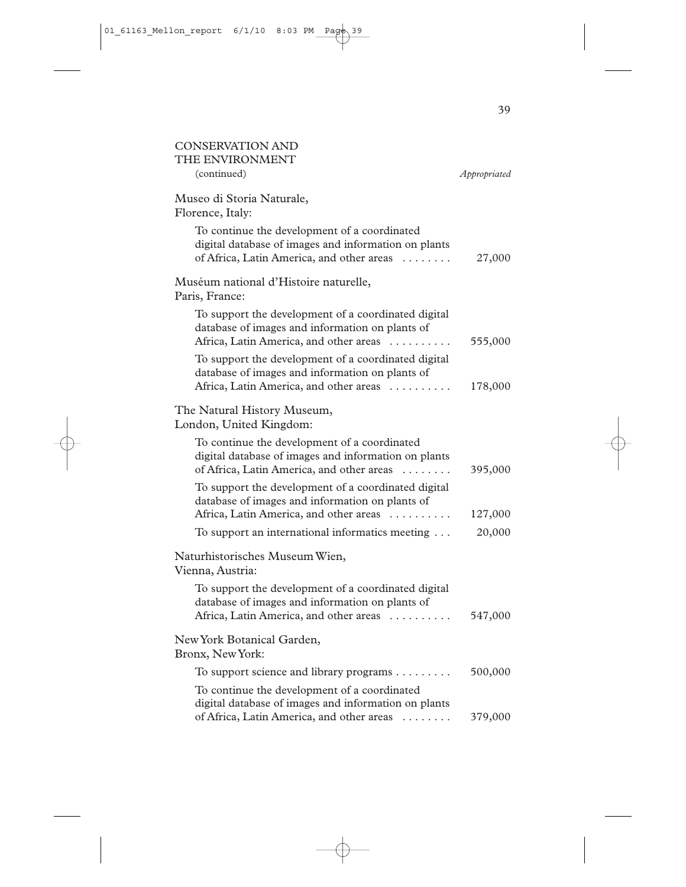| <b>CONSERVATION AND</b><br>THE ENVIRONMENT                                                                                                                  |              |
|-------------------------------------------------------------------------------------------------------------------------------------------------------------|--------------|
| (continued)                                                                                                                                                 | Appropriated |
| Museo di Storia Naturale,<br>Florence, Italy:                                                                                                               |              |
| To continue the development of a coordinated<br>digital database of images and information on plants<br>of Africa, Latin America, and other areas           | 27,000       |
| Muséum national d'Histoire naturelle,<br>Paris, France:                                                                                                     |              |
| To support the development of a coordinated digital<br>database of images and information on plants of<br>Africa, Latin America, and other areas            | 555,000      |
| To support the development of a coordinated digital<br>database of images and information on plants of<br>Africa, Latin America, and other areas            | 178,000      |
| The Natural History Museum,<br>London, United Kingdom:                                                                                                      |              |
| To continue the development of a coordinated<br>digital database of images and information on plants<br>of Africa, Latin America, and other areas           | 395,000      |
| To support the development of a coordinated digital<br>database of images and information on plants of<br>Africa, Latin America, and other areas            | 127,000      |
| To support an international informatics meeting                                                                                                             | 20,000       |
| Naturhistorisches Museum Wien,<br>Vienna, Austria:                                                                                                          |              |
| To support the development of a coordinated digital<br>database of images and information on plants of<br>Africa, Latin America, and other areas            | 547,000      |
| New York Botanical Garden,<br>Bronx, New York:                                                                                                              |              |
| To support science and library programs                                                                                                                     | 500,000      |
| To continue the development of a coordinated<br>digital database of images and information on plants<br>of Africa, Latin America, and other areas<br>$\sim$ | 379,000      |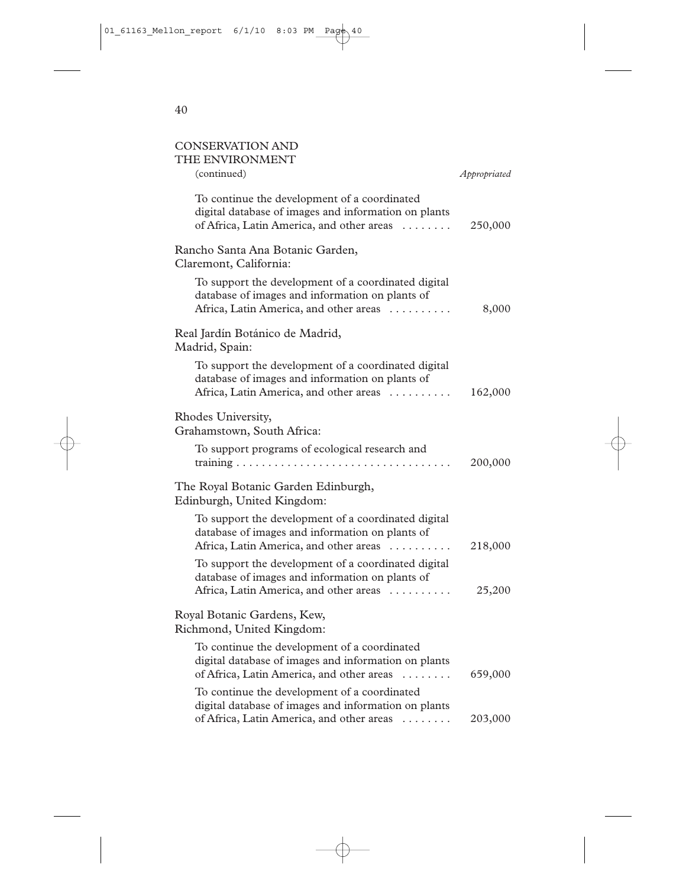## CONSERVATION AND

| THE ENVIRONMENT                                                                                                                                   |              |
|---------------------------------------------------------------------------------------------------------------------------------------------------|--------------|
| (continued)                                                                                                                                       | Appropriated |
| To continue the development of a coordinated<br>digital database of images and information on plants<br>of Africa, Latin America, and other areas | 250,000      |
| Rancho Santa Ana Botanic Garden,<br>Claremont, California:                                                                                        |              |
| To support the development of a coordinated digital<br>database of images and information on plants of<br>Africa, Latin America, and other areas  | 8,000        |
| Real Jardín Botánico de Madrid,<br>Madrid, Spain:                                                                                                 |              |
| To support the development of a coordinated digital<br>database of images and information on plants of<br>Africa, Latin America, and other areas  | 162,000      |
| Rhodes University,<br>Grahamstown, South Africa:                                                                                                  |              |
| To support programs of ecological research and                                                                                                    | 200,000      |
| The Royal Botanic Garden Edinburgh,<br>Edinburgh, United Kingdom:                                                                                 |              |
| To support the development of a coordinated digital<br>database of images and information on plants of<br>Africa, Latin America, and other areas  | 218,000      |
| To support the development of a coordinated digital<br>database of images and information on plants of<br>Africa, Latin America, and other areas  | 25,200       |
| Royal Botanic Gardens, Kew,<br>Richmond, United Kingdom:                                                                                          |              |
| To continue the development of a coordinated<br>digital database of images and information on plants<br>of Africa, Latin America, and other areas | 659,000      |
| To continue the development of a coordinated<br>digital database of images and information on plants<br>of Africa, Latin America, and other areas | 203,000      |
| .                                                                                                                                                 |              |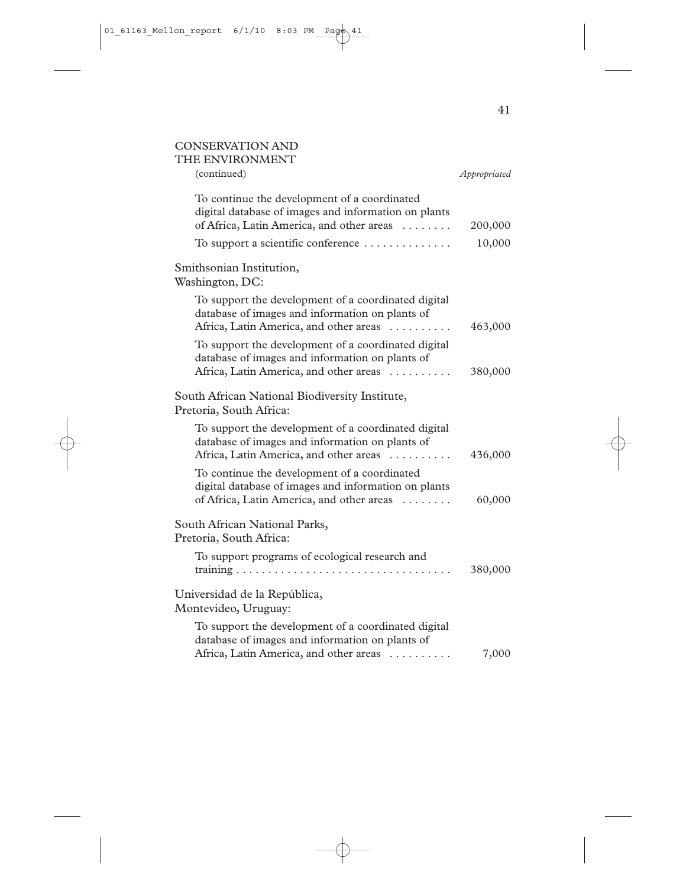## CONSERVATION AND THE ENVIRONMENT

| I HE ENVIRONMEN I<br>(continued)                                                                                                                  | Appropriated |
|---------------------------------------------------------------------------------------------------------------------------------------------------|--------------|
| To continue the development of a coordinated<br>digital database of images and information on plants<br>of Africa, Latin America, and other areas | 200,000      |
| To support a scientific conference                                                                                                                | 10,000       |
| Smithsonian Institution,<br>Washington, DC:                                                                                                       |              |
| To support the development of a coordinated digital<br>database of images and information on plants of<br>Africa, Latin America, and other areas  | 463,000      |
| To support the development of a coordinated digital<br>database of images and information on plants of<br>Africa, Latin America, and other areas  | 380,000      |
| South African National Biodiversity Institute,<br>Pretoria, South Africa:                                                                         |              |
| To support the development of a coordinated digital<br>database of images and information on plants of<br>Africa, Latin America, and other areas  | 436,000      |
| To continue the development of a coordinated<br>digital database of images and information on plants<br>of Africa, Latin America, and other areas | 60,000       |
| South African National Parks,<br>Pretoria, South Africa:                                                                                          |              |
| To support programs of ecological research and                                                                                                    | 380,000      |
| Universidad de la República,<br>Montevideo, Uruguay:                                                                                              |              |
| To support the development of a coordinated digital<br>database of images and information on plants of<br>Africa, Latin America, and other areas  | 7,000        |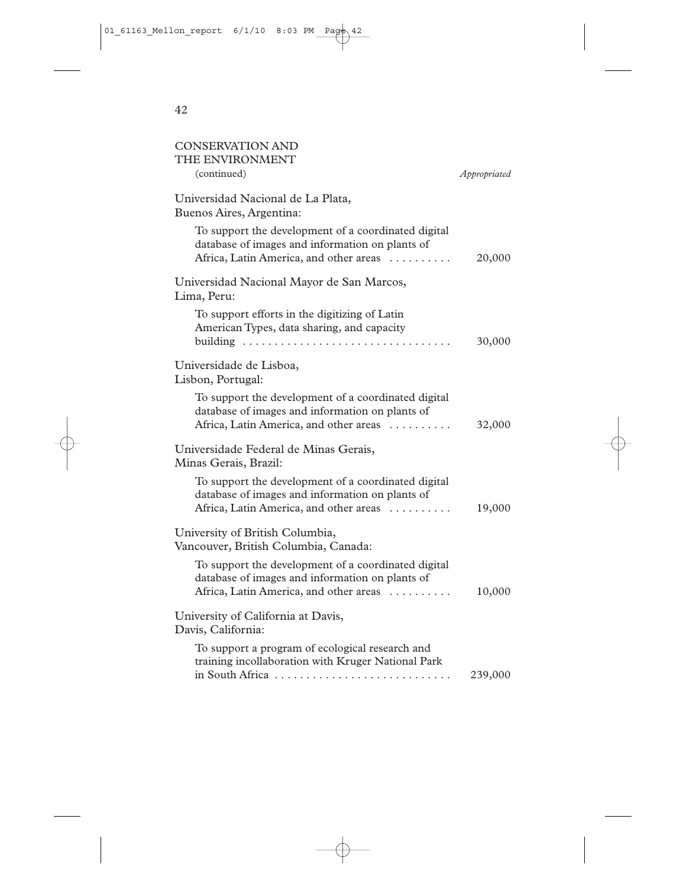| <b>CONSERVATION AND</b><br>THE ENVIRONMENT                                                                                                       |              |
|--------------------------------------------------------------------------------------------------------------------------------------------------|--------------|
| (continued)                                                                                                                                      | Appropriated |
| Universidad Nacional de La Plata,<br>Buenos Aires, Argentina:                                                                                    |              |
| To support the development of a coordinated digital<br>database of images and information on plants of<br>Africa, Latin America, and other areas | 20,000       |
| Universidad Nacional Mayor de San Marcos,<br>Lima, Peru:                                                                                         |              |
| To support efforts in the digitizing of Latin<br>American Types, data sharing, and capacity                                                      | 30,000       |
| Universidade de Lisboa,<br>Lisbon, Portugal:                                                                                                     |              |
| To support the development of a coordinated digital<br>database of images and information on plants of<br>Africa, Latin America, and other areas | 32,000       |
| Universidade Federal de Minas Gerais,<br>Minas Gerais, Brazil:                                                                                   |              |
| To support the development of a coordinated digital<br>database of images and information on plants of<br>Africa, Latin America, and other areas | 19,000       |
| University of British Columbia,<br>Vancouver, British Columbia, Canada:                                                                          |              |
| To support the development of a coordinated digital<br>database of images and information on plants of<br>Africa, Latin America, and other areas | 10,000       |
| University of California at Davis,<br>Davis, California:                                                                                         |              |
| To support a program of ecological research and<br>training incollaboration with Kruger National Park<br>in South Africa                         | 239,000      |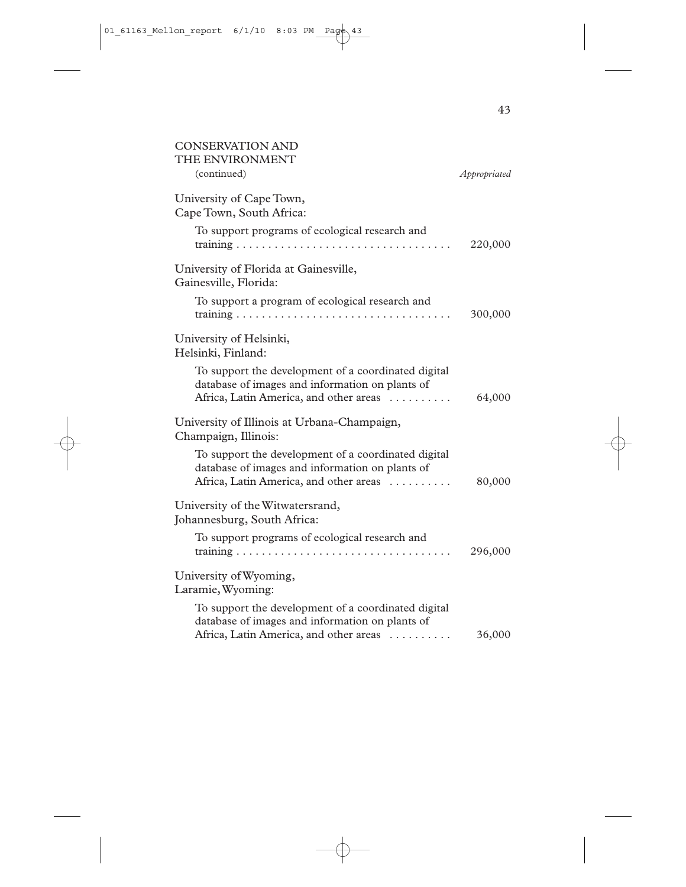| <b>CONSERVATION AND</b><br>THE ENVIRONMENT                                                                                                       |              |
|--------------------------------------------------------------------------------------------------------------------------------------------------|--------------|
| (continued)                                                                                                                                      | Appropriated |
| University of Cape Town,<br>Cape Town, South Africa:                                                                                             |              |
| To support programs of ecological research and                                                                                                   | 220,000      |
| University of Florida at Gainesville,<br>Gainesville, Florida:                                                                                   |              |
| To support a program of ecological research and                                                                                                  | 300,000      |
| University of Helsinki,<br>Helsinki, Finland:                                                                                                    |              |
| To support the development of a coordinated digital<br>database of images and information on plants of<br>Africa, Latin America, and other areas | 64,000       |
| University of Illinois at Urbana-Champaign,<br>Champaign, Illinois:                                                                              |              |
| To support the development of a coordinated digital<br>database of images and information on plants of<br>Africa, Latin America, and other areas | 80,000       |
| University of the Witwatersrand,<br>Johannesburg, South Africa:                                                                                  |              |
| To support programs of ecological research and                                                                                                   | 296,000      |
| University of Wyoming,<br>Laramie, Wyoming:                                                                                                      |              |
| To support the development of a coordinated digital<br>database of images and information on plants of<br>Africa, Latin America, and other areas | 36,000       |
|                                                                                                                                                  |              |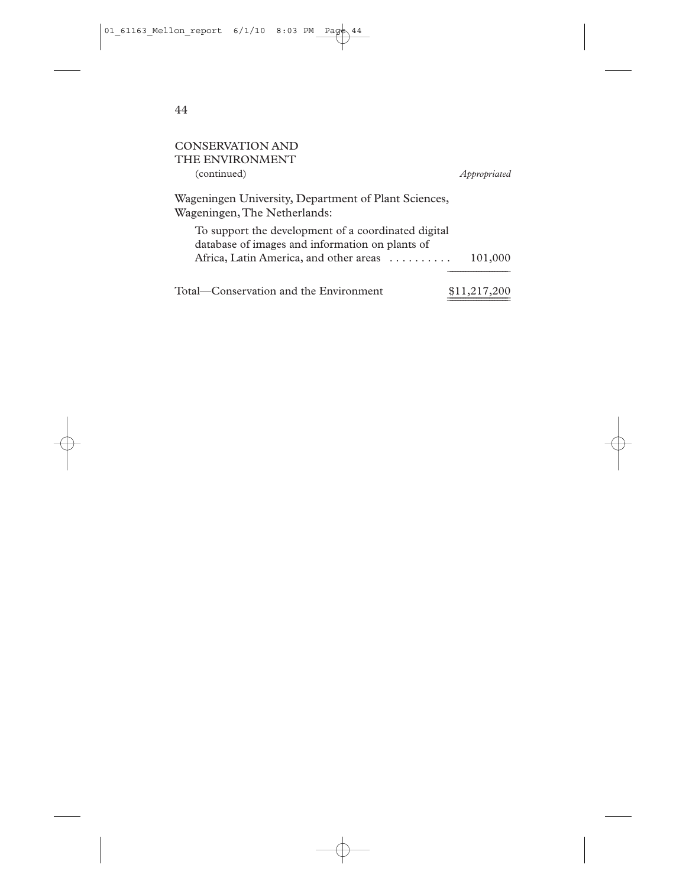| CONSERVATION AND                                                                                       |              |
|--------------------------------------------------------------------------------------------------------|--------------|
| THE ENVIRONMENT                                                                                        |              |
| (continued)                                                                                            | Appropriated |
| Wageningen University, Department of Plant Sciences,<br>Wageningen, The Netherlands:                   |              |
| To support the development of a coordinated digital<br>database of images and information on plants of |              |
| Africa, Latin America, and other areas                                                                 | 101,000      |
| Total—Conservation and the Environment                                                                 | \$11,217,200 |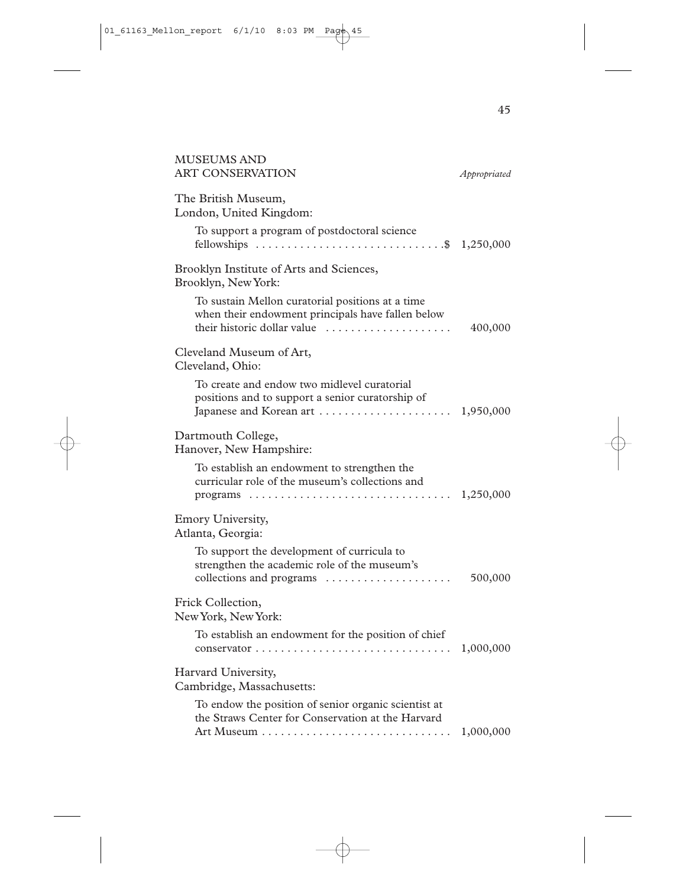| MUSEUMS AND<br>ART CONSERVATION                                                                                                                                                                     | Appropriated |
|-----------------------------------------------------------------------------------------------------------------------------------------------------------------------------------------------------|--------------|
| The British Museum,<br>London, United Kingdom:                                                                                                                                                      |              |
| To support a program of postdoctoral science                                                                                                                                                        |              |
| Brooklyn Institute of Arts and Sciences,<br>Brooklyn, New York:                                                                                                                                     |              |
| To sustain Mellon curatorial positions at a time<br>when their endowment principals have fallen below<br>their historic dollar value                                                                | 400,000      |
| Cleveland Museum of Art,<br>Cleveland, Ohio:                                                                                                                                                        |              |
| To create and endow two midlevel curatorial<br>positions and to support a senior curatorship of                                                                                                     |              |
| Dartmouth College,<br>Hanover, New Hampshire:                                                                                                                                                       |              |
| To establish an endowment to strengthen the<br>curricular role of the museum's collections and<br>programs $\ldots \ldots \ldots \ldots \ldots \ldots \ldots \ldots \ldots \ldots \ldots 1,250,000$ |              |
| Emory University,<br>Atlanta, Georgia:                                                                                                                                                              |              |
| To support the development of curricula to<br>strengthen the academic role of the museum's<br>collections and programs                                                                              | 500,000      |
| Frick Collection,<br>New York, New York:                                                                                                                                                            |              |
| To establish an endowment for the position of chief                                                                                                                                                 | 1,000,000    |
| Harvard University,<br>Cambridge, Massachusetts:                                                                                                                                                    |              |
| To endow the position of senior organic scientist at<br>the Straws Center for Conservation at the Harvard                                                                                           | 1,000,000    |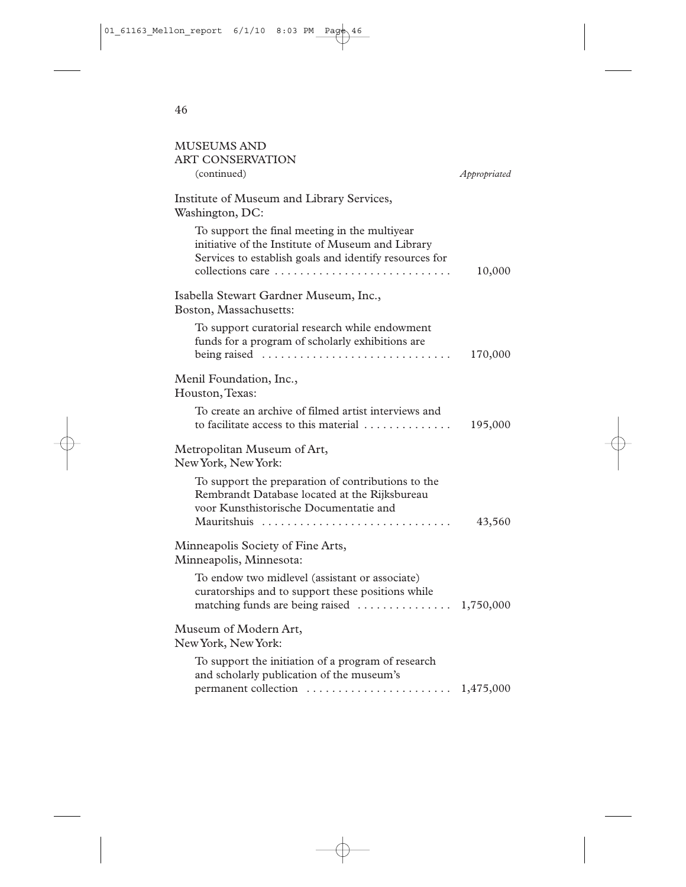| <b>MUSEUMS AND</b><br><b>ART CONSERVATION</b><br>(continued)                                                                                                                                | Appropriated |
|---------------------------------------------------------------------------------------------------------------------------------------------------------------------------------------------|--------------|
| Institute of Museum and Library Services,<br>Washington, DC:                                                                                                                                |              |
| To support the final meeting in the multiyear<br>initiative of the Institute of Museum and Library<br>Services to establish goals and identify resources for<br>collections care            | 10,000       |
| Isabella Stewart Gardner Museum, Inc.,<br>Boston, Massachusetts:                                                                                                                            |              |
| To support curatorial research while endowment<br>funds for a program of scholarly exhibitions are<br>being raised $\ldots \ldots \ldots \ldots \ldots \ldots \ldots \ldots$                | 170,000      |
| Menil Foundation, Inc.,<br>Houston, Texas:                                                                                                                                                  |              |
| To create an archive of filmed artist interviews and<br>to facilitate access to this material                                                                                               | 195,000      |
| Metropolitan Museum of Art,<br>New York, New York:                                                                                                                                          |              |
| To support the preparation of contributions to the<br>Rembrandt Database located at the Rijksbureau<br>voor Kunsthistorische Documentatie and<br>Mauritshuis                                | 43,560       |
| Minneapolis Society of Fine Arts,<br>Minneapolis, Minnesota:                                                                                                                                |              |
| To endow two midlevel (assistant or associate)<br>curatorships and to support these positions while<br>matching funds are being raised  1,750,000                                           |              |
| Museum of Modern Art,<br>New York, New York:                                                                                                                                                |              |
| To support the initiation of a program of research<br>and scholarly publication of the museum's<br>permanent collection $\ldots \ldots \ldots \ldots \ldots \ldots \ldots \ldots 1,475,000$ |              |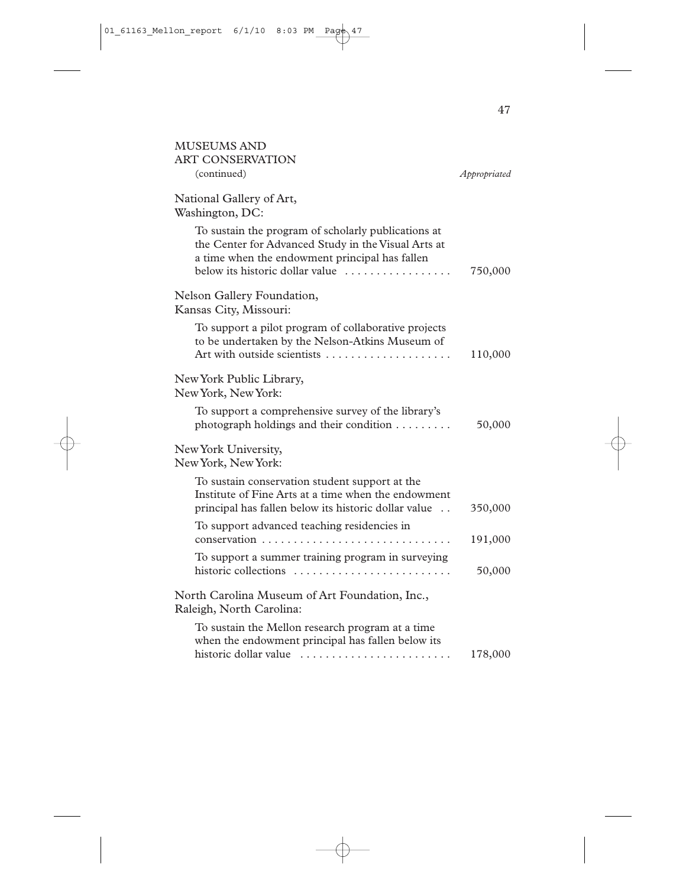| <b>MUSEUMS AND</b><br><b>ART CONSERVATION</b>                                                                                                                                                   |              |
|-------------------------------------------------------------------------------------------------------------------------------------------------------------------------------------------------|--------------|
| (continued)                                                                                                                                                                                     | Appropriated |
| National Gallery of Art,<br>Washington, DC:                                                                                                                                                     |              |
| To sustain the program of scholarly publications at<br>the Center for Advanced Study in the Visual Arts at<br>a time when the endowment principal has fallen<br>below its historic dollar value | 750,000      |
| Nelson Gallery Foundation,<br>Kansas City, Missouri:                                                                                                                                            |              |
| To support a pilot program of collaborative projects<br>to be undertaken by the Nelson-Atkins Museum of<br>Art with outside scientists                                                          | 110,000      |
| New York Public Library,<br>New York, New York:                                                                                                                                                 |              |
| To support a comprehensive survey of the library's<br>photograph holdings and their condition                                                                                                   | 50,000       |
| New York University,<br>New York, New York:                                                                                                                                                     |              |
| To sustain conservation student support at the<br>Institute of Fine Arts at a time when the endowment<br>principal has fallen below its historic dollar value                                   | 350,000      |
| To support advanced teaching residencies in                                                                                                                                                     | 191,000      |
| To support a summer training program in surveying<br>historic collections                                                                                                                       | 50,000       |
| North Carolina Museum of Art Foundation, Inc.,<br>Raleigh, North Carolina:                                                                                                                      |              |
| To sustain the Mellon research program at a time<br>when the endowment principal has fallen below its                                                                                           |              |
| historic dollar value                                                                                                                                                                           | 178,000      |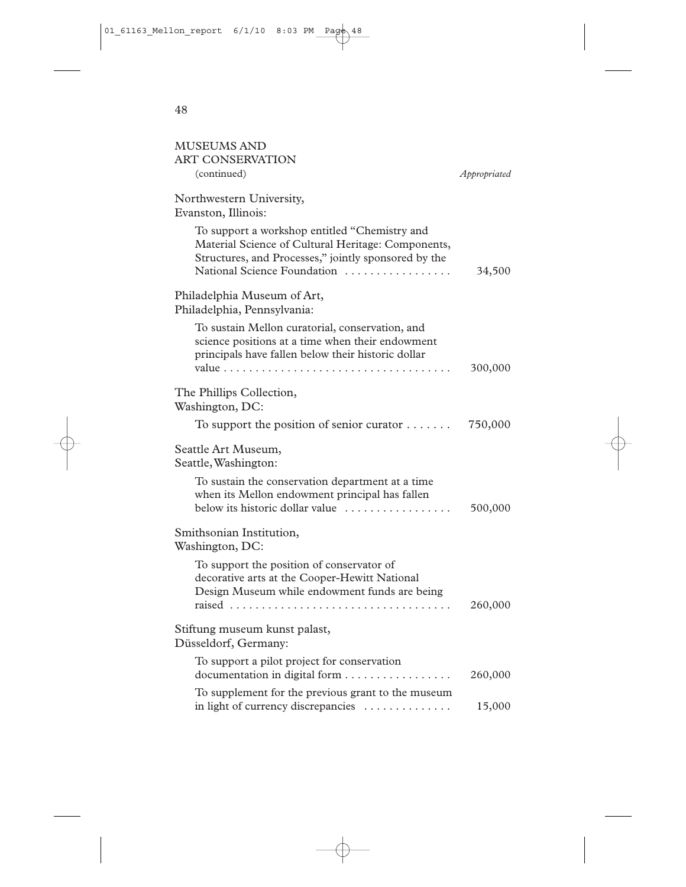| MUSEUMS AND<br><b>ART CONSERVATION</b>                                                                                                                                                     |              |
|--------------------------------------------------------------------------------------------------------------------------------------------------------------------------------------------|--------------|
| (continued)                                                                                                                                                                                | Appropriated |
| Northwestern University,<br>Evanston, Illinois:                                                                                                                                            |              |
| To support a workshop entitled "Chemistry and<br>Material Science of Cultural Heritage: Components,<br>Structures, and Processes," jointly sponsored by the<br>National Science Foundation | 34,500       |
| Philadelphia Museum of Art,<br>Philadelphia, Pennsylvania:                                                                                                                                 |              |
| To sustain Mellon curatorial, conservation, and<br>science positions at a time when their endowment<br>principals have fallen below their historic dollar                                  | 300,000      |
| The Phillips Collection,<br>Washington, DC:                                                                                                                                                |              |
| To support the position of senior curator $\dots \dots$                                                                                                                                    | 750,000      |
| Seattle Art Museum,<br>Seattle, Washington:                                                                                                                                                |              |
| To sustain the conservation department at a time<br>when its Mellon endowment principal has fallen<br>below its historic dollar value                                                      | 500,000      |
| Smithsonian Institution,<br>Washington, DC:                                                                                                                                                |              |
| To support the position of conservator of<br>decorative arts at the Cooper-Hewitt National<br>Design Museum while endowment funds are being                                                | 260,000      |
| Stiftung museum kunst palast,<br>Düsseldorf, Germany:                                                                                                                                      |              |
| To support a pilot project for conservation<br>documentation in digital form                                                                                                               | 260,000      |
| To supplement for the previous grant to the museum<br>in light of currency discrepancies                                                                                                   | 15,000       |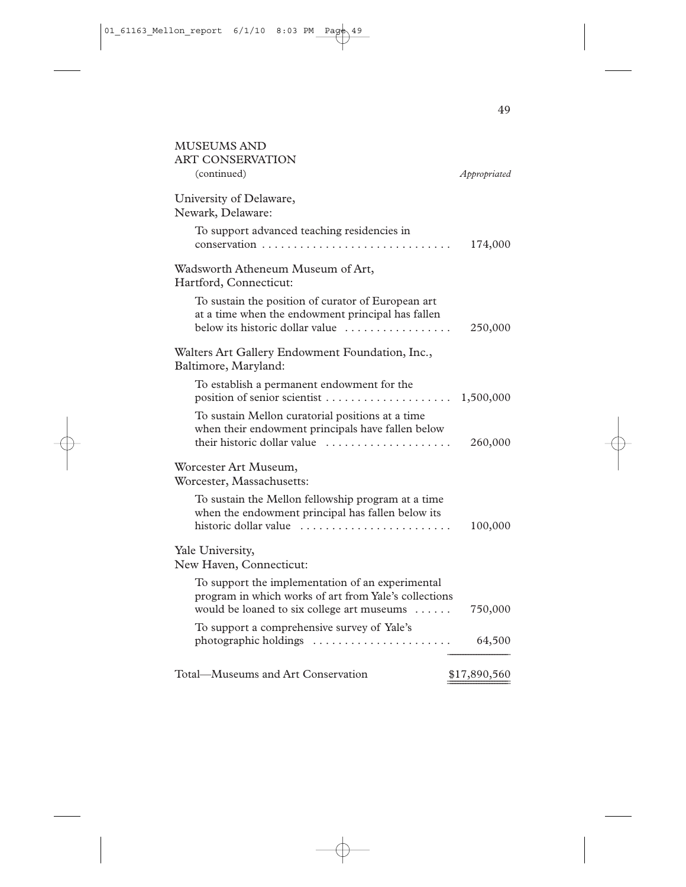| <b>MUSEUMS AND</b><br><b>ART CONSERVATION</b>                                                                                                           |              |
|---------------------------------------------------------------------------------------------------------------------------------------------------------|--------------|
| (continued)                                                                                                                                             | Appropriated |
| University of Delaware,<br>Newark, Delaware:                                                                                                            |              |
| To support advanced teaching residencies in                                                                                                             | 174,000      |
| Wadsworth Atheneum Museum of Art,<br>Hartford, Connecticut:                                                                                             |              |
| To sustain the position of curator of European art<br>at a time when the endowment principal has fallen<br>below its historic dollar value              | 250,000      |
| Walters Art Gallery Endowment Foundation, Inc.,<br>Baltimore, Maryland:                                                                                 |              |
| To establish a permanent endowment for the<br>position of senior scientist                                                                              | 1,500,000    |
| To sustain Mellon curatorial positions at a time<br>when their endowment principals have fallen below<br>their historic dollar value                    | 260,000      |
| Worcester Art Museum,<br>Worcester, Massachusetts:                                                                                                      |              |
| To sustain the Mellon fellowship program at a time<br>when the endowment principal has fallen below its<br>historic dollar value                        | 100,000      |
| Yale University,<br>New Haven, Connecticut:                                                                                                             |              |
| To support the implementation of an experimental<br>program in which works of art from Yale's collections<br>would be loaned to six college art museums | 750,000      |
| To support a comprehensive survey of Yale's                                                                                                             | 64,500       |
| Total-Museums and Art Conservation                                                                                                                      | \$17,890,560 |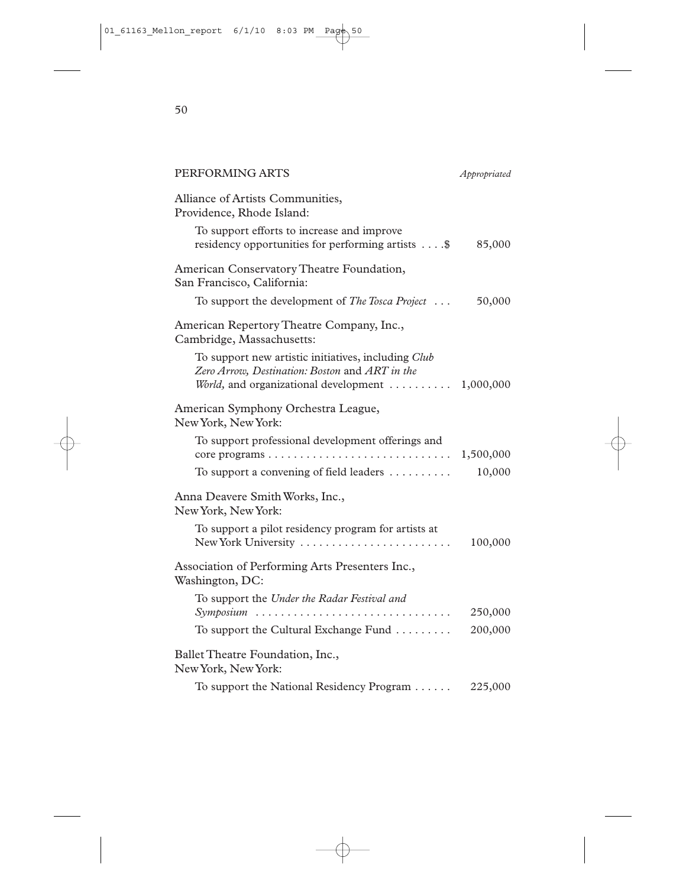| PERFORMING ARTS                                                                                                                                           | Appropriated |
|-----------------------------------------------------------------------------------------------------------------------------------------------------------|--------------|
| Alliance of Artists Communities,<br>Providence, Rhode Island:                                                                                             |              |
| To support efforts to increase and improve<br>residency opportunities for performing artists \$                                                           | 85,000       |
| American Conservatory Theatre Foundation,<br>San Francisco, California:                                                                                   |              |
| To support the development of The Tosca Project                                                                                                           | 50,000       |
| American Repertory Theatre Company, Inc.,<br>Cambridge, Massachusetts:                                                                                    |              |
| To support new artistic initiatives, including Club<br>Zero Arrow, Destination: Boston and ART in the<br>World, and organizational development  1,000,000 |              |
| American Symphony Orchestra League,<br>New York, New York:                                                                                                |              |
| To support professional development offerings and<br>core programs $\ldots \ldots \ldots \ldots \ldots \ldots \ldots \ldots \ldots \ldots 1,500,000$      |              |
| To support a convening of field leaders $\dots\dots\dots$                                                                                                 | 10,000       |
| Anna Deavere Smith Works, Inc.,<br>New York, New York:                                                                                                    |              |
| To support a pilot residency program for artists at<br>New York University                                                                                | 100,000      |
| Association of Performing Arts Presenters Inc.,<br>Washington, DC:                                                                                        |              |
| To support the Under the Radar Festival and<br>Symposium                                                                                                  | 250,000      |
| To support the Cultural Exchange Fund                                                                                                                     | 200,000      |
| Ballet Theatre Foundation, Inc.,<br>New York, New York:                                                                                                   |              |
| To support the National Residency Program                                                                                                                 | 225,000      |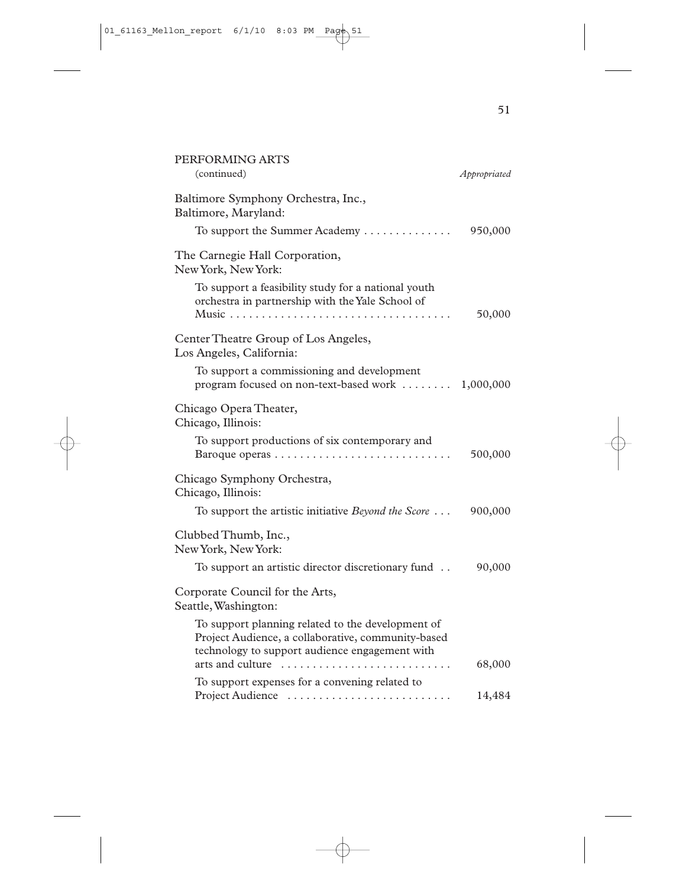| PERFORMING ARTS<br>(continued)                                                                                                                            | Appropriated |
|-----------------------------------------------------------------------------------------------------------------------------------------------------------|--------------|
| Baltimore Symphony Orchestra, Inc.,<br>Baltimore, Maryland:                                                                                               |              |
| To support the Summer Academy                                                                                                                             | 950,000      |
| The Carnegie Hall Corporation,<br>New York, New York:                                                                                                     |              |
| To support a feasibility study for a national youth<br>orchestra in partnership with the Yale School of                                                   | 50,000       |
| Center Theatre Group of Los Angeles,<br>Los Angeles, California:                                                                                          |              |
| To support a commissioning and development<br>program focused on non-text-based work  1,000,000                                                           |              |
| Chicago Opera Theater,<br>Chicago, Illinois:                                                                                                              |              |
| To support productions of six contemporary and                                                                                                            | 500,000      |
| Chicago Symphony Orchestra,<br>Chicago, Illinois:                                                                                                         |              |
| To support the artistic initiative Beyond the Score                                                                                                       | 900,000      |
| Clubbed Thumb, Inc.,<br>New York, New York:                                                                                                               |              |
| To support an artistic director discretionary fund                                                                                                        | 90,000       |
| Corporate Council for the Arts,<br>Seattle, Washington:                                                                                                   |              |
| To support planning related to the development of<br>Project Audience, a collaborative, community-based<br>technology to support audience engagement with |              |
| arts and culture                                                                                                                                          | 68,000       |
| To support expenses for a convening related to<br>Project Audience                                                                                        | 14,484       |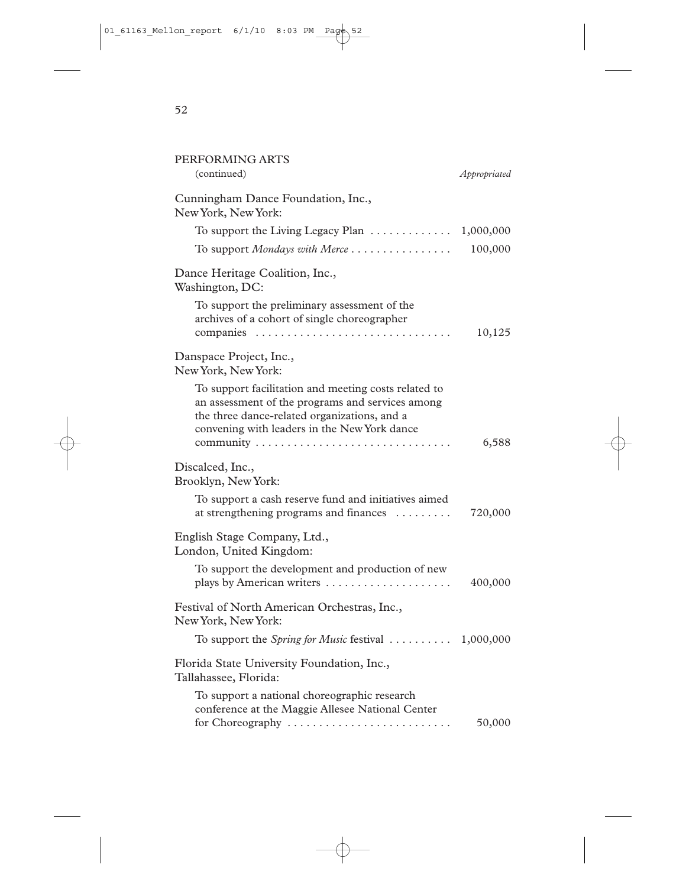| PERFORMING ARTS<br>(continued)                                                                                                                                                                           | Appropriated |
|----------------------------------------------------------------------------------------------------------------------------------------------------------------------------------------------------------|--------------|
|                                                                                                                                                                                                          |              |
| Cunningham Dance Foundation, Inc.,<br>New York, New York:                                                                                                                                                |              |
| To support the Living Legacy Plan $\dots\dots\dots\dots$                                                                                                                                                 | 1,000,000    |
| To support Mondays with Merce                                                                                                                                                                            | 100,000      |
| Dance Heritage Coalition, Inc.,<br>Washington, DC:                                                                                                                                                       |              |
| To support the preliminary assessment of the<br>archives of a cohort of single choreographer                                                                                                             | 10,125       |
| Danspace Project, Inc.,<br>New York, New York:                                                                                                                                                           |              |
| To support facilitation and meeting costs related to<br>an assessment of the programs and services among<br>the three dance-related organizations, and a<br>convening with leaders in the New York dance | 6,588        |
| Discalced, Inc.,<br>Brooklyn, New York:                                                                                                                                                                  |              |
| To support a cash reserve fund and initiatives aimed<br>at strengthening programs and finances                                                                                                           | 720,000      |
| English Stage Company, Ltd.,<br>London, United Kingdom:                                                                                                                                                  |              |
| To support the development and production of new<br>plays by American writers                                                                                                                            | 400,000      |
| Festival of North American Orchestras, Inc.,<br>New York, New York:                                                                                                                                      |              |
| To support the Spring for Music festival $\ldots \ldots \ldots \ldots 1,000,000$                                                                                                                         |              |
| Florida State University Foundation, Inc.,<br>Tallahassee, Florida:                                                                                                                                      |              |
| To support a national choreographic research<br>conference at the Maggie Allesee National Center<br>for Choreography                                                                                     | 50,000       |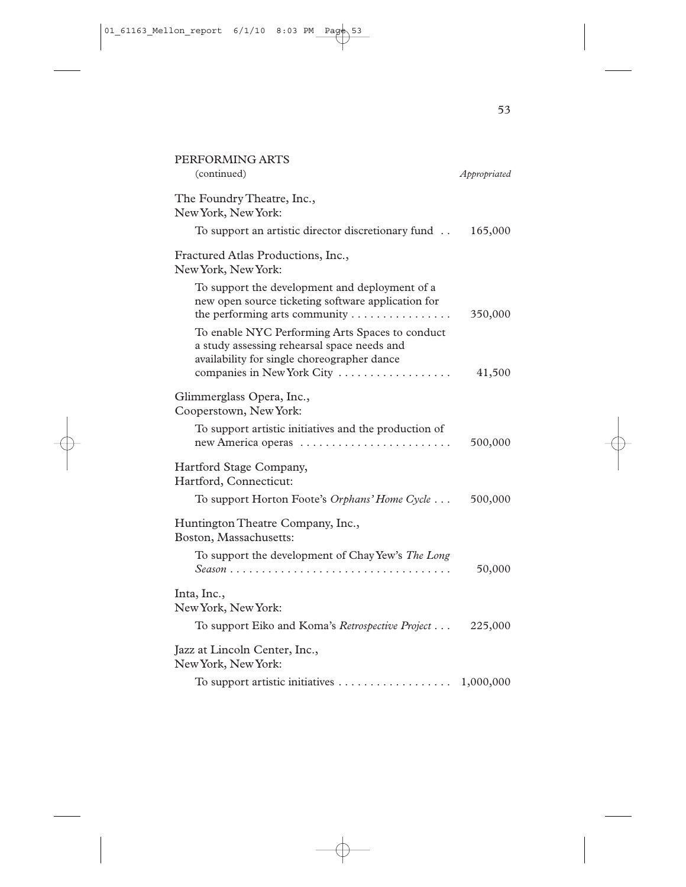| PERFORMING ARTS<br>(continued)                                                                                                                                                                                     | Appropriated |
|--------------------------------------------------------------------------------------------------------------------------------------------------------------------------------------------------------------------|--------------|
| The Foundry Theatre, Inc.,<br>New York, New York:                                                                                                                                                                  |              |
| To support an artistic director discretionary fund                                                                                                                                                                 | 165,000      |
| Fractured Atlas Productions, Inc.,<br>New York, New York:                                                                                                                                                          |              |
| To support the development and deployment of a<br>new open source ticketing software application for<br>the performing arts community $\dots \dots \dots \dots$<br>To enable NYC Performing Arts Spaces to conduct | 350,000      |
| a study assessing rehearsal space needs and<br>availability for single choreographer dance<br>companies in New York City                                                                                           | 41,500       |
| Glimmerglass Opera, Inc.,<br>Cooperstown, New York:                                                                                                                                                                |              |
| To support artistic initiatives and the production of<br>new America operas                                                                                                                                        | 500,000      |
| Hartford Stage Company,<br>Hartford, Connecticut:                                                                                                                                                                  |              |
| To support Horton Foote's Orphans' Home Cycle                                                                                                                                                                      | 500,000      |
| Huntington Theatre Company, Inc.,<br>Boston, Massachusetts:                                                                                                                                                        |              |
| To support the development of Chay Yew's The Long                                                                                                                                                                  | 50,000       |
| Inta, Inc.,<br>New York, New York:                                                                                                                                                                                 |              |
| To support Eiko and Koma's Retrospective Project                                                                                                                                                                   | 225,000      |
| Jazz at Lincoln Center, Inc.,<br>New York, New York:                                                                                                                                                               |              |
| To support artistic initiatives                                                                                                                                                                                    | 1,000,000    |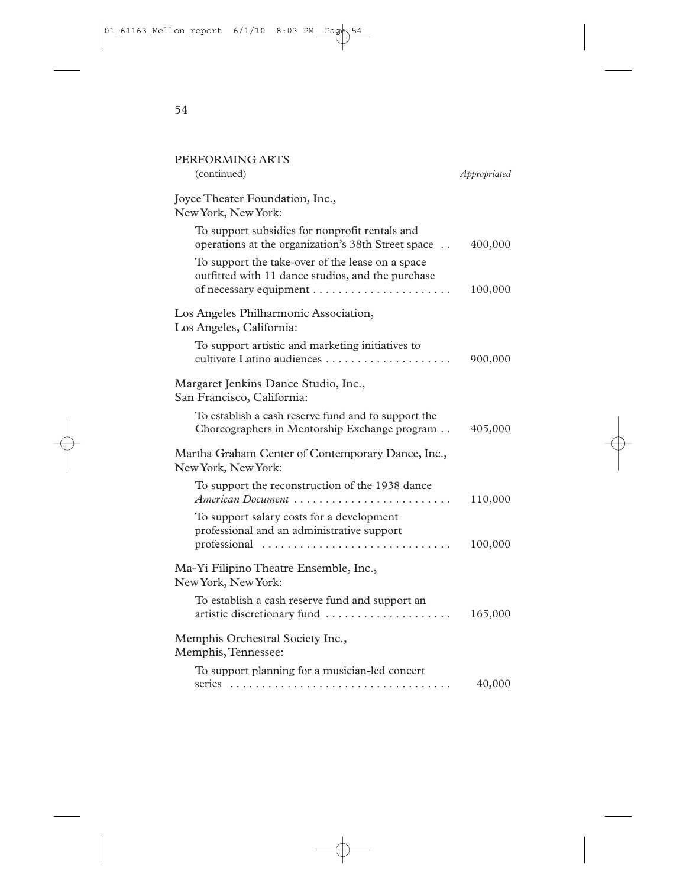| PERFORMING ARTS<br>(continued)                                                                          | Appropriated |
|---------------------------------------------------------------------------------------------------------|--------------|
| Joyce Theater Foundation, Inc.,<br>New York, New York:                                                  |              |
| To support subsidies for nonprofit rentals and<br>operations at the organization's 38th Street space    | 400,000      |
| To support the take-over of the lease on a space<br>outfitted with 11 dance studios, and the purchase   | 100,000      |
| Los Angeles Philharmonic Association,<br>Los Angeles, California:                                       |              |
| To support artistic and marketing initiatives to                                                        | 900,000      |
| Margaret Jenkins Dance Studio, Inc.,<br>San Francisco, California:                                      |              |
| To establish a cash reserve fund and to support the<br>Choreographers in Mentorship Exchange program    | 405,000      |
| Martha Graham Center of Contemporary Dance, Inc.,<br>New York, New York:                                |              |
| To support the reconstruction of the 1938 dance<br>American Document                                    | 110,000      |
| To support salary costs for a development<br>professional and an administrative support<br>professional | 100,000      |
| Ma-Yi Filipino Theatre Ensemble, Inc.,<br>New York, New York:                                           |              |
| To establish a cash reserve fund and support an<br>artistic discretionary fund                          | 165,000      |
| Memphis Orchestral Society Inc.,<br>Memphis, Tennessee:                                                 |              |
| To support planning for a musician-led concert                                                          | 40,000       |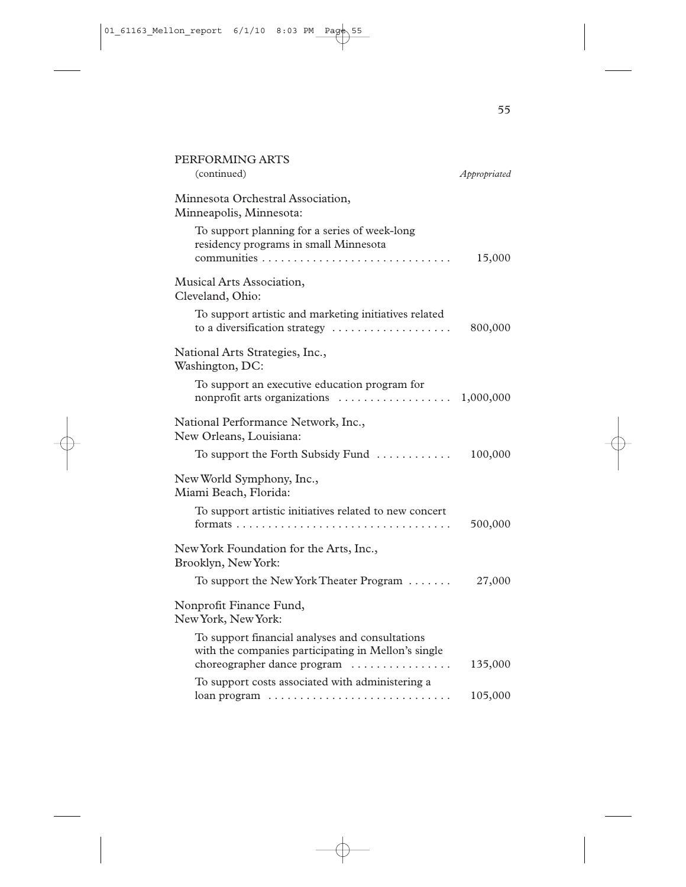| PERFORMING ARTS<br>(continued)                                                                                                        | Appropriated |
|---------------------------------------------------------------------------------------------------------------------------------------|--------------|
| Minnesota Orchestral Association,<br>Minneapolis, Minnesota:                                                                          |              |
| To support planning for a series of week-long<br>residency programs in small Minnesota                                                | 15,000       |
| Musical Arts Association,<br>Cleveland, Ohio:                                                                                         |              |
| To support artistic and marketing initiatives related<br>to a diversification strategy                                                | 800,000      |
| National Arts Strategies, Inc.,<br>Washington, DC:                                                                                    |              |
| To support an executive education program for                                                                                         |              |
| National Performance Network, Inc.,<br>New Orleans, Louisiana:                                                                        |              |
| To support the Forth Subsidy Fund $\dots\dots\dots\dots$                                                                              | 100,000      |
| New World Symphony, Inc.,<br>Miami Beach, Florida:                                                                                    |              |
| To support artistic initiatives related to new concert                                                                                | 500,000      |
| New York Foundation for the Arts, Inc.,<br>Brooklyn, New York:                                                                        |              |
| To support the New York Theater Program                                                                                               | 27,000       |
| Nonprofit Finance Fund,<br>New York, New York:                                                                                        |              |
| To support financial analyses and consultations<br>with the companies participating in Mellon's single<br>choreographer dance program | 135,000      |
| To support costs associated with administering a                                                                                      |              |
| loan program                                                                                                                          | 105,000      |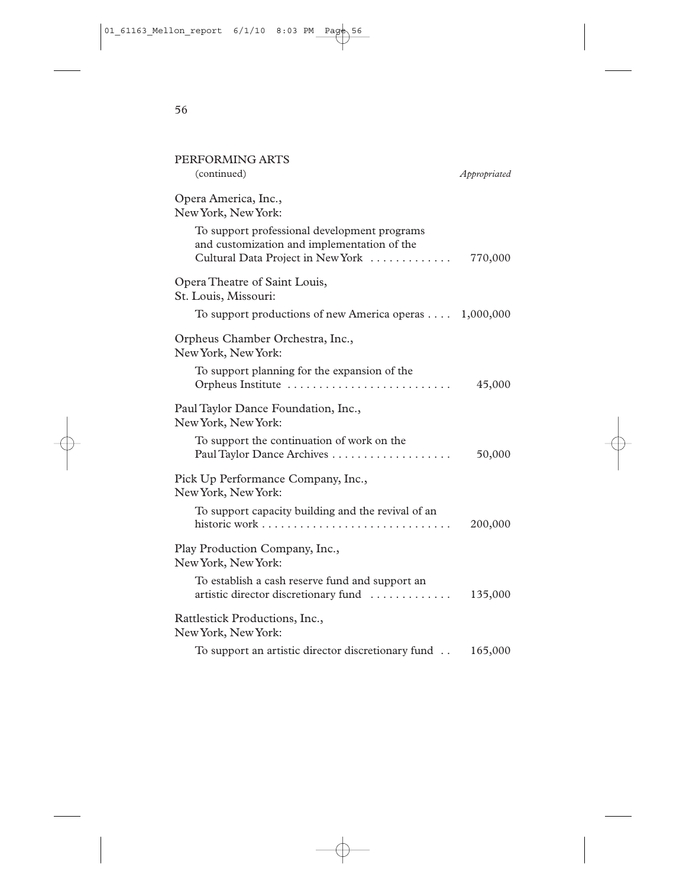| PERFORMING ARTS                                                                                                                  |              |
|----------------------------------------------------------------------------------------------------------------------------------|--------------|
| (continued)                                                                                                                      | Appropriated |
| Opera America, Inc.,<br>New York, New York:                                                                                      |              |
| To support professional development programs<br>and customization and implementation of the<br>Cultural Data Project in New York | 770,000      |
| Opera Theatre of Saint Louis,<br>St. Louis, Missouri:                                                                            |              |
| To support productions of new America operas 1,000,000                                                                           |              |
| Orpheus Chamber Orchestra, Inc.,<br>New York, New York:                                                                          |              |
| To support planning for the expansion of the<br>Orpheus Institute                                                                | 45,000       |
| Paul Taylor Dance Foundation, Inc.,<br>New York, New York:                                                                       |              |
| To support the continuation of work on the                                                                                       | 50,000       |
| Pick Up Performance Company, Inc.,<br>New York, New York:                                                                        |              |
| To support capacity building and the revival of an                                                                               | 200,000      |
| Play Production Company, Inc.,<br>New York, New York:                                                                            |              |
| To establish a cash reserve fund and support an<br>artistic director discretionary fund                                          | 135,000      |
| Rattlestick Productions, Inc.,<br>New York, New York:                                                                            |              |
| To support an artistic director discretionary fund                                                                               | 165,000      |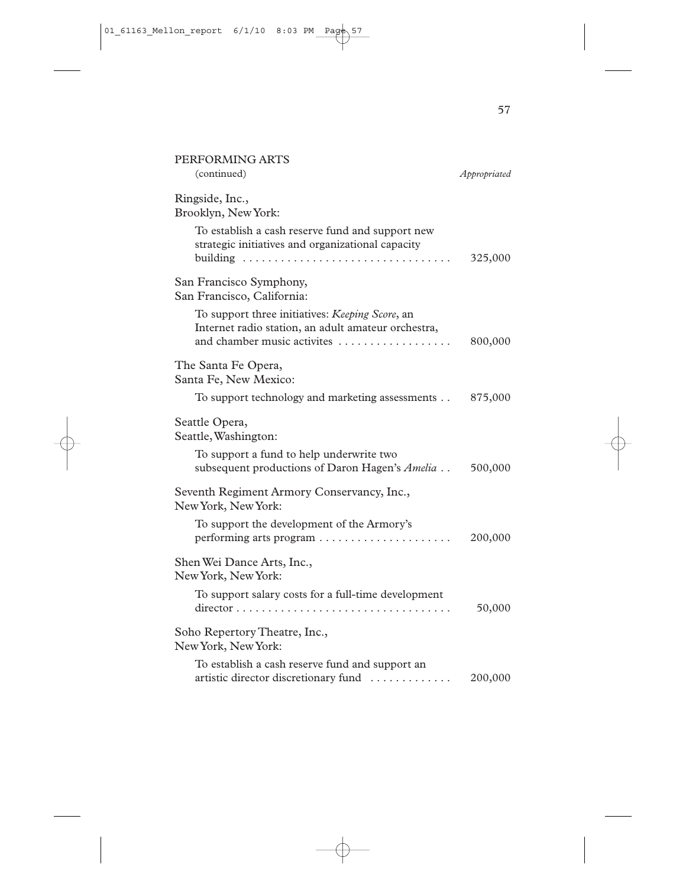| PERFORMING ARTS<br>(continued)                                                                                                        | Appropriated |
|---------------------------------------------------------------------------------------------------------------------------------------|--------------|
| Ringside, Inc.,<br>Brooklyn, New York:                                                                                                |              |
| To establish a cash reserve fund and support new<br>strategic initiatives and organizational capacity                                 | 325,000      |
| San Francisco Symphony,<br>San Francisco, California:                                                                                 |              |
| To support three initiatives: Keeping Score, an<br>Internet radio station, an adult amateur orchestra,<br>and chamber music activites | 800,000      |
| The Santa Fe Opera,<br>Santa Fe, New Mexico:                                                                                          |              |
| To support technology and marketing assessments                                                                                       | 875,000      |
| Seattle Opera,<br>Seattle, Washington:                                                                                                |              |
| To support a fund to help underwrite two<br>subsequent productions of Daron Hagen's Amelia                                            | 500,000      |
| Seventh Regiment Armory Conservancy, Inc.,<br>New York, New York:                                                                     |              |
| To support the development of the Armory's                                                                                            | 200,000      |
| Shen Wei Dance Arts, Inc.,<br>New York, New York:                                                                                     |              |
| To support salary costs for a full-time development                                                                                   | 50,000       |
| Soho Repertory Theatre, Inc.,<br>New York, New York:                                                                                  |              |
| To establish a cash reserve fund and support an<br>artistic director discretionary fund                                               | 200,000      |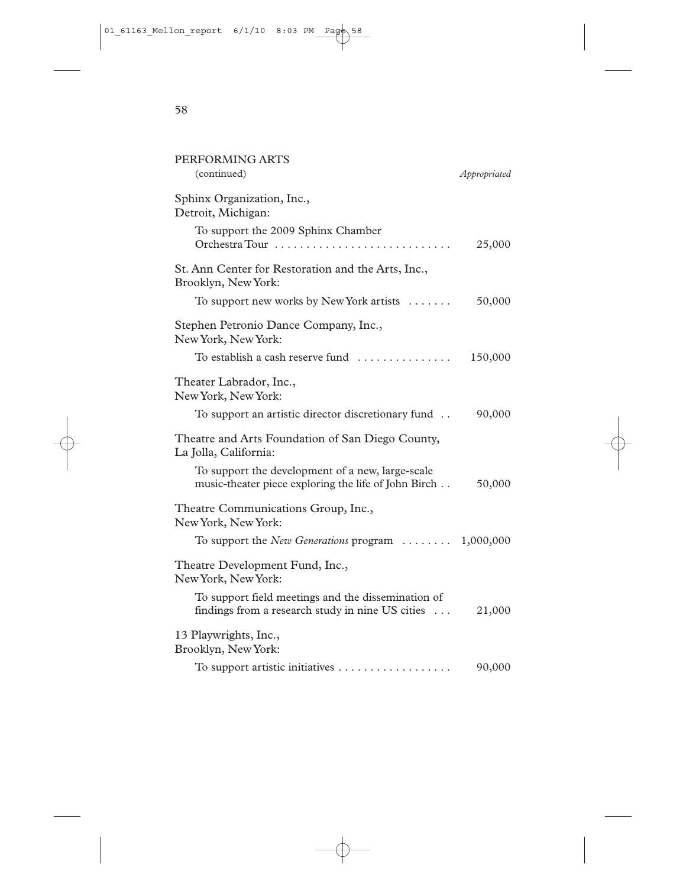| PERFORMING ARTS                                                                                          |              |
|----------------------------------------------------------------------------------------------------------|--------------|
| (continued)                                                                                              | Appropriated |
| Sphinx Organization, Inc.,<br>Detroit, Michigan:                                                         |              |
| To support the 2009 Sphinx Chamber<br>Orchestra Tour                                                     | 25,000       |
| St. Ann Center for Restoration and the Arts, Inc.,<br>Brooklyn, New York:                                |              |
| To support new works by New York artists                                                                 | 50,000       |
| Stephen Petronio Dance Company, Inc.,<br>New York, New York:                                             |              |
|                                                                                                          | 150,000      |
| Theater Labrador, Inc.,<br>New York, New York:                                                           |              |
| To support an artistic director discretionary fund                                                       | 90,000       |
| Theatre and Arts Foundation of San Diego County,<br>La Jolla, California:                                |              |
| To support the development of a new, large-scale<br>music-theater piece exploring the life of John Birch | 50,000       |
| Theatre Communications Group, Inc.,<br>New York, New York:                                               |              |
| To support the <i>New Generations</i> program $\dots \dots \dots 1,000,000$                              |              |
| Theatre Development Fund, Inc.,<br>New York, New York:                                                   |              |
| To support field meetings and the dissemination of<br>findings from a research study in nine US cities   | 21,000       |
| 13 Playwrights, Inc.,<br>Brooklyn, New York:                                                             |              |
| To support artistic initiatives                                                                          | 90,000       |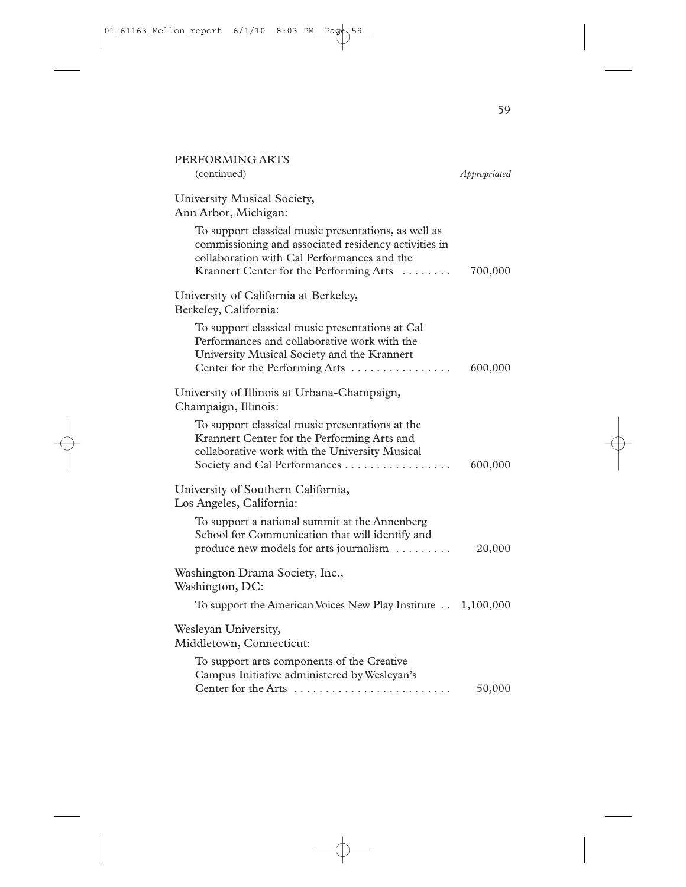| PERFORMING ARTS<br>(continued)                                                                                                                                                                         | Appropriated |
|--------------------------------------------------------------------------------------------------------------------------------------------------------------------------------------------------------|--------------|
| University Musical Society,<br>Ann Arbor, Michigan:                                                                                                                                                    |              |
| To support classical music presentations, as well as<br>commissioning and associated residency activities in<br>collaboration with Cal Performances and the<br>Krannert Center for the Performing Arts | 700,000      |
| University of California at Berkeley,<br>Berkeley, California:                                                                                                                                         |              |
| To support classical music presentations at Cal<br>Performances and collaborative work with the<br>University Musical Society and the Krannert<br>Center for the Performing Arts                       | 600,000      |
| University of Illinois at Urbana-Champaign,<br>Champaign, Illinois:                                                                                                                                    |              |
| To support classical music presentations at the<br>Krannert Center for the Performing Arts and<br>collaborative work with the University Musical<br>Society and Cal Performances                       | 600,000      |
| University of Southern California,<br>Los Angeles, California:                                                                                                                                         |              |
| To support a national summit at the Annenberg<br>School for Communication that will identify and<br>produce new models for arts journalism                                                             | 20,000       |
| Washington Drama Society, Inc.,<br>Washington, DC:                                                                                                                                                     |              |
| To support the American Voices New Play Institute 1,100,000                                                                                                                                            |              |
| Wesleyan University,<br>Middletown, Connecticut:                                                                                                                                                       |              |
| To support arts components of the Creative<br>Campus Initiative administered by Wesleyan's<br>Center for the Arts                                                                                      | 50,000       |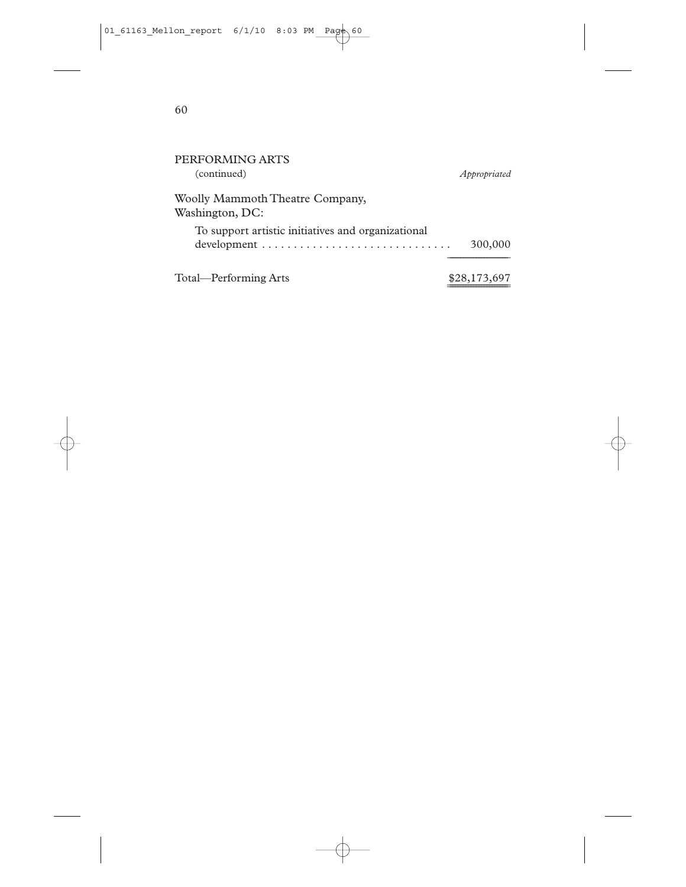| PERFORMING ARTS<br>(continued)                     | Appropriated |
|----------------------------------------------------|--------------|
| Woolly Mammoth Theatre Company,<br>Washington, DC: |              |
| To support artistic initiatives and organizational | 300,000      |
| Total—Performing Arts                              | \$28,173,697 |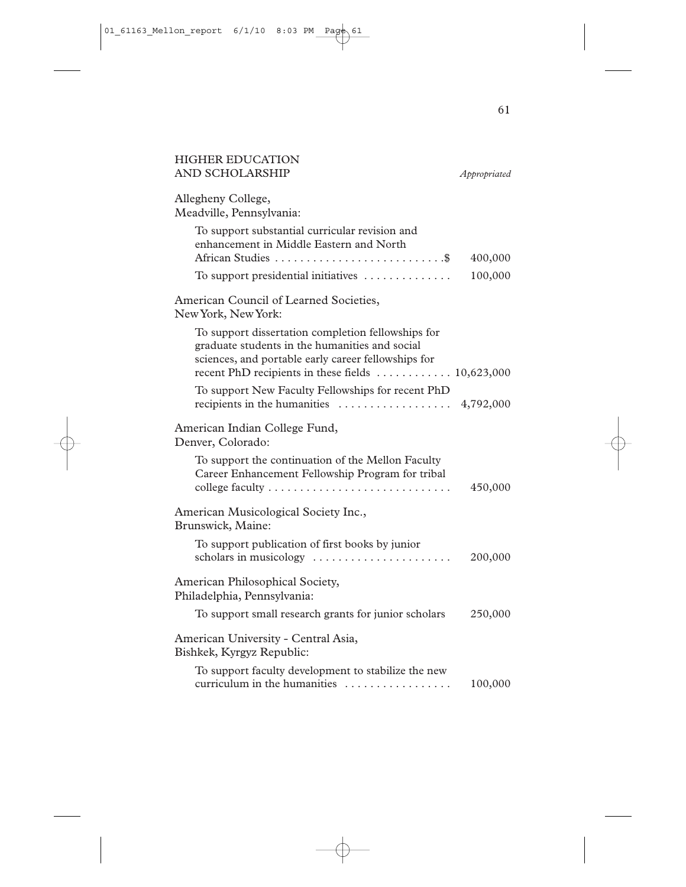| <b>HIGHER EDUCATION</b><br>AND SCHOLARSHIP                                                                                                                                                                       | Appropriated |
|------------------------------------------------------------------------------------------------------------------------------------------------------------------------------------------------------------------|--------------|
| Allegheny College,<br>Meadville, Pennsylvania:                                                                                                                                                                   |              |
| To support substantial curricular revision and<br>enhancement in Middle Eastern and North                                                                                                                        | 400,000      |
| To support presidential initiatives                                                                                                                                                                              | 100,000      |
| American Council of Learned Societies,<br>New York, New York:                                                                                                                                                    |              |
| To support dissertation completion fellowships for<br>graduate students in the humanities and social<br>sciences, and portable early career fellowships for<br>recent PhD recipients in these fields  10,623,000 |              |
| To support New Faculty Fellowships for recent PhD<br>recipients in the humanities                                                                                                                                | 4,792,000    |
| American Indian College Fund,<br>Denver, Colorado:                                                                                                                                                               |              |
| To support the continuation of the Mellon Faculty<br>Career Enhancement Fellowship Program for tribal<br>college faculty                                                                                         | 450,000      |
| American Musicological Society Inc.,<br>Brunswick, Maine:                                                                                                                                                        |              |
| To support publication of first books by junior<br>scholars in musicology                                                                                                                                        | 200,000      |
| American Philosophical Society,<br>Philadelphia, Pennsylvania:                                                                                                                                                   |              |
| To support small research grants for junior scholars                                                                                                                                                             | 250,000      |
| American University - Central Asia,<br>Bishkek, Kyrgyz Republic:                                                                                                                                                 |              |
| To support faculty development to stabilize the new<br>curriculum in the humanities                                                                                                                              | 100,000      |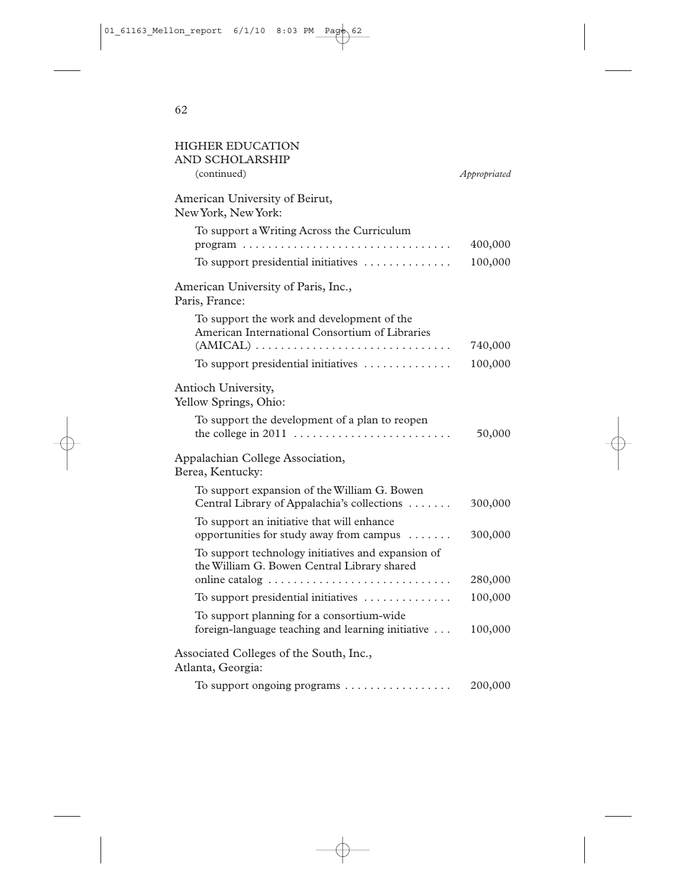| <b>HIGHER EDUCATION</b><br><b>AND SCHOLARSHIP</b>                                                                                                                         |              |
|---------------------------------------------------------------------------------------------------------------------------------------------------------------------------|--------------|
| (continued)                                                                                                                                                               | Appropriated |
| American University of Beirut,<br>New York, New York:                                                                                                                     |              |
| To support a Writing Across the Curriculum                                                                                                                                | 400,000      |
| To support presidential initiatives                                                                                                                                       | 100,000      |
| American University of Paris, Inc.,<br>Paris, France:                                                                                                                     |              |
| To support the work and development of the<br>American International Consortium of Libraries<br>$(AMICAL) \ldots \ldots \ldots \ldots \ldots \ldots \ldots \ldots \ldots$ | 740,000      |
| To support presidential initiatives                                                                                                                                       | 100,000      |
| Antioch University,<br>Yellow Springs, Ohio:<br>To support the development of a plan to reopen<br>the college in 2011                                                     | 50,000       |
| Appalachian College Association,<br>Berea, Kentucky:                                                                                                                      |              |
| To support expansion of the William G. Bowen<br>Central Library of Appalachia's collections                                                                               | 300,000      |
| To support an initiative that will enhance<br>opportunities for study away from campus                                                                                    | 300,000      |
| To support technology initiatives and expansion of<br>the William G. Bowen Central Library shared                                                                         |              |
| online catalog                                                                                                                                                            | 280,000      |
| To support presidential initiatives                                                                                                                                       | 100,000      |
| To support planning for a consortium-wide<br>foreign-language teaching and learning initiative                                                                            | 100,000      |
| Associated Colleges of the South, Inc.,<br>Atlanta, Georgia:                                                                                                              |              |
| To support ongoing programs                                                                                                                                               | 200,000      |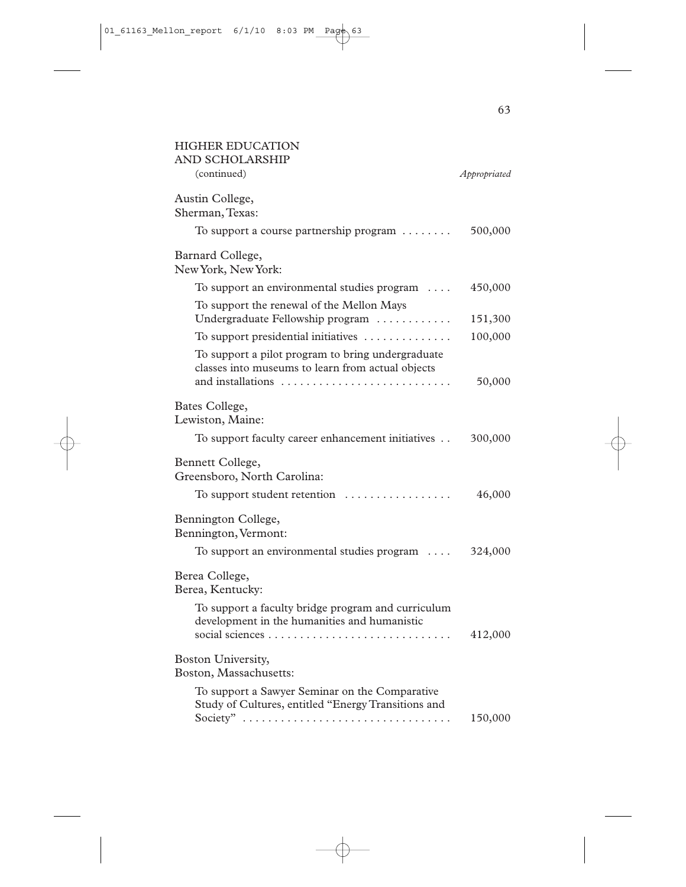| <b>HIGHER EDUCATION</b><br><b>AND SCHOLARSHIP</b>                                                                           |              |
|-----------------------------------------------------------------------------------------------------------------------------|--------------|
| (continued)                                                                                                                 | Appropriated |
| Austin College,<br>Sherman, Texas:<br>To support a course partnership program $\dots\dots$                                  | 500,000      |
| Barnard College,<br>New York, New York:                                                                                     |              |
| To support an environmental studies program $\dots$                                                                         | 450,000      |
| To support the renewal of the Mellon Mays<br>Undergraduate Fellowship program                                               | 151,300      |
| To support presidential initiatives                                                                                         | 100,000      |
| To support a pilot program to bring undergraduate<br>classes into museums to learn from actual objects<br>and installations | 50,000       |
| Bates College,<br>Lewiston, Maine:                                                                                          |              |
| To support faculty career enhancement initiatives                                                                           | 300,000      |
| Bennett College,<br>Greensboro, North Carolina:                                                                             |              |
| To support student retention $\dots\dots\dots\dots\dots$                                                                    | 46,000       |
| Bennington College,<br>Bennington, Vermont:                                                                                 |              |
| To support an environmental studies program $\dots$                                                                         | 324,000      |
| Berea College,<br>Berea, Kentucky:                                                                                          |              |
| To support a faculty bridge program and curriculum<br>development in the humanities and humanistic                          | 412,000      |
| Boston University,<br>Boston, Massachusetts:                                                                                |              |
| To support a Sawyer Seminar on the Comparative<br>Study of Cultures, entitled "Energy Transitions and<br>Society"           | 150,000      |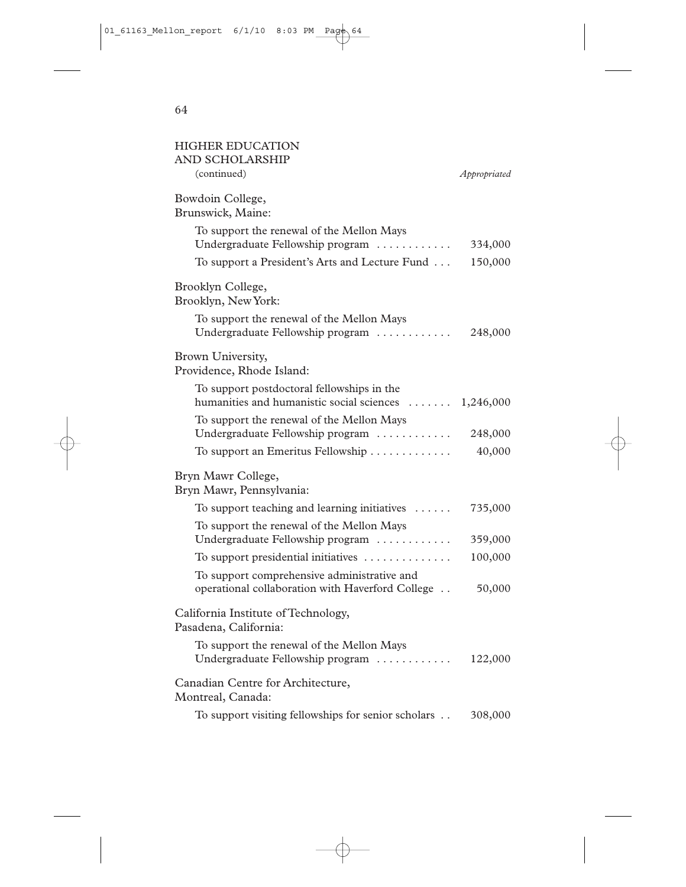| <b>HIGHER EDUCATION</b><br><b>AND SCHOLARSHIP</b>                                               |              |
|-------------------------------------------------------------------------------------------------|--------------|
| (continued)                                                                                     | Appropriated |
| Bowdoin College,<br>Brunswick, Maine:                                                           |              |
| To support the renewal of the Mellon Mays<br>Undergraduate Fellowship program                   | 334,000      |
| To support a President's Arts and Lecture Fund                                                  | 150,000      |
| Brooklyn College,<br>Brooklyn, New York:                                                        |              |
| To support the renewal of the Mellon Mays<br>Undergraduate Fellowship program                   | 248,000      |
| Brown University,<br>Providence, Rhode Island:                                                  |              |
| To support postdoctoral fellowships in the<br>humanities and humanistic social sciences         | 1,246,000    |
| To support the renewal of the Mellon Mays<br>Undergraduate Fellowship program                   | 248,000      |
| To support an Emeritus Fellowship                                                               | 40,000       |
| Bryn Mawr College,<br>Bryn Mawr, Pennsylvania:                                                  |              |
| To support teaching and learning initiatives                                                    | 735,000      |
| To support the renewal of the Mellon Mays<br>Undergraduate Fellowship program                   | 359,000      |
| To support presidential initiatives                                                             | 100,000      |
| To support comprehensive administrative and<br>operational collaboration with Haverford College | 50,000       |
| California Institute of Technology,<br>Pasadena, California:                                    |              |
| To support the renewal of the Mellon Mays<br>Undergraduate Fellowship program                   | 122,000      |
| Canadian Centre for Architecture,<br>Montreal, Canada:                                          |              |
| To support visiting fellowships for senior scholars                                             | 308,000      |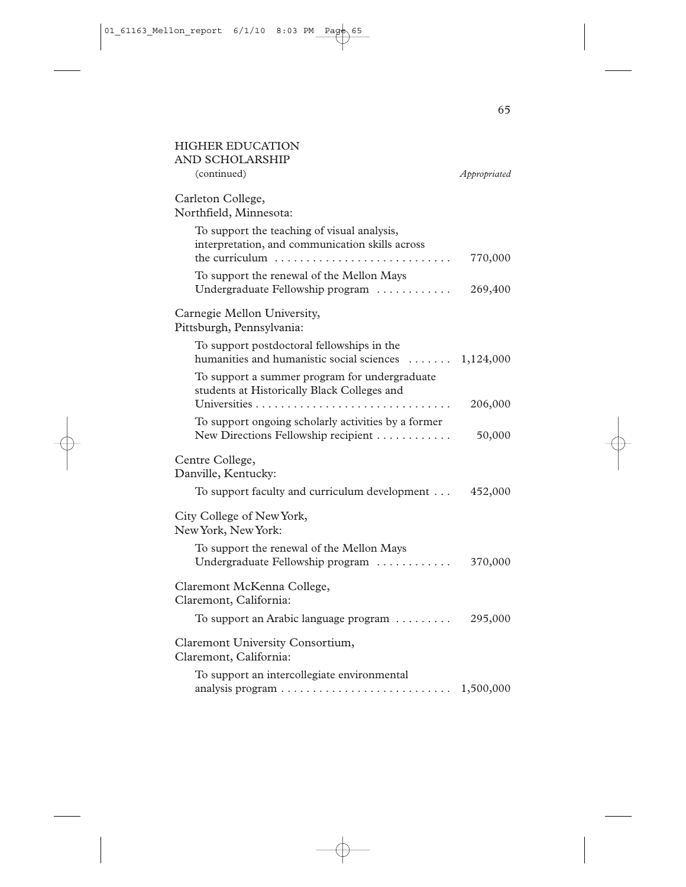| <b>HIGHER EDUCATION</b><br><b>AND SCHOLARSHIP</b>                                                                                          |              |
|--------------------------------------------------------------------------------------------------------------------------------------------|--------------|
| (continued)                                                                                                                                | Appropriated |
| Carleton College,<br>Northfield, Minnesota:                                                                                                |              |
| To support the teaching of visual analysis,<br>interpretation, and communication skills across<br>the curriculum                           | 770,000      |
| To support the renewal of the Mellon Mays<br>Undergraduate Fellowship program                                                              | 269,400      |
| Carnegie Mellon University,<br>Pittsburgh, Pennsylvania:                                                                                   |              |
| To support postdoctoral fellowships in the<br>humanities and humanistic social sciences                                                    | 1,124,000    |
| To support a summer program for undergraduate<br>students at Historically Black Colleges and                                               | 206,000      |
| To support ongoing scholarly activities by a former<br>New Directions Fellowship recipient                                                 | 50,000       |
| Centre College,<br>Danville, Kentucky:                                                                                                     |              |
| To support faculty and curriculum development                                                                                              | 452,000      |
| City College of New York,<br>New York, New York:                                                                                           |              |
| To support the renewal of the Mellon Mays<br>Undergraduate Fellowship program                                                              | 370,000      |
| Claremont McKenna College,<br>Claremont, California:                                                                                       |              |
| To support an Arabic language program                                                                                                      | 295,000      |
| Claremont University Consortium,<br>Claremont, California:                                                                                 |              |
| To support an intercollegiate environmental<br>analysis program $\ldots \ldots \ldots \ldots \ldots \ldots \ldots \ldots \ldots 1,500,000$ |              |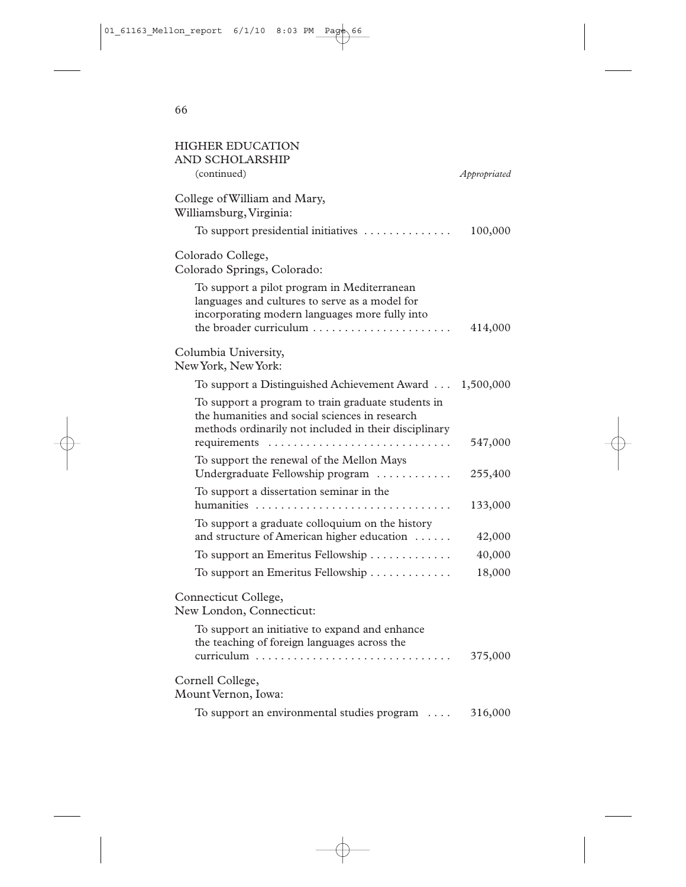| <b>HIGHER EDUCATION</b><br><b>AND SCHOLARSHIP</b><br>(continued)                                                                                                          | Appropriated |
|---------------------------------------------------------------------------------------------------------------------------------------------------------------------------|--------------|
| College of William and Mary,<br>Williamsburg, Virginia:                                                                                                                   |              |
| To support presidential initiatives                                                                                                                                       | 100,000      |
| Colorado College,<br>Colorado Springs, Colorado:                                                                                                                          |              |
| To support a pilot program in Mediterranean<br>languages and cultures to serve as a model for<br>incorporating modern languages more fully into<br>the broader curriculum | 414,000      |
| Columbia University,<br>New York, New York:                                                                                                                               |              |
| To support a Distinguished Achievement Award 1,500,000                                                                                                                    |              |
| To support a program to train graduate students in<br>the humanities and social sciences in research<br>methods ordinarily not included in their disciplinary             | 547,000      |
| To support the renewal of the Mellon Mays<br>Undergraduate Fellowship program                                                                                             | 255,400      |
| To support a dissertation seminar in the<br>humanities                                                                                                                    | 133,000      |
| To support a graduate colloquium on the history<br>and structure of American higher education                                                                             | 42,000       |
| To support an Emeritus Fellowship                                                                                                                                         | 40,000       |
| To support an Emeritus Fellowship                                                                                                                                         | 18,000       |
| Connecticut College,<br>New London, Connecticut:                                                                                                                          |              |
| To support an initiative to expand and enhance<br>the teaching of foreign languages across the                                                                            | 375,000      |
| Cornell College,<br>Mount Vernon, Iowa:                                                                                                                                   |              |
| To support an environmental studies program                                                                                                                               | 316,000      |
|                                                                                                                                                                           |              |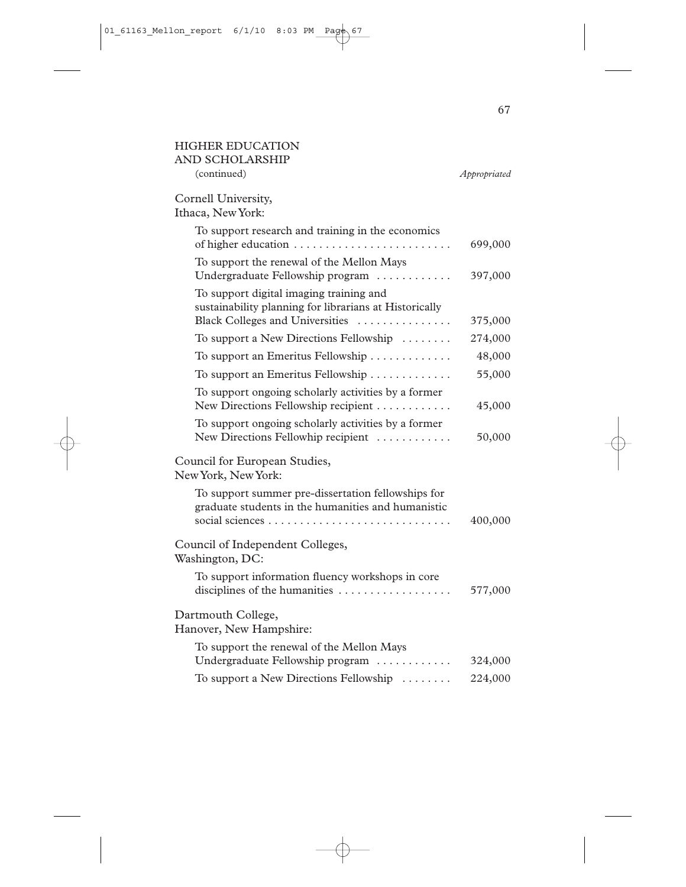| <b>HIGHER EDUCATION</b><br>AND SCHOLARSHIP                                                                                           |              |
|--------------------------------------------------------------------------------------------------------------------------------------|--------------|
| (continued)                                                                                                                          | Appropriated |
| Cornell University,<br>Ithaca, New York:                                                                                             |              |
| To support research and training in the economics                                                                                    | 699,000      |
| To support the renewal of the Mellon Mays<br>Undergraduate Fellowship program                                                        | 397,000      |
| To support digital imaging training and<br>sustainability planning for librarians at Historically<br>Black Colleges and Universities | 375,000      |
| To support a New Directions Fellowship                                                                                               | 274,000      |
| To support an Emeritus Fellowship                                                                                                    | 48,000       |
| To support an Emeritus Fellowship                                                                                                    | 55,000       |
| To support ongoing scholarly activities by a former<br>New Directions Fellowship recipient                                           | 45,000       |
| To support ongoing scholarly activities by a former<br>New Directions Fellowhip recipient                                            | 50,000       |
| Council for European Studies,<br>New York, New York:                                                                                 |              |
| To support summer pre-dissertation fellowships for<br>graduate students in the humanities and humanistic                             | 400,000      |
| Council of Independent Colleges,<br>Washington, DC:                                                                                  |              |
| To support information fluency workshops in core<br>disciplines of the humanities                                                    | 577,000      |
| Dartmouth College,<br>Hanover, New Hampshire:                                                                                        |              |
| To support the renewal of the Mellon Mays<br>Undergraduate Fellowship program                                                        | 324,000      |
| To support a New Directions Fellowship                                                                                               | 224,000      |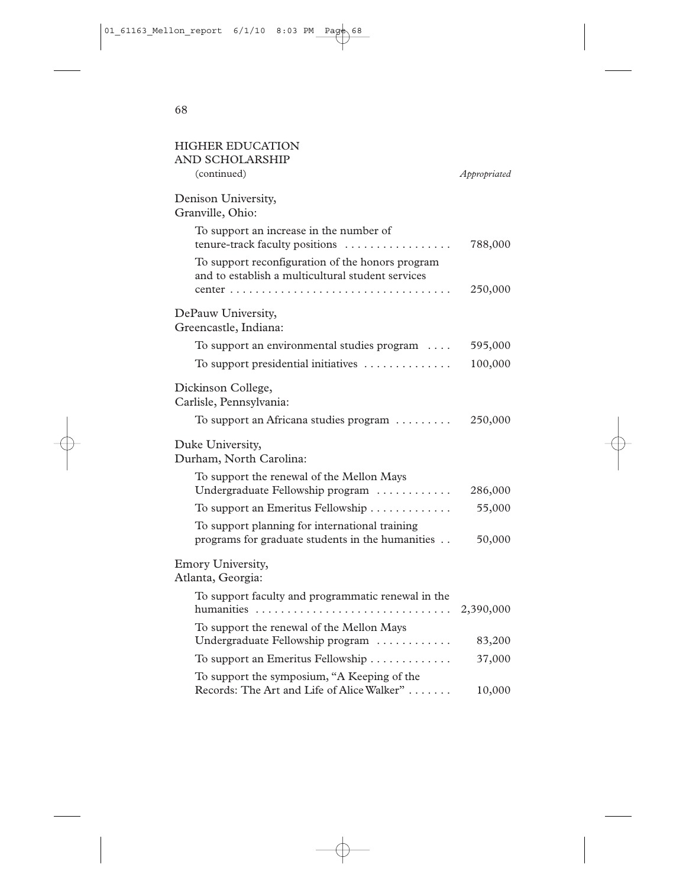| <b>HIGHER EDUCATION</b><br>AND SCHOLARSHIP                                                            |              |
|-------------------------------------------------------------------------------------------------------|--------------|
| (continued)                                                                                           | Appropriated |
| Denison University,<br>Granville, Ohio:                                                               |              |
| To support an increase in the number of<br>tenure-track faculty positions                             | 788,000      |
| To support reconfiguration of the honors program<br>and to establish a multicultural student services |              |
|                                                                                                       | 250,000      |
| DePauw University,<br>Greencastle, Indiana:                                                           |              |
| To support an environmental studies program                                                           | 595,000      |
| To support presidential initiatives                                                                   | 100,000      |
| Dickinson College,<br>Carlisle, Pennsylvania:                                                         |              |
| To support an Africana studies program                                                                | 250,000      |
| Duke University,<br>Durham, North Carolina:                                                           |              |
| To support the renewal of the Mellon Mays<br>Undergraduate Fellowship program                         | 286,000      |
| To support an Emeritus Fellowship                                                                     | 55,000       |
| To support planning for international training<br>programs for graduate students in the humanities    | 50,000       |
| Emory University,<br>Atlanta, Georgia:                                                                |              |
| To support faculty and programmatic renewal in the                                                    | 2,390,000    |
| To support the renewal of the Mellon Mays<br>Undergraduate Fellowship program                         | 83,200       |
| To support an Emeritus Fellowship                                                                     | 37,000       |
| To support the symposium, "A Keeping of the<br>Records: The Art and Life of Alice Walker"             | 10,000       |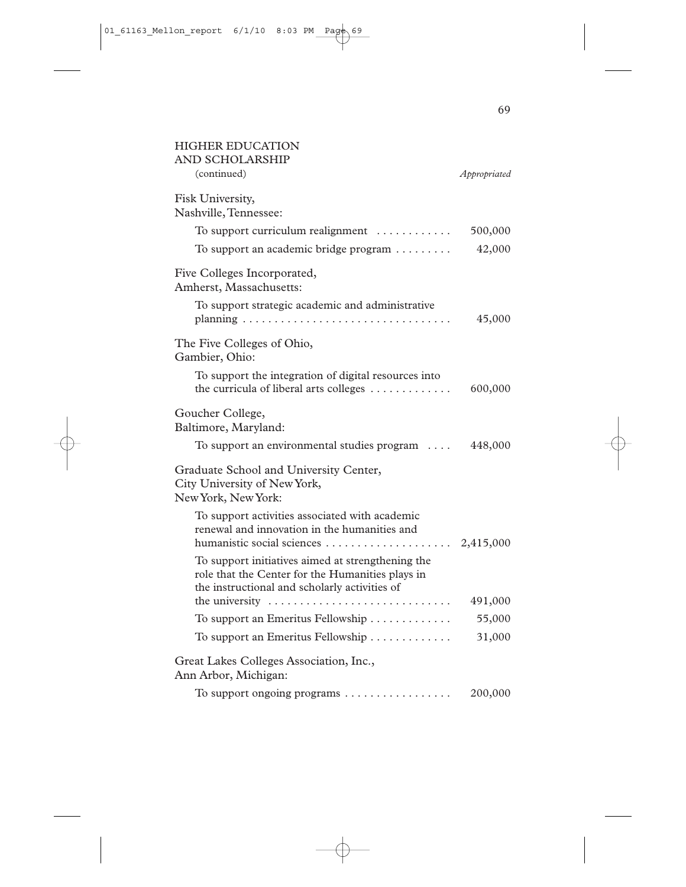| <b>HIGHER EDUCATION</b><br><b>AND SCHOLARSHIP</b>                                                                                                      |              |
|--------------------------------------------------------------------------------------------------------------------------------------------------------|--------------|
| (continued)                                                                                                                                            | Appropriated |
| Fisk University,<br>Nashville, Tennessee:                                                                                                              |              |
| To support curriculum realignment                                                                                                                      | 500,000      |
| To support an academic bridge program                                                                                                                  | 42,000       |
| Five Colleges Incorporated,<br>Amherst, Massachusetts:                                                                                                 |              |
| To support strategic academic and administrative                                                                                                       | 45,000       |
| The Five Colleges of Ohio,<br>Gambier, Ohio:                                                                                                           |              |
| To support the integration of digital resources into<br>the curricula of liberal arts colleges                                                         | 600,000      |
| Goucher College,<br>Baltimore, Maryland:                                                                                                               |              |
| To support an environmental studies program $\dots$                                                                                                    | 448,000      |
| Graduate School and University Center,<br>City University of New York,<br>New York, New York:                                                          |              |
| To support activities associated with academic<br>renewal and innovation in the humanities and                                                         |              |
| To support initiatives aimed at strengthening the<br>role that the Center for the Humanities plays in<br>the instructional and scholarly activities of |              |
| the university                                                                                                                                         | 491,000      |
| To support an Emeritus Fellowship                                                                                                                      | 55,000       |
| To support an Emeritus Fellowship                                                                                                                      | 31,000       |
| Great Lakes Colleges Association, Inc.,<br>Ann Arbor, Michigan:                                                                                        |              |
| To support ongoing programs                                                                                                                            | 200,000      |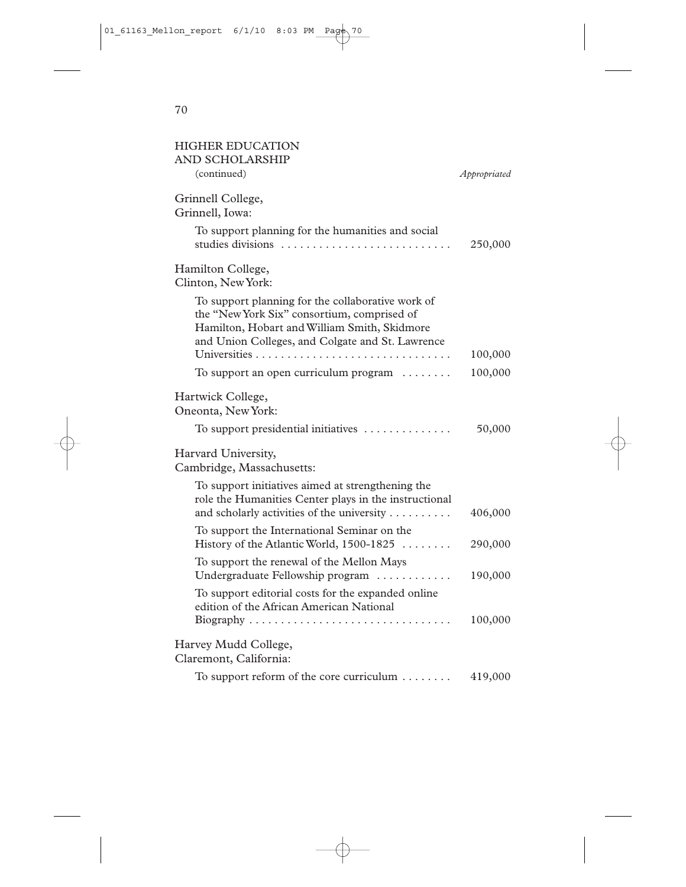| <b>HIGHER EDUCATION</b><br><b>AND SCHOLARSHIP</b>                                                                                                                                                    |              |
|------------------------------------------------------------------------------------------------------------------------------------------------------------------------------------------------------|--------------|
| (continued)                                                                                                                                                                                          | Appropriated |
| Grinnell College,<br>Grinnell, Iowa:                                                                                                                                                                 |              |
| To support planning for the humanities and social<br>studies divisions                                                                                                                               | 250,000      |
| Hamilton College,<br>Clinton, New York:                                                                                                                                                              |              |
| To support planning for the collaborative work of<br>the "New York Six" consortium, comprised of<br>Hamilton, Hobart and William Smith, Skidmore<br>and Union Colleges, and Colgate and St. Lawrence |              |
|                                                                                                                                                                                                      | 100,000      |
| To support an open curriculum program                                                                                                                                                                | 100,000      |
| Hartwick College,<br>Oneonta, New York:                                                                                                                                                              |              |
| To support presidential initiatives $\dots\dots\dots\dots\dots$                                                                                                                                      | 50,000       |
| Harvard University,<br>Cambridge, Massachusetts:                                                                                                                                                     |              |
| To support initiatives aimed at strengthening the<br>role the Humanities Center plays in the instructional<br>and scholarly activities of the university                                             | 406,000      |
| To support the International Seminar on the<br>History of the Atlantic World, 1500-1825                                                                                                              | 290,000      |
| To support the renewal of the Mellon Mays<br>Undergraduate Fellowship program                                                                                                                        | 190,000      |
| To support editorial costs for the expanded online<br>edition of the African American National                                                                                                       | 100,000      |
| Harvey Mudd College,<br>Claremont, California:                                                                                                                                                       |              |
| To support reform of the core curriculum                                                                                                                                                             | 419,000      |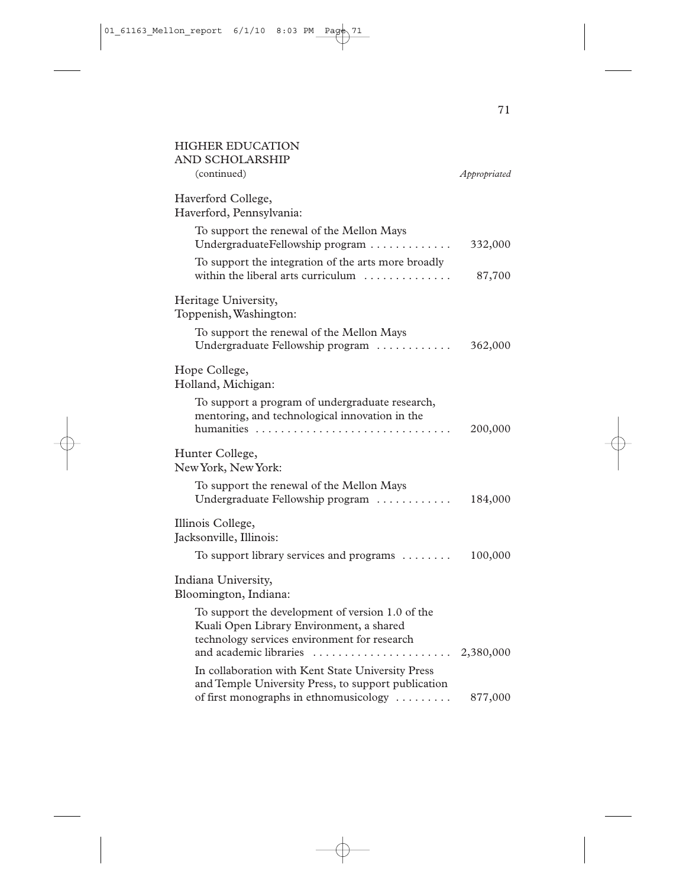| <b>HIGHER EDUCATION</b><br>AND SCHOLARSHIP                                                                                                   |              |
|----------------------------------------------------------------------------------------------------------------------------------------------|--------------|
| (continued)                                                                                                                                  | Appropriated |
| Haverford College,<br>Haverford, Pennsylvania:                                                                                               |              |
| To support the renewal of the Mellon Mays<br>UndergraduateFellowship program                                                                 | 332,000      |
| To support the integration of the arts more broadly<br>within the liberal arts curriculum $\dots\dots\dots\dots$                             | 87,700       |
| Heritage University,<br>Toppenish, Washington:                                                                                               |              |
| To support the renewal of the Mellon Mays<br>Undergraduate Fellowship program                                                                | 362,000      |
| Hope College,<br>Holland, Michigan:                                                                                                          |              |
| To support a program of undergraduate research,<br>mentoring, and technological innovation in the                                            | 200,000      |
| Hunter College,<br>New York, New York:                                                                                                       |              |
| To support the renewal of the Mellon Mays<br>Undergraduate Fellowship program                                                                | 184,000      |
| Illinois College,<br>Jacksonville, Illinois:                                                                                                 |              |
| To support library services and programs                                                                                                     | 100,000      |
| Indiana University,<br>Bloomington, Indiana:                                                                                                 |              |
| To support the development of version 1.0 of the<br>Kuali Open Library Environment, a shared<br>technology services environment for research |              |
| and academic libraries<br>In collaboration with Kent State University Press                                                                  | 2,380,000    |
| and Temple University Press, to support publication<br>of first monographs in ethnomusicology                                                | 877,000      |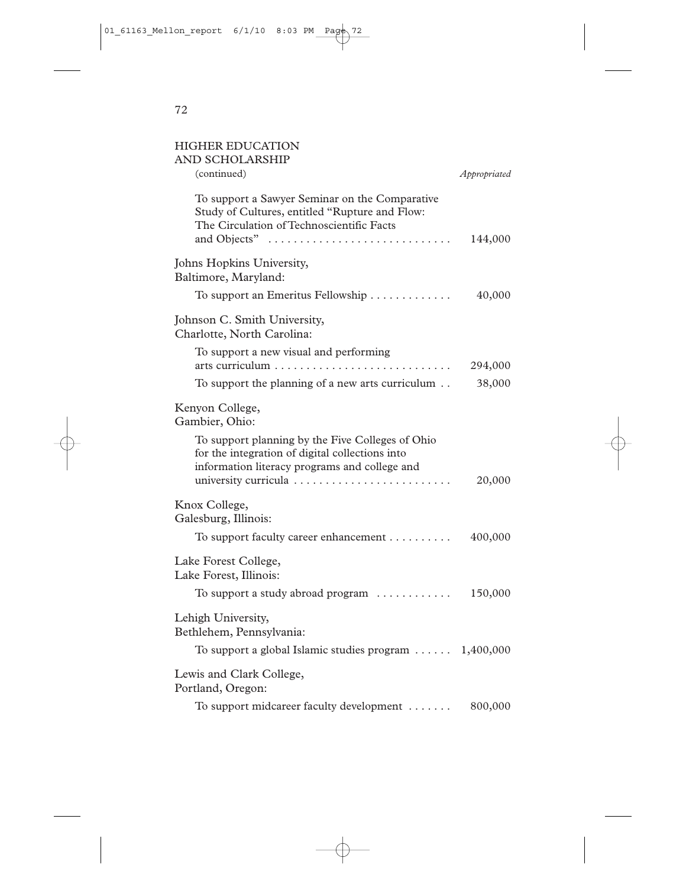| <b>HIGHER EDUCATION</b>                                                                                                                              |              |
|------------------------------------------------------------------------------------------------------------------------------------------------------|--------------|
| <b>AND SCHOLARSHIP</b><br>(continued)                                                                                                                | Appropriated |
| To support a Sawyer Seminar on the Comparative<br>Study of Cultures, entitled "Rupture and Flow:<br>The Circulation of Technoscientific Facts        |              |
| and Objects"                                                                                                                                         | 144,000      |
| Johns Hopkins University,<br>Baltimore, Maryland:                                                                                                    |              |
| To support an Emeritus Fellowship                                                                                                                    | 40,000       |
| Johnson C. Smith University,<br>Charlotte, North Carolina:                                                                                           |              |
| To support a new visual and performing                                                                                                               | 294,000      |
| To support the planning of a new arts curriculum                                                                                                     | 38,000       |
| Kenyon College,<br>Gambier, Ohio:                                                                                                                    |              |
| To support planning by the Five Colleges of Ohio<br>for the integration of digital collections into<br>information literacy programs and college and |              |
|                                                                                                                                                      | 20,000       |
| Knox College,<br>Galesburg, Illinois:                                                                                                                |              |
| To support faculty career enhancement                                                                                                                | 400,000      |
| Lake Forest College,<br>Lake Forest, Illinois:                                                                                                       |              |
| To support a study abroad program                                                                                                                    | 150,000      |

Lehigh University, Bethlehem, Pennsylvania:

To support a global Islamic studies program . . . . . . 1,400,000 Lewis and Clark College, Portland, Oregon:

To support midcareer faculty development . . . . . . . 800,000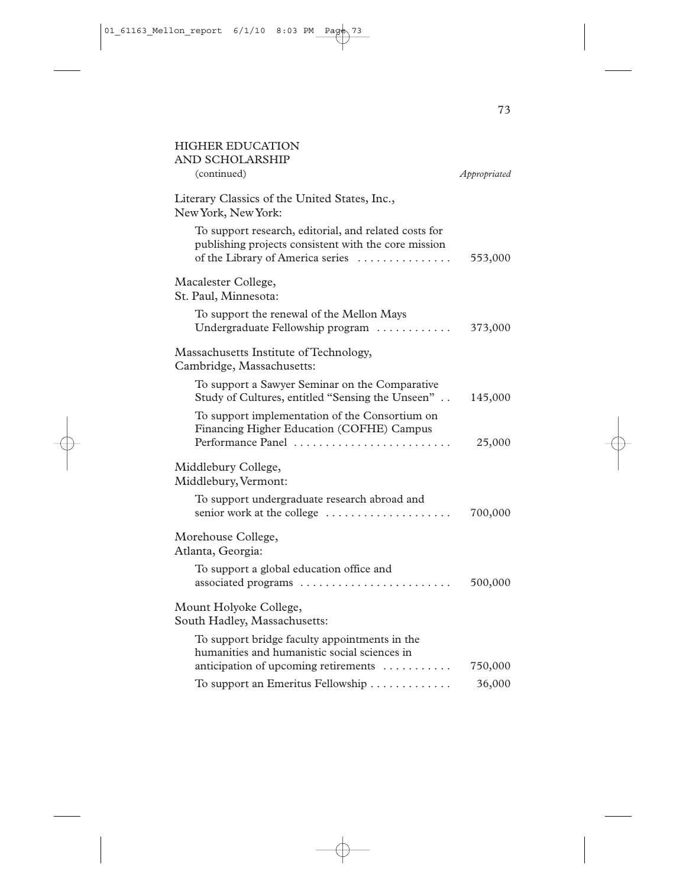| <b>HIGHER EDUCATION</b><br>AND SCHOLARSHIP                                                                                                        |                   |
|---------------------------------------------------------------------------------------------------------------------------------------------------|-------------------|
| (continued)                                                                                                                                       | Appropriated      |
| Literary Classics of the United States, Inc.,<br>New York, New York:                                                                              |                   |
| To support research, editorial, and related costs for<br>publishing projects consistent with the core mission<br>of the Library of America series | 553,000           |
| Macalester College,<br>St. Paul, Minnesota:                                                                                                       |                   |
| To support the renewal of the Mellon Mays<br>Undergraduate Fellowship program                                                                     | 373,000           |
| Massachusetts Institute of Technology,<br>Cambridge, Massachusetts:                                                                               |                   |
| To support a Sawyer Seminar on the Comparative<br>Study of Cultures, entitled "Sensing the Unseen"                                                | 145,000           |
| To support implementation of the Consortium on<br>Financing Higher Education (COFHE) Campus<br>Performance Panel                                  | 25,000            |
| Middlebury College,<br>Middlebury, Vermont:                                                                                                       |                   |
| To support undergraduate research abroad and<br>senior work at the college                                                                        | 700,000           |
| Morehouse College,<br>Atlanta, Georgia:                                                                                                           |                   |
| To support a global education office and<br>associated programs                                                                                   | 500,000           |
| Mount Holyoke College,<br>South Hadley, Massachusetts:                                                                                            |                   |
| To support bridge faculty appointments in the<br>humanities and humanistic social sciences in                                                     |                   |
| anticipation of upcoming retirements<br>To support an Emeritus Fellowship                                                                         | 750,000<br>36,000 |
|                                                                                                                                                   |                   |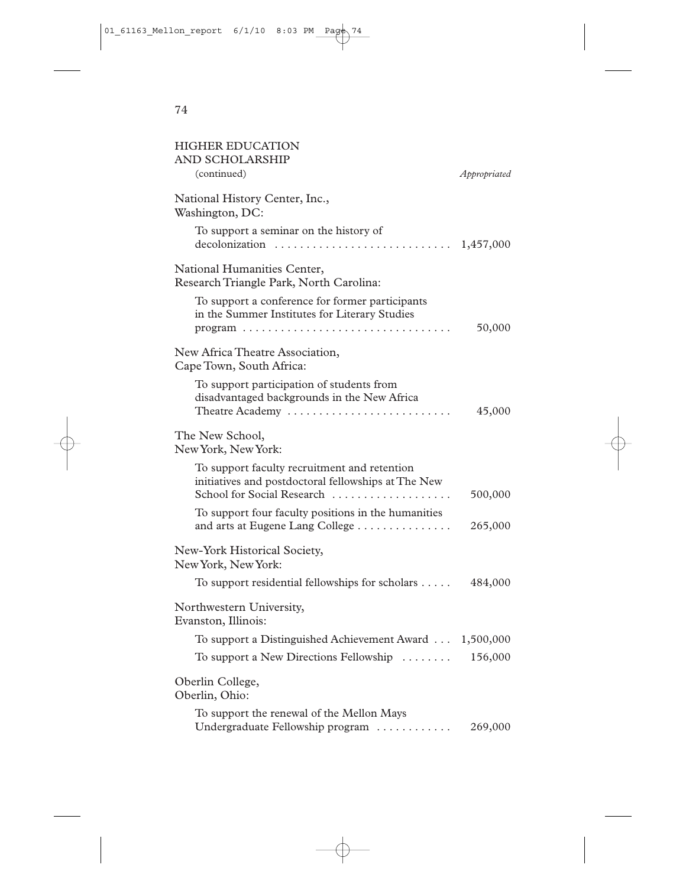| <b>HIGHER EDUCATION</b><br><b>AND SCHOLARSHIP</b><br>(continued)                                                                                                             | Appropriated |
|------------------------------------------------------------------------------------------------------------------------------------------------------------------------------|--------------|
| National History Center, Inc.,<br>Washington, DC:                                                                                                                            |              |
| To support a seminar on the history of<br>decolonization $\ldots \ldots \ldots \ldots \ldots \ldots \ldots \ldots \ldots 1,457,000$                                          |              |
| National Humanities Center,<br>Research Triangle Park, North Carolina:                                                                                                       |              |
| To support a conference for former participants<br>in the Summer Institutes for Literary Studies<br>$program \ldots \ldots \ldots \ldots \ldots \ldots \ldots \ldots \ldots$ | 50,000       |
| New Africa Theatre Association,<br>Cape Town, South Africa:                                                                                                                  |              |
| To support participation of students from<br>disadvantaged backgrounds in the New Africa<br>Theatre Academy                                                                  | 45,000       |
| The New School,<br>New York, New York:                                                                                                                                       |              |
| To support faculty recruitment and retention<br>initiatives and postdoctoral fellowships at The New<br>School for Social Research                                            | 500,000      |
| To support four faculty positions in the humanities<br>and arts at Eugene Lang College                                                                                       | 265,000      |
| New-York Historical Society,<br>New York, New York:                                                                                                                          |              |
| To support residential fellowships for scholars $\dots$ .                                                                                                                    | 484,000      |
| Northwestern University,<br>Evanston, Illinois:                                                                                                                              |              |
| To support a Distinguished Achievement Award  1,500,000                                                                                                                      |              |
| To support a New Directions Fellowship $\dots\dots$                                                                                                                          | 156,000      |
| Oberlin College,<br>Oberlin, Ohio:                                                                                                                                           |              |
| To support the renewal of the Mellon Mays<br>Undergraduate Fellowship program                                                                                                | 269,000      |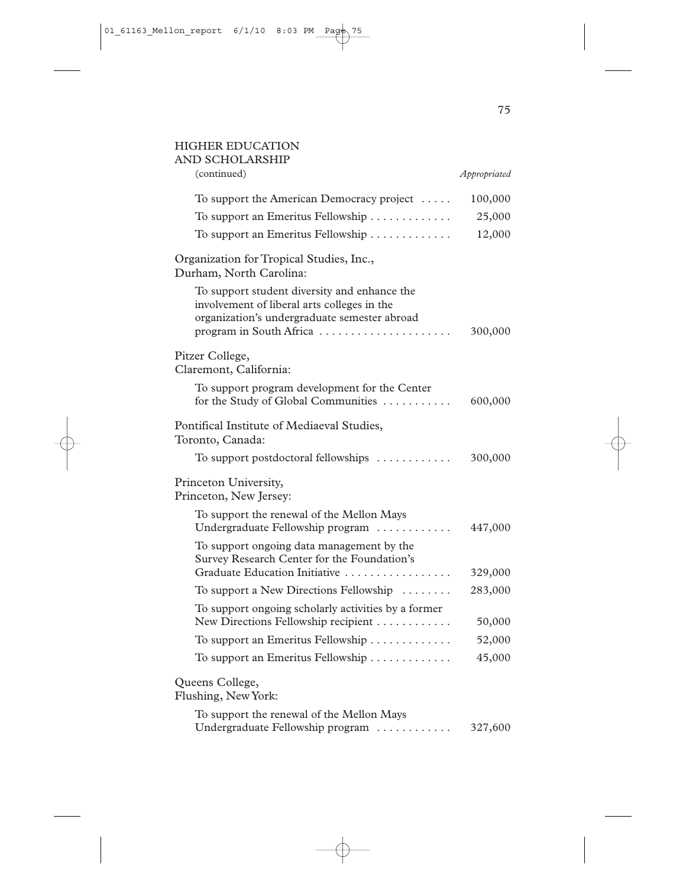## HIGHER EDUCATION

| AND SCHOLARSHIP                                                                                                                                                        |                    |
|------------------------------------------------------------------------------------------------------------------------------------------------------------------------|--------------------|
| (continued)                                                                                                                                                            | Appropriated       |
| To support the American Democracy project                                                                                                                              | 100,000            |
| To support an Emeritus Fellowship                                                                                                                                      | 25,000             |
| To support an Emeritus Fellowship                                                                                                                                      | 12,000             |
| Organization for Tropical Studies, Inc.,<br>Durham, North Carolina:                                                                                                    |                    |
| To support student diversity and enhance the<br>involvement of liberal arts colleges in the<br>organization's undergraduate semester abroad<br>program in South Africa | 300,000            |
| Pitzer College,<br>Claremont, California:                                                                                                                              |                    |
| To support program development for the Center<br>for the Study of Global Communities                                                                                   | 600,000            |
| Pontifical Institute of Mediaeval Studies,<br>Toronto, Canada:                                                                                                         |                    |
| To support postdoctoral fellowships                                                                                                                                    | 300,000            |
| Princeton University,<br>Princeton, New Jersey:                                                                                                                        |                    |
| To support the renewal of the Mellon Mays<br>Undergraduate Fellowship program                                                                                          | 447,000            |
| To support ongoing data management by the<br>Survey Research Center for the Foundation's                                                                               |                    |
| Graduate Education Initiative                                                                                                                                          | 329,000<br>283,000 |
| To support a New Directions Fellowship                                                                                                                                 |                    |
| To support ongoing scholarly activities by a former<br>New Directions Fellowship recipient                                                                             | 50,000             |
| To support an Emeritus Fellowship                                                                                                                                      | 52,000             |
| To support an Emeritus Fellowship                                                                                                                                      | 45,000             |
| Queens College,<br>Flushing, New York:                                                                                                                                 |                    |
| To support the renewal of the Mellon Mays<br>Undergraduate Fellowship program                                                                                          | 327,600            |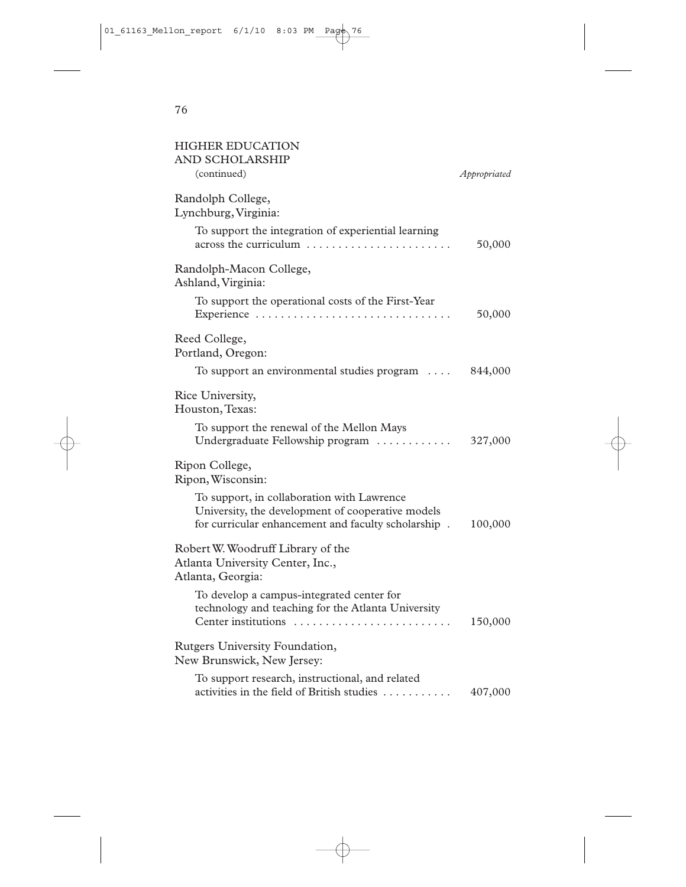| <b>HIGHER EDUCATION</b><br>AND SCHOLARSHIP<br>(continued)                                                                                              | Appropriated |
|--------------------------------------------------------------------------------------------------------------------------------------------------------|--------------|
| Randolph College,<br>Lynchburg, Virginia:                                                                                                              |              |
| To support the integration of experiential learning<br>across the curriculum                                                                           | 50,000       |
| Randolph-Macon College,<br>Ashland, Virginia:                                                                                                          |              |
| To support the operational costs of the First-Year                                                                                                     | 50,000       |
| Reed College,<br>Portland, Oregon:                                                                                                                     |              |
| To support an environmental studies program                                                                                                            | 844,000      |
| Rice University,<br>Houston, Texas:                                                                                                                    |              |
| To support the renewal of the Mellon Mays<br>Undergraduate Fellowship program                                                                          | 327,000      |
| Ripon College,<br>Ripon, Wisconsin:                                                                                                                    |              |
| To support, in collaboration with Lawrence<br>University, the development of cooperative models<br>for curricular enhancement and faculty scholarship. | 100,000      |
| Robert W. Woodruff Library of the<br>Atlanta University Center, Inc.,<br>Atlanta, Georgia:                                                             |              |
| To develop a campus-integrated center for<br>technology and teaching for the Atlanta University                                                        | 150,000      |
| Rutgers University Foundation,<br>New Brunswick, New Jersey:                                                                                           |              |
| To support research, instructional, and related<br>activities in the field of British studies                                                          | 407,000      |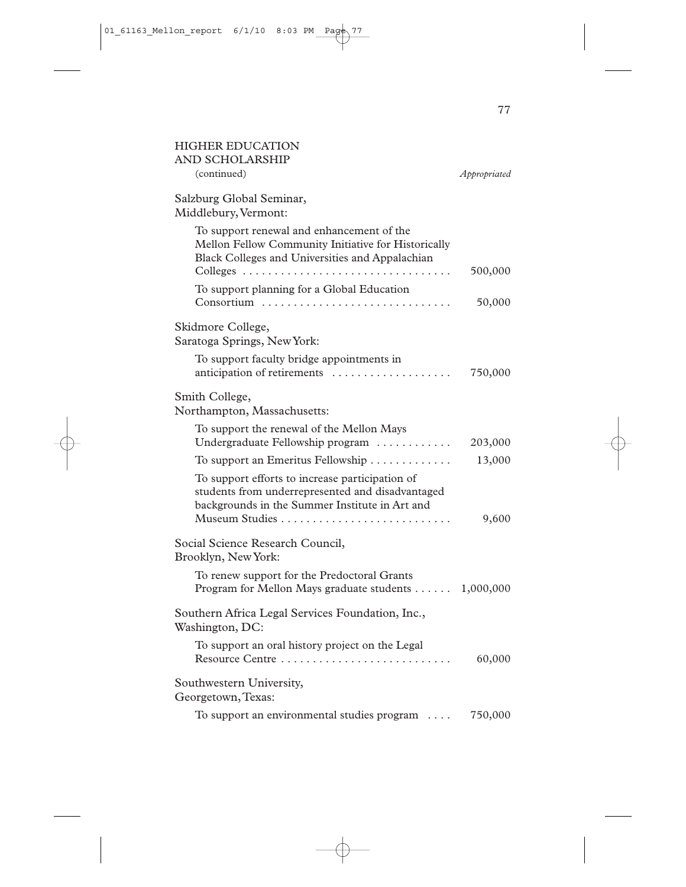| <b>HIGHER EDUCATION</b><br>AND SCHOLARSHIP                                                                                                                              |              |
|-------------------------------------------------------------------------------------------------------------------------------------------------------------------------|--------------|
| (continued)                                                                                                                                                             | Appropriated |
| Salzburg Global Seminar,<br>Middlebury, Vermont:                                                                                                                        |              |
| To support renewal and enhancement of the<br>Mellon Fellow Community Initiative for Historically<br>Black Colleges and Universities and Appalachian                     | 500,000      |
| To support planning for a Global Education<br>Consortium                                                                                                                | 50,000       |
| Skidmore College,<br>Saratoga Springs, New York:                                                                                                                        |              |
| To support faculty bridge appointments in<br>anticipation of retirements                                                                                                | 750,000      |
| Smith College,<br>Northampton, Massachusetts:                                                                                                                           |              |
| To support the renewal of the Mellon Mays<br>Undergraduate Fellowship program                                                                                           | 203,000      |
| To support an Emeritus Fellowship                                                                                                                                       | 13,000       |
| To support efforts to increase participation of<br>students from underrepresented and disadvantaged<br>backgrounds in the Summer Institute in Art and<br>Museum Studies | 9,600        |
| Social Science Research Council,<br>Brooklyn, New York:                                                                                                                 |              |
| To renew support for the Predoctoral Grants<br>Program for Mellon Mays graduate students 1,000,000                                                                      |              |
| Southern Africa Legal Services Foundation, Inc.,<br>Washington, DC:                                                                                                     |              |
| To support an oral history project on the Legal<br>Resource Centre                                                                                                      | 60,000       |
| Southwestern University,<br>Georgetown, Texas:                                                                                                                          |              |
| To support an environmental studies program                                                                                                                             | 750,000      |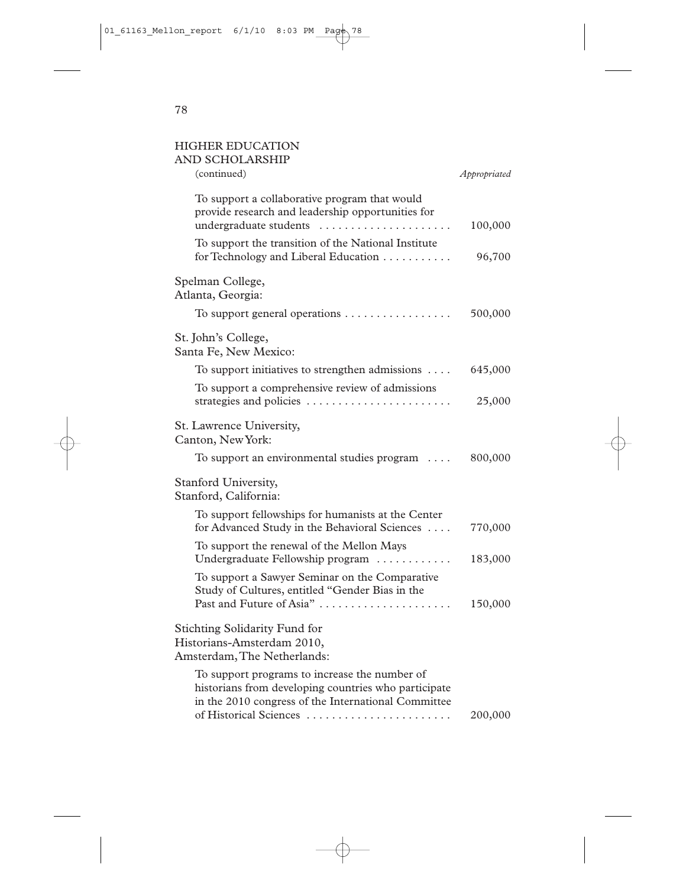#### HIGHER EDUCATION AND SCHOLARS

| AND SCHOLARSHIP<br>(continued)                                                                                                                                                         | Appropriated |
|----------------------------------------------------------------------------------------------------------------------------------------------------------------------------------------|--------------|
| To support a collaborative program that would<br>provide research and leadership opportunities for                                                                                     |              |
| undergraduate students                                                                                                                                                                 | 100,000      |
| To support the transition of the National Institute<br>for Technology and Liberal Education                                                                                            | 96,700       |
| Spelman College,<br>Atlanta, Georgia:                                                                                                                                                  |              |
| To support general operations $\dots\dots\dots\dots\dots\dots$                                                                                                                         | 500,000      |
| St. John's College,<br>Santa Fe, New Mexico:                                                                                                                                           |              |
| To support initiatives to strengthen admissions                                                                                                                                        | 645,000      |
| To support a comprehensive review of admissions<br>strategies and policies                                                                                                             | 25,000       |
| St. Lawrence University,<br>Canton, New York:                                                                                                                                          |              |
| To support an environmental studies program                                                                                                                                            | 800,000      |
| Stanford University,<br>Stanford, California:                                                                                                                                          |              |
| To support fellowships for humanists at the Center<br>for Advanced Study in the Behavioral Sciences                                                                                    | 770,000      |
| To support the renewal of the Mellon Mays<br>Undergraduate Fellowship program                                                                                                          | 183,000      |
| To support a Sawyer Seminar on the Comparative<br>Study of Cultures, entitled "Gender Bias in the<br>Past and Future of Asia"                                                          | 150,000      |
| Stichting Solidarity Fund for<br>Historians-Amsterdam 2010,<br>Amsterdam, The Netherlands:                                                                                             |              |
| To support programs to increase the number of<br>historians from developing countries who participate<br>in the 2010 congress of the International Committee<br>of Historical Sciences | 200,000      |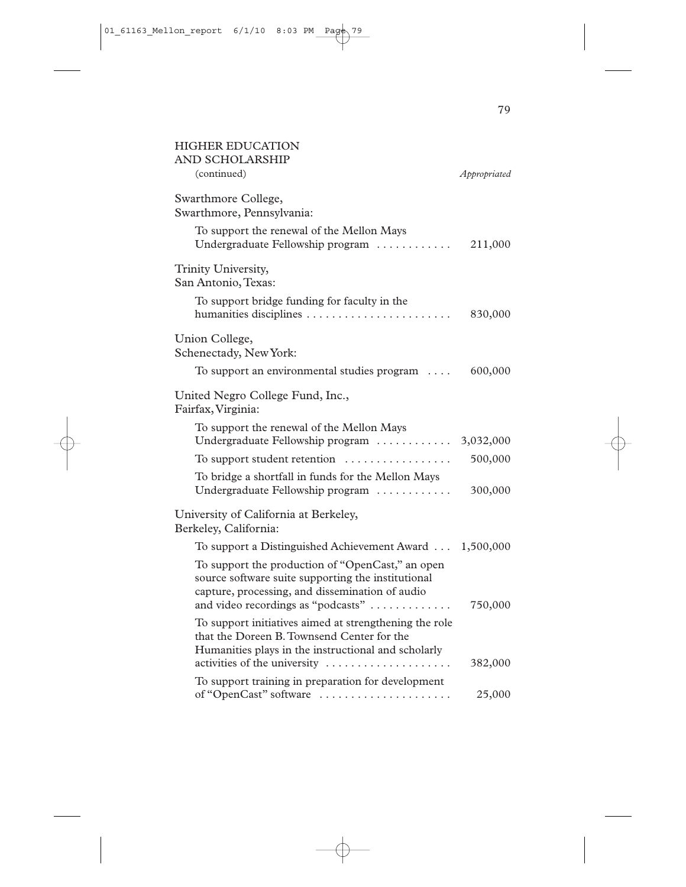| <b>HIGHER EDUCATION</b><br>AND SCHOLARSHIP                                                                                                                                                      |              |
|-------------------------------------------------------------------------------------------------------------------------------------------------------------------------------------------------|--------------|
| (continued)                                                                                                                                                                                     | Appropriated |
| Swarthmore College,<br>Swarthmore, Pennsylvania:                                                                                                                                                |              |
| To support the renewal of the Mellon Mays<br>Undergraduate Fellowship program                                                                                                                   | 211,000      |
| Trinity University,<br>San Antonio, Texas:                                                                                                                                                      |              |
| To support bridge funding for faculty in the                                                                                                                                                    | 830,000      |
| Union College,<br>Schenectady, New York:                                                                                                                                                        |              |
| To support an environmental studies program                                                                                                                                                     | 600,000      |
| United Negro College Fund, Inc.,<br>Fairfax, Virginia:                                                                                                                                          |              |
| To support the renewal of the Mellon Mays<br>Undergraduate Fellowship program                                                                                                                   | 3,032,000    |
| To support student retention $\dots\dots\dots\dots\dots$                                                                                                                                        | 500,000      |
| To bridge a shortfall in funds for the Mellon Mays<br>Undergraduate Fellowship program                                                                                                          | 300,000      |
| University of California at Berkeley,<br>Berkeley, California:                                                                                                                                  |              |
| To support a Distinguished Achievement Award 1,500,000                                                                                                                                          |              |
| To support the production of "OpenCast," an open<br>source software suite supporting the institutional<br>capture, processing, and dissemination of audio<br>and video recordings as "podcasts" | 750,000      |
| To support initiatives aimed at strengthening the role<br>that the Doreen B. Townsend Center for the<br>Humanities plays in the instructional and scholarly<br>activities of the university     | 382,000      |
| To support training in preparation for development<br>of "OpenCast" software                                                                                                                    | 25,000       |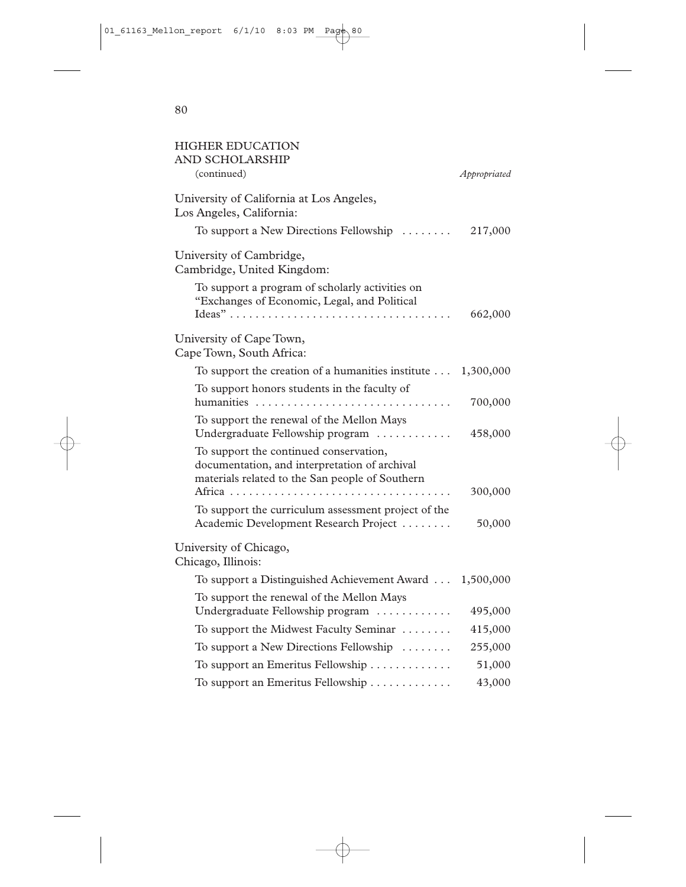| <b>HIGHER EDUCATION</b><br>AND SCHOLARSHIP<br>(continued)                                                                                  | Appropriated |
|--------------------------------------------------------------------------------------------------------------------------------------------|--------------|
| University of California at Los Angeles,<br>Los Angeles, California:                                                                       |              |
| To support a New Directions Fellowship                                                                                                     | 217,000      |
| University of Cambridge,<br>Cambridge, United Kingdom:                                                                                     |              |
| To support a program of scholarly activities on<br>"Exchanges of Economic, Legal, and Political                                            |              |
|                                                                                                                                            | 662,000      |
| University of Cape Town,<br>Cape Town, South Africa:                                                                                       |              |
| To support the creation of a humanities institute                                                                                          | 1,300,000    |
| To support honors students in the faculty of<br>humanities                                                                                 | 700,000      |
| To support the renewal of the Mellon Mays<br>Undergraduate Fellowship program                                                              | 458,000      |
| To support the continued conservation,<br>documentation, and interpretation of archival<br>materials related to the San people of Southern | 300,000      |
| To support the curriculum assessment project of the<br>Academic Development Research Project                                               | 50,000       |
| University of Chicago,<br>Chicago, Illinois:                                                                                               |              |
| To support a Distinguished Achievement Award                                                                                               | 1,500,000    |
| To support the renewal of the Mellon Mays<br>Undergraduate Fellowship program                                                              | 495,000      |
| To support the Midwest Faculty Seminar                                                                                                     | 415,000      |
| To support a New Directions Fellowship                                                                                                     | 255,000      |
| To support an Emeritus Fellowship                                                                                                          | 51,000       |
| To support an Emeritus Fellowship                                                                                                          | 43,000       |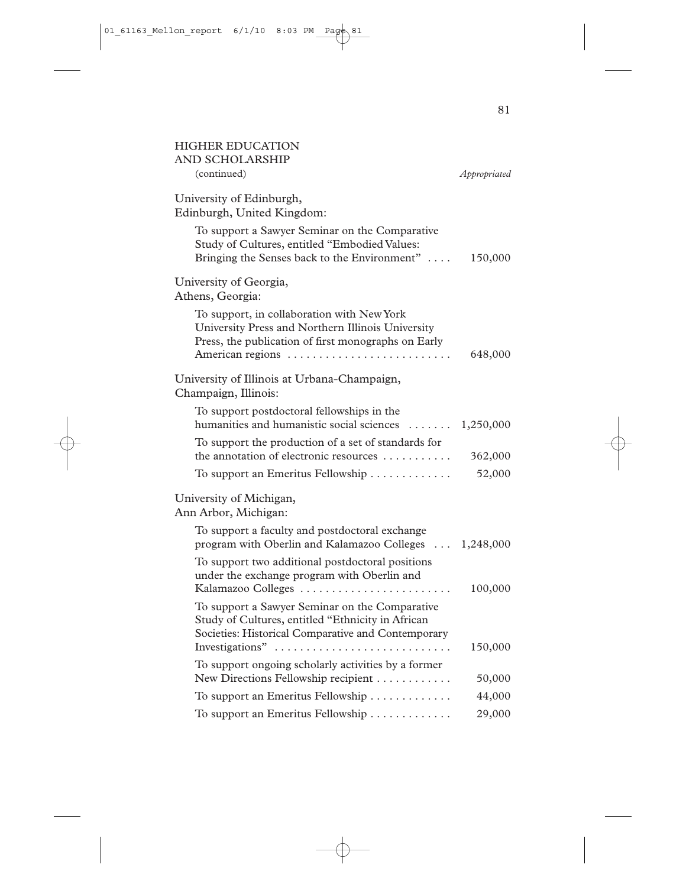| <b>HIGHER EDUCATION</b><br>AND SCHOLARSHIP                                                                                                                                 |              |
|----------------------------------------------------------------------------------------------------------------------------------------------------------------------------|--------------|
| (continued)                                                                                                                                                                | Appropriated |
| University of Edinburgh,<br>Edinburgh, United Kingdom:                                                                                                                     |              |
| To support a Sawyer Seminar on the Comparative<br>Study of Cultures, entitled "Embodied Values:<br>Bringing the Senses back to the Environment"                            | 150,000      |
| University of Georgia,<br>Athens, Georgia:                                                                                                                                 |              |
| To support, in collaboration with New York<br>University Press and Northern Illinois University<br>Press, the publication of first monographs on Early<br>American regions | 648,000      |
| University of Illinois at Urbana-Champaign,<br>Champaign, Illinois:                                                                                                        |              |
| To support postdoctoral fellowships in the<br>humanities and humanistic social sciences<br>$\mathbf{r}$                                                                    | 1,250,000    |
| To support the production of a set of standards for<br>the annotation of electronic resources                                                                              | 362,000      |
| To support an Emeritus Fellowship                                                                                                                                          | 52,000       |
| University of Michigan,<br>Ann Arbor, Michigan:                                                                                                                            |              |
| To support a faculty and postdoctoral exchange<br>program with Oberlin and Kalamazoo Colleges  1,248,000                                                                   |              |
| To support two additional postdoctoral positions<br>under the exchange program with Oberlin and<br>Kalamazoo Colleges                                                      | 100,000      |
| To support a Sawyer Seminar on the Comparative<br>Study of Cultures, entitled "Ethnicity in African<br>Societies: Historical Comparative and Contemporary                  |              |
| Investigations"                                                                                                                                                            | 150,000      |
| To support ongoing scholarly activities by a former<br>New Directions Fellowship recipient                                                                                 | 50,000       |
| To support an Emeritus Fellowship                                                                                                                                          | 44,000       |
| To support an Emeritus Fellowship                                                                                                                                          | 29,000       |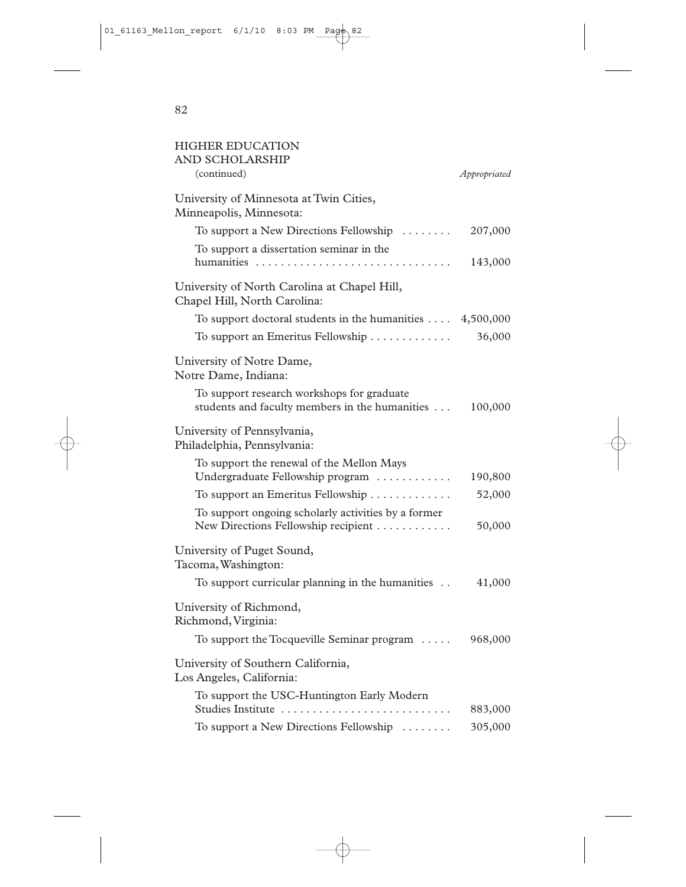| <b>HIGHER EDUCATION</b><br>AND SCHOLARSHIP<br>(continued)                                    | Appropriated |
|----------------------------------------------------------------------------------------------|--------------|
| University of Minnesota at Twin Cities,                                                      |              |
| Minneapolis, Minnesota:                                                                      |              |
| To support a New Directions Fellowship                                                       | 207,000      |
| To support a dissertation seminar in the                                                     | 143,000      |
| University of North Carolina at Chapel Hill,<br>Chapel Hill, North Carolina:                 |              |
| To support doctoral students in the humanities $\dots$                                       | 4,500,000    |
| To support an Emeritus Fellowship                                                            | 36,000       |
| University of Notre Dame,<br>Notre Dame, Indiana:                                            |              |
| To support research workshops for graduate<br>students and faculty members in the humanities | 100,000      |
| University of Pennsylvania,<br>Philadelphia, Pennsylvania:                                   |              |
| To support the renewal of the Mellon Mays<br>Undergraduate Fellowship program                | 190,800      |
| To support an Emeritus Fellowship                                                            | 52,000       |
| To support ongoing scholarly activities by a former<br>New Directions Fellowship recipient   | 50,000       |
| University of Puget Sound,<br>Tacoma, Washington:                                            |              |
| To support curricular planning in the humanities                                             | 41,000       |
| University of Richmond,<br>Richmond, Virginia:                                               |              |
| To support the Tocqueville Seminar program $\dots$                                           | 968,000      |
| University of Southern California,<br>Los Angeles, California:                               |              |
| To support the USC-Huntington Early Modern<br>Studies Institute                              | 883,000      |
| To support a New Directions Fellowship                                                       | 305,000      |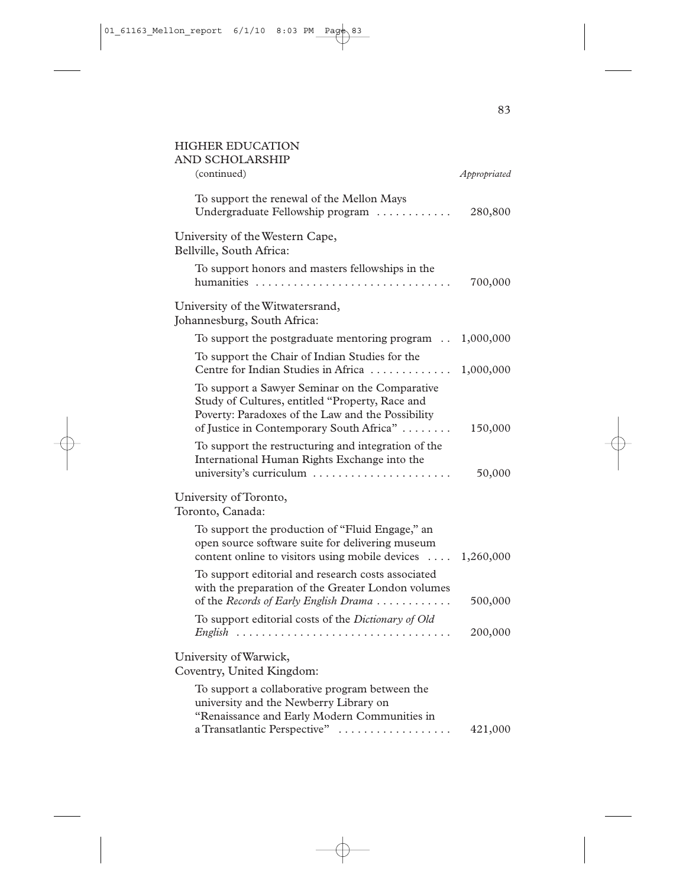#### HIGHER EDUCATION AND SCHOLARSHIP

| (continued)                                                                                                                                                                                        | Appropriated |
|----------------------------------------------------------------------------------------------------------------------------------------------------------------------------------------------------|--------------|
| To support the renewal of the Mellon Mays<br>Undergraduate Fellowship program                                                                                                                      | 280,800      |
| University of the Western Cape,<br>Bellville, South Africa:                                                                                                                                        |              |
| To support honors and masters fellowships in the                                                                                                                                                   | 700,000      |
| University of the Witwatersrand,<br>Johannesburg, South Africa:                                                                                                                                    |              |
| To support the postgraduate mentoring program                                                                                                                                                      | 1,000,000    |
| To support the Chair of Indian Studies for the<br>Centre for Indian Studies in Africa                                                                                                              | 1,000,000    |
| To support a Sawyer Seminar on the Comparative<br>Study of Cultures, entitled "Property, Race and<br>Poverty: Paradoxes of the Law and the Possibility<br>of Justice in Contemporary South Africa" | 150,000      |
| To support the restructuring and integration of the<br>International Human Rights Exchange into the<br>university's curriculum                                                                     | 50,000       |
| University of Toronto,<br>Toronto, Canada:                                                                                                                                                         |              |
| To support the production of "Fluid Engage," an<br>open source software suite for delivering museum<br>content online to visitors using mobile devices                                             | 1,260,000    |
| To support editorial and research costs associated<br>with the preparation of the Greater London volumes<br>of the Records of Early English Drama                                                  | 500,000      |
| To support editorial costs of the Dictionary of Old<br>$English$                                                                                                                                   | 200,000      |
| University of Warwick,<br>Coventry, United Kingdom:                                                                                                                                                |              |
| To support a collaborative program between the<br>university and the Newberry Library on<br>"Renaissance and Early Modern Communities in<br>a Transatlantic Perspective"                           | 421,000      |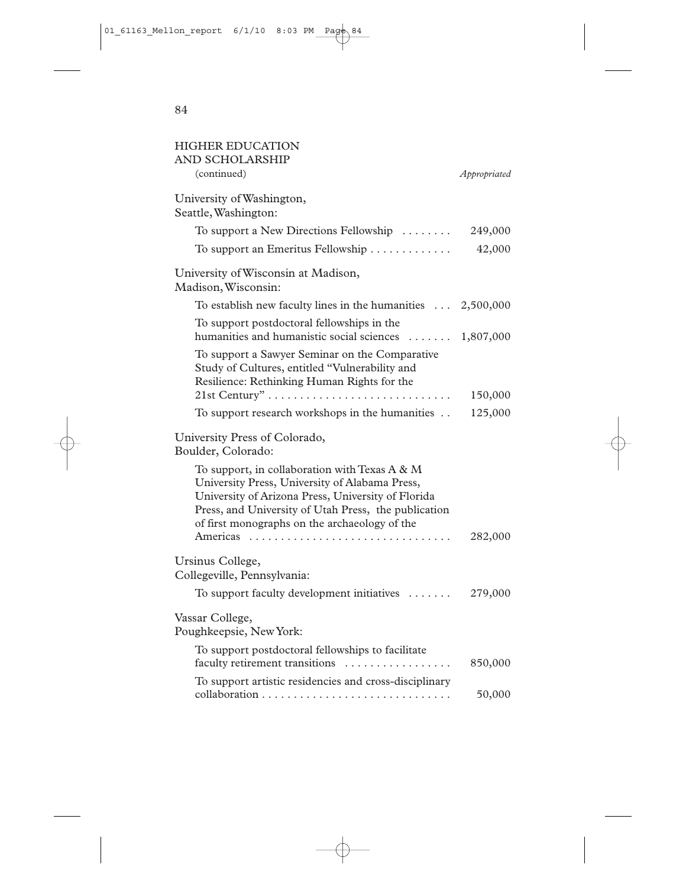| <b>HIGHER EDUCATION</b><br>AND SCHOLARSHIP                                                                                                                                                                                                                     |              |
|----------------------------------------------------------------------------------------------------------------------------------------------------------------------------------------------------------------------------------------------------------------|--------------|
| (continued)                                                                                                                                                                                                                                                    | Appropriated |
| University of Washington,<br>Seattle, Washington:                                                                                                                                                                                                              |              |
| To support a New Directions Fellowship                                                                                                                                                                                                                         | 249,000      |
| To support an Emeritus Fellowship                                                                                                                                                                                                                              | 42,000       |
| University of Wisconsin at Madison,<br>Madison, Wisconsin:                                                                                                                                                                                                     |              |
| To establish new faculty lines in the humanities $\ldots$ 2,500,000                                                                                                                                                                                            |              |
| To support postdoctoral fellowships in the<br>humanities and humanistic social sciences  1,807,000                                                                                                                                                             |              |
| To support a Sawyer Seminar on the Comparative<br>Study of Cultures, entitled "Vulnerability and<br>Resilience: Rethinking Human Rights for the                                                                                                                | 150,000      |
| To support research workshops in the humanities                                                                                                                                                                                                                | 125,000      |
| University Press of Colorado,<br>Boulder, Colorado:                                                                                                                                                                                                            |              |
| To support, in collaboration with Texas A & M<br>University Press, University of Alabama Press,<br>University of Arizona Press, University of Florida<br>Press, and University of Utah Press, the publication<br>of first monographs on the archaeology of the |              |
| Americas                                                                                                                                                                                                                                                       | 282,000      |
| Ursinus College,<br>Collegeville, Pennsylvania:                                                                                                                                                                                                                |              |
| To support faculty development initiatives                                                                                                                                                                                                                     | 279,000      |
| Vassar College,<br>Poughkeepsie, New York:                                                                                                                                                                                                                     |              |
| To support postdoctoral fellowships to facilitate<br>faculty retirement transitions<br>.                                                                                                                                                                       | 850,000      |
| To support artistic residencies and cross-disciplinary                                                                                                                                                                                                         | 50,000       |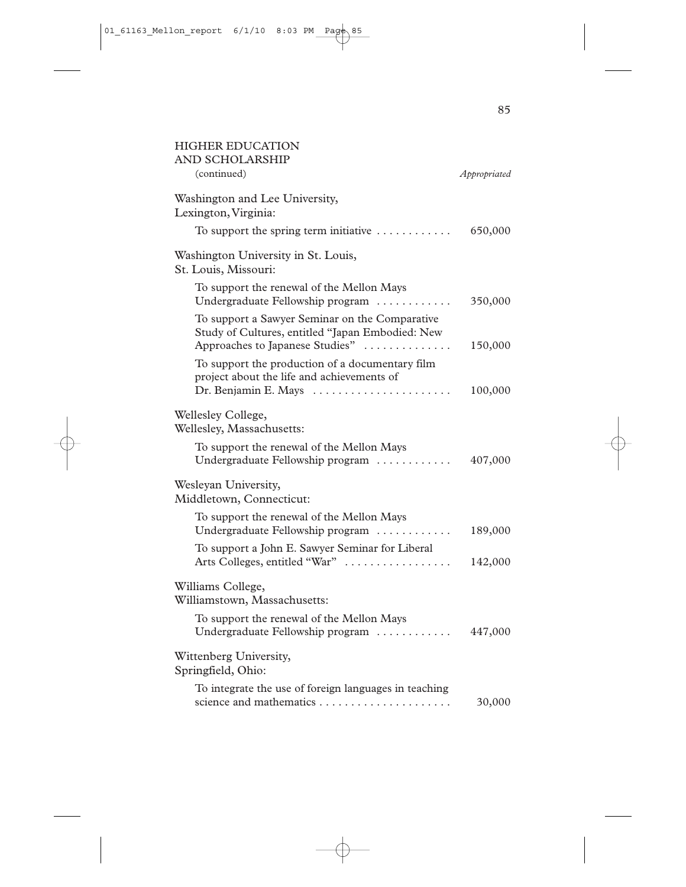| <b>HIGHER EDUCATION</b><br>AND SCHOLARSHIP                                                                                            |              |
|---------------------------------------------------------------------------------------------------------------------------------------|--------------|
| (continued)                                                                                                                           | Appropriated |
| Washington and Lee University,<br>Lexington, Virginia:                                                                                |              |
| To support the spring term initiative $\dots\dots\dots\dots$                                                                          | 650,000      |
| Washington University in St. Louis,<br>St. Louis, Missouri:                                                                           |              |
| To support the renewal of the Mellon Mays<br>Undergraduate Fellowship program                                                         | 350,000      |
| To support a Sawyer Seminar on the Comparative<br>Study of Cultures, entitled "Japan Embodied: New<br>Approaches to Japanese Studies" | 150,000      |
| To support the production of a documentary film<br>project about the life and achievements of<br>Dr. Benjamin E. Mays                 | 100,000      |
| Wellesley College,<br>Wellesley, Massachusetts:                                                                                       |              |
| To support the renewal of the Mellon Mays<br>Undergraduate Fellowship program                                                         | 407,000      |
| Wesleyan University,<br>Middletown, Connecticut:                                                                                      |              |
| To support the renewal of the Mellon Mays<br>Undergraduate Fellowship program                                                         | 189,000      |
| To support a John E. Sawyer Seminar for Liberal<br>Arts Colleges, entitled "War"                                                      | 142,000      |
| Williams College,<br>Williamstown, Massachusetts:                                                                                     |              |
| To support the renewal of the Mellon Mays<br>Undergraduate Fellowship program                                                         | 447,000      |
| Wittenberg University,<br>Springfield, Ohio:                                                                                          |              |
| To integrate the use of foreign languages in teaching<br>science and mathematics                                                      | 30,000       |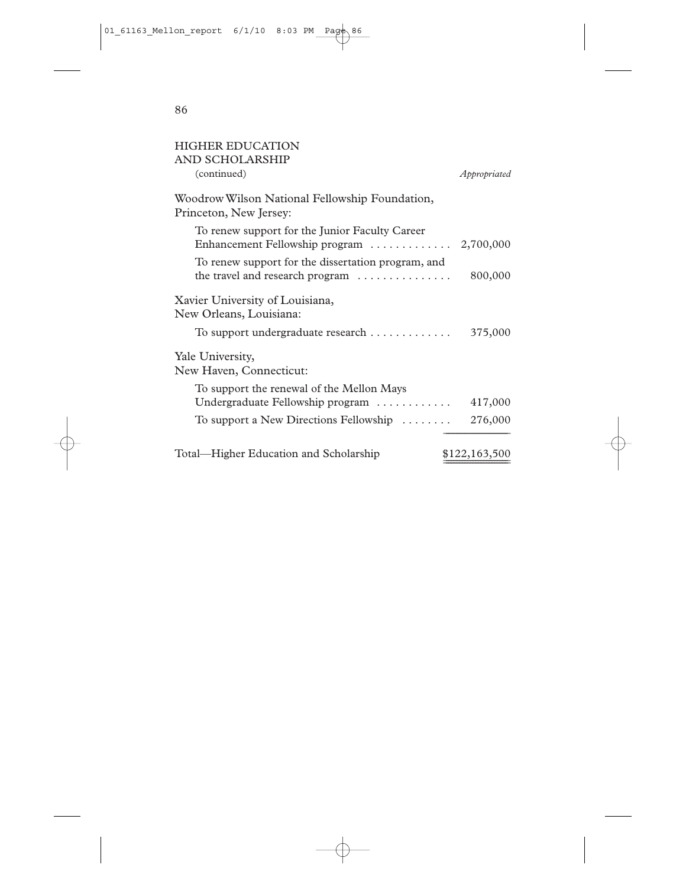| <b>AND SCHOLARSHIP</b><br>(continued)                                                       | Appropriated  |
|---------------------------------------------------------------------------------------------|---------------|
|                                                                                             |               |
|                                                                                             |               |
| Woodrow Wilson National Fellowship Foundation,<br>Princeton, New Jersey:                    |               |
| To renew support for the Junior Faculty Career<br>Enhancement Fellowship program  2,700,000 |               |
| To renew support for the dissertation program, and<br>the travel and research program       | 800,000       |
| Xavier University of Louisiana,                                                             |               |
| New Orleans, Louisiana:                                                                     |               |
| To support undergraduate research                                                           | 375,000       |
| Yale University,<br>New Haven, Connecticut:                                                 |               |
| To support the renewal of the Mellon Mays                                                   |               |
| Undergraduate Fellowship program $\ldots \ldots \ldots$                                     | 417,000       |
| To support a New Directions Fellowship $\dots\dots$                                         | 276,000       |
| Total—Higher Education and Scholarship                                                      | \$122,163,500 |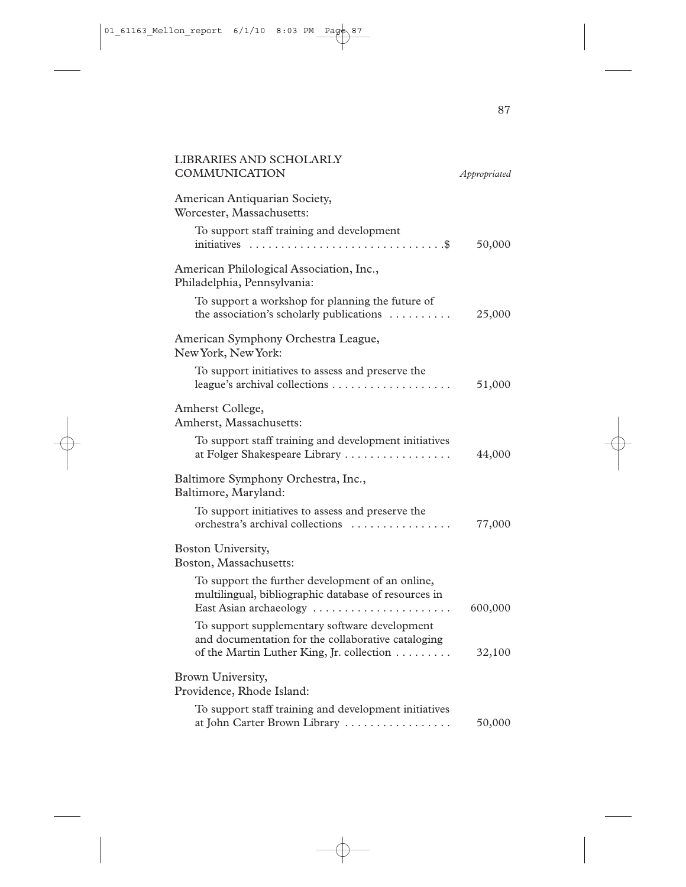| <b>LIBRARIES AND SCHOLARLY</b><br><b>COMMUNICATION</b>                                                                                           | Appropriated |
|--------------------------------------------------------------------------------------------------------------------------------------------------|--------------|
| American Antiquarian Society,<br>Worcester, Massachusetts:                                                                                       |              |
| To support staff training and development                                                                                                        | 50,000       |
| American Philological Association, Inc.,<br>Philadelphia, Pennsylvania:                                                                          |              |
| To support a workshop for planning the future of<br>the association's scholarly publications                                                     | 25,000       |
| American Symphony Orchestra League,<br>New York, New York:                                                                                       |              |
| To support initiatives to assess and preserve the                                                                                                | 51,000       |
| Amherst College,<br>Amherst, Massachusetts:                                                                                                      |              |
| To support staff training and development initiatives<br>at Folger Shakespeare Library                                                           | 44,000       |
| Baltimore Symphony Orchestra, Inc.,<br>Baltimore, Maryland:                                                                                      |              |
| To support initiatives to assess and preserve the<br>orchestra's archival collections                                                            | 77,000       |
| Boston University,<br>Boston, Massachusetts:                                                                                                     |              |
| To support the further development of an online,<br>multilingual, bibliographic database of resources in<br>East Asian archaeology               | 600,000      |
| To support supplementary software development<br>and documentation for the collaborative cataloging<br>of the Martin Luther King, Jr. collection | 32,100       |
| Brown University,<br>Providence, Rhode Island:                                                                                                   |              |
| To support staff training and development initiatives<br>at John Carter Brown Library                                                            | 50,000       |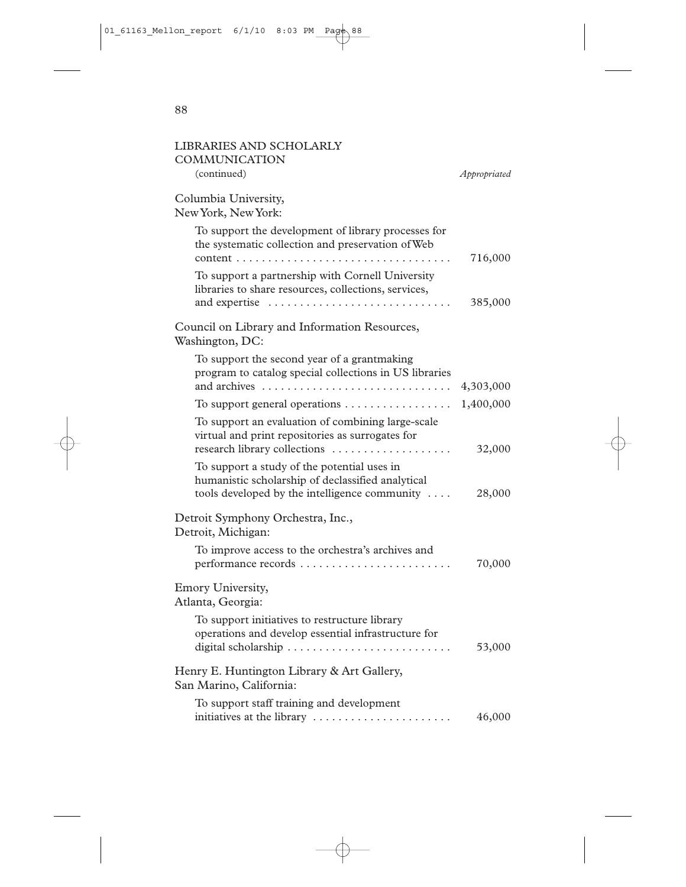| LIBRARIES AND SCHOLARLY<br>COMMUNICATION                                                                                                          |              |
|---------------------------------------------------------------------------------------------------------------------------------------------------|--------------|
| (continued)                                                                                                                                       | Appropriated |
| Columbia University,<br>New York, New York:                                                                                                       |              |
| To support the development of library processes for<br>the systematic collection and preservation of Web<br>content<br>$\cdots$                   | 716,000      |
| To support a partnership with Cornell University<br>libraries to share resources, collections, services,<br>and expertise                         | 385,000      |
| Council on Library and Information Resources,<br>Washington, DC:                                                                                  |              |
| To support the second year of a grantmaking<br>program to catalog special collections in US libraries                                             | 4,303,000    |
| To support general operations                                                                                                                     | 1,400,000    |
| To support an evaluation of combining large-scale<br>virtual and print repositories as surrogates for<br>research library collections             | 32,000       |
| To support a study of the potential uses in<br>humanistic scholarship of declassified analytical<br>tools developed by the intelligence community | 28,000       |
| Detroit Symphony Orchestra, Inc.,<br>Detroit, Michigan:                                                                                           |              |
| To improve access to the orchestra's archives and<br>performance records                                                                          | 70,000       |
| Emory University,<br>Atlanta, Georgia:                                                                                                            |              |
| To support initiatives to restructure library<br>operations and develop essential infrastructure for                                              | 53,000       |
| Henry E. Huntington Library & Art Gallery,<br>San Marino, California:                                                                             |              |
| To support staff training and development<br>initiatives at the library                                                                           | 46,000       |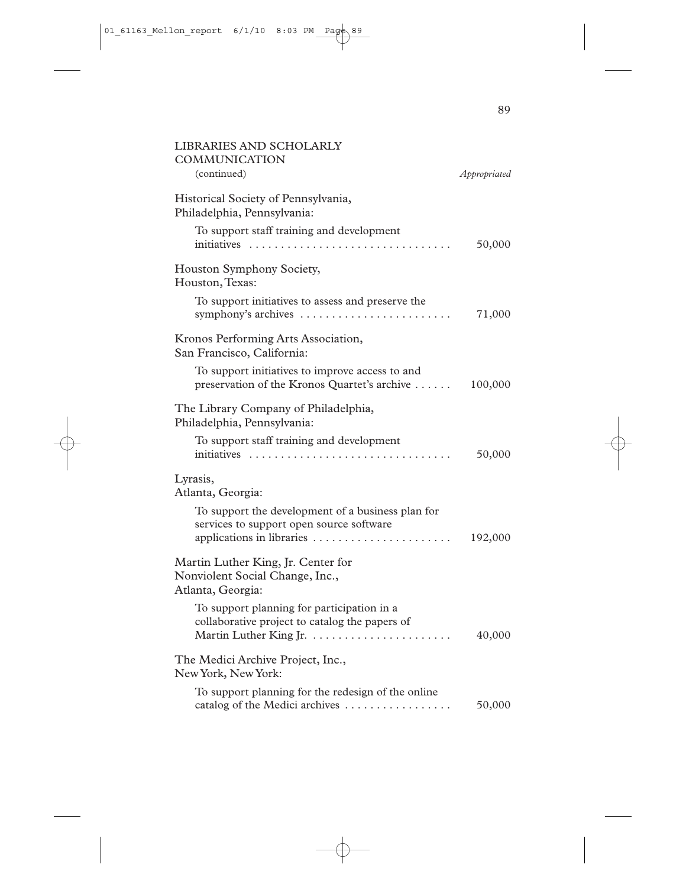| LIBRARIES AND SCHOLARLY<br><b>COMMUNICATION</b><br>(continued)                                                             | Appropriated |
|----------------------------------------------------------------------------------------------------------------------------|--------------|
| Historical Society of Pennsylvania,<br>Philadelphia, Pennsylvania:                                                         |              |
| To support staff training and development<br>initiatives                                                                   | 50,000       |
| Houston Symphony Society,<br>Houston, Texas:                                                                               |              |
| To support initiatives to assess and preserve the<br>symphony's archives                                                   | 71,000       |
| Kronos Performing Arts Association,<br>San Francisco, California:                                                          |              |
| To support initiatives to improve access to and<br>preservation of the Kronos Quartet's archive                            | 100,000      |
| The Library Company of Philadelphia,<br>Philadelphia, Pennsylvania:                                                        |              |
| To support staff training and development<br>initiatives                                                                   | 50,000       |
| Lyrasis,<br>Atlanta, Georgia:                                                                                              |              |
| To support the development of a business plan for<br>services to support open source software<br>applications in libraries | 192,000      |
| Martin Luther King, Jr. Center for<br>Nonviolent Social Change, Inc.,<br>Atlanta, Georgia:                                 |              |
| To support planning for participation in a<br>collaborative project to catalog the papers of                               | 40,000       |
| The Medici Archive Project, Inc.,<br>New York, New York:                                                                   |              |
| To support planning for the redesign of the online<br>catalog of the Medici archives                                       | 50,000       |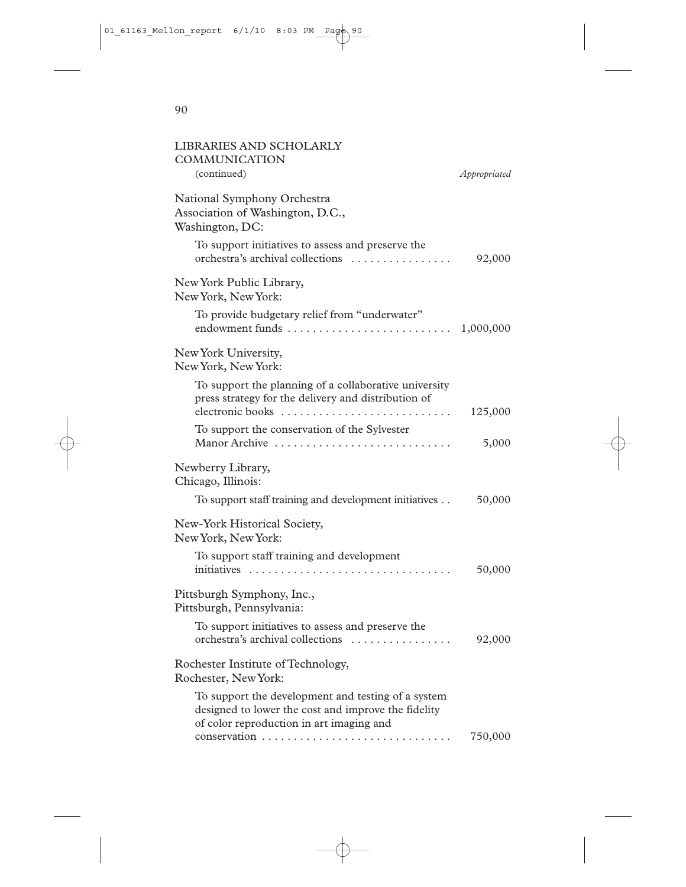| <b>COMMUNICATION</b><br>(continued)                                                                                                                                        | Appropriated |
|----------------------------------------------------------------------------------------------------------------------------------------------------------------------------|--------------|
|                                                                                                                                                                            |              |
| National Symphony Orchestra<br>Association of Washington, D.C.,<br>Washington, DC:                                                                                         |              |
| To support initiatives to assess and preserve the<br>orchestra's archival collections                                                                                      | 92,000       |
| New York Public Library,<br>New York, New York:                                                                                                                            |              |
| To provide budgetary relief from "underwater"<br>endowment funds                                                                                                           | 1,000,000    |
| New York University,<br>New York, New York:                                                                                                                                |              |
| To support the planning of a collaborative university<br>press strategy for the delivery and distribution of<br>electronic books                                           | 125,000      |
| To support the conservation of the Sylvester<br>Manor Archive                                                                                                              | 5,000        |
| Newberry Library,<br>Chicago, Illinois:                                                                                                                                    |              |
| To support staff training and development initiatives                                                                                                                      | 50,000       |
| New-York Historical Society,<br>New York, New York:                                                                                                                        |              |
| To support staff training and development                                                                                                                                  | 50,000       |
| Pittsburgh Symphony, Inc.,<br>Pittsburgh, Pennsylvania:                                                                                                                    |              |
| To support initiatives to assess and preserve the<br>orchestra's archival collections                                                                                      | 92,000       |
| Rochester Institute of Technology,<br>Rochester, New York:                                                                                                                 |              |
| To support the development and testing of a system<br>designed to lower the cost and improve the fidelity<br>of color reproduction in art imaging and<br>conservation<br>. | 750,000      |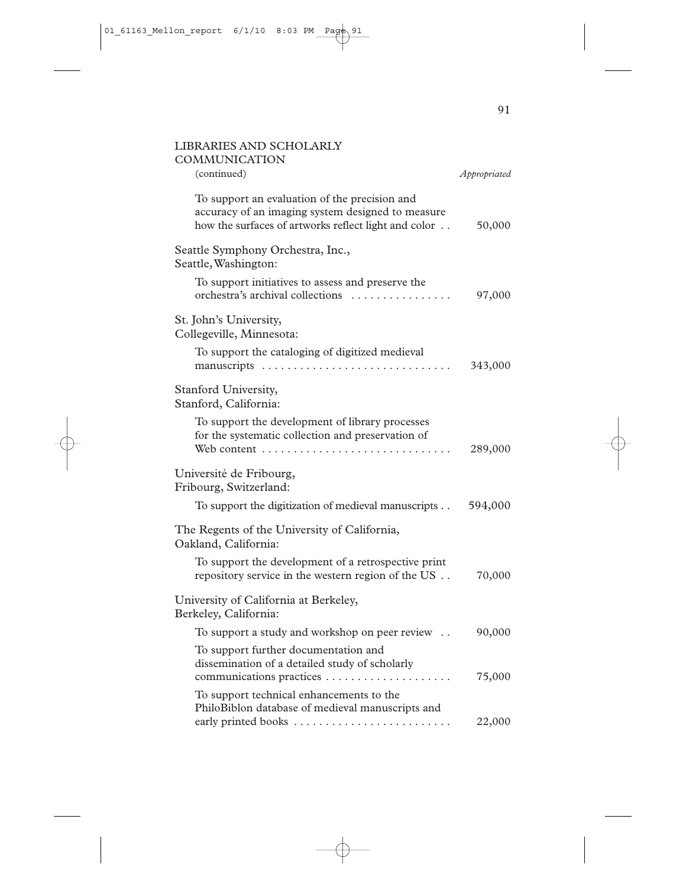| <b>LIBRARIES AND SCHOLARLY</b><br><b>COMMUNICATION</b><br>(continued)                                                                                      | Appropriated |
|------------------------------------------------------------------------------------------------------------------------------------------------------------|--------------|
| To support an evaluation of the precision and<br>accuracy of an imaging system designed to measure<br>how the surfaces of artworks reflect light and color | 50,000       |
| Seattle Symphony Orchestra, Inc.,<br>Seattle, Washington:                                                                                                  |              |
| To support initiatives to assess and preserve the<br>orchestra's archival collections                                                                      | 97,000       |
| St. John's University,<br>Collegeville, Minnesota:                                                                                                         |              |
| To support the cataloging of digitized medieval                                                                                                            | 343,000      |
| Stanford University,<br>Stanford, California:                                                                                                              |              |
| To support the development of library processes<br>for the systematic collection and preservation of<br>Web content                                        | 289,000      |
| Université de Fribourg,<br>Fribourg, Switzerland:                                                                                                          |              |
| To support the digitization of medieval manuscripts                                                                                                        | 594,000      |
| The Regents of the University of California,<br>Oakland, California:                                                                                       |              |
| To support the development of a retrospective print<br>repository service in the western region of the US                                                  | 70,000       |
| University of California at Berkeley,<br>Berkeley, California:                                                                                             |              |
| To support a study and workshop on peer review                                                                                                             | 90,000       |
| To support further documentation and<br>dissemination of a detailed study of scholarly<br>communications practices                                         | 75,000       |
| To support technical enhancements to the<br>PhiloBiblon database of medieval manuscripts and                                                               |              |
|                                                                                                                                                            | 22,000       |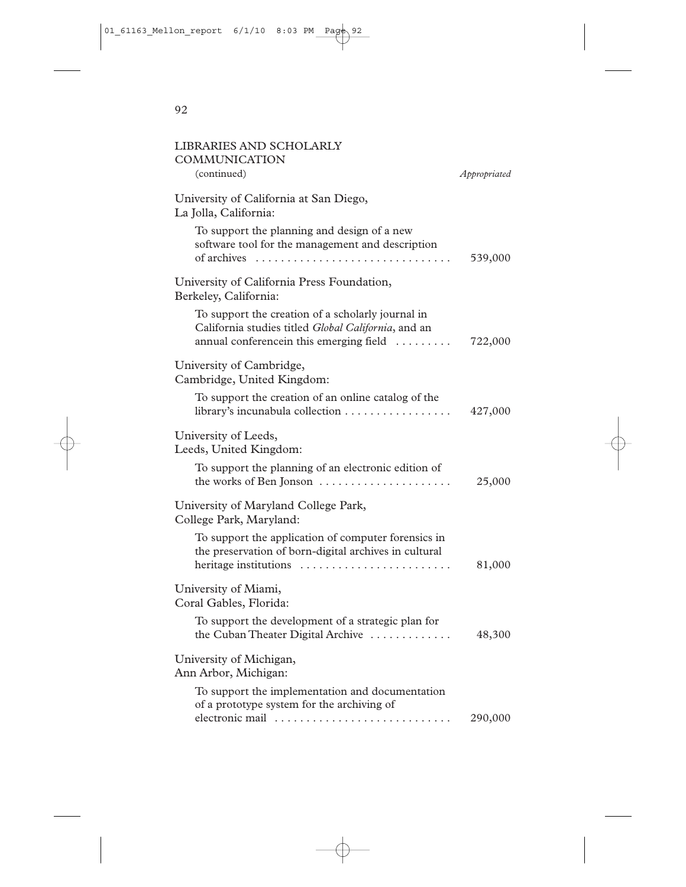| LIBRARIES AND SCHOLARLY<br>COMMUNICATION<br>(continued)                                                                                             | Appropriated |
|-----------------------------------------------------------------------------------------------------------------------------------------------------|--------------|
| University of California at San Diego,<br>La Jolla, California:                                                                                     |              |
| To support the planning and design of a new<br>software tool for the management and description<br>of archives                                      | 539,000      |
| University of California Press Foundation,<br>Berkeley, California:                                                                                 |              |
| To support the creation of a scholarly journal in<br>California studies titled Global California, and an<br>annual conferencein this emerging field | 722,000      |
| University of Cambridge,<br>Cambridge, United Kingdom:                                                                                              |              |
| To support the creation of an online catalog of the<br>library's incunabula collection                                                              | 427,000      |
| University of Leeds,<br>Leeds, United Kingdom:                                                                                                      |              |
| To support the planning of an electronic edition of<br>the works of Ben Jonson                                                                      | 25,000       |
| University of Maryland College Park,<br>College Park, Maryland:                                                                                     |              |
| To support the application of computer forensics in<br>the preservation of born-digital archives in cultural<br>heritage institutions               | 81,000       |
| University of Miami,<br>Coral Gables, Florida:                                                                                                      |              |
| To support the development of a strategic plan for<br>the Cuban Theater Digital Archive                                                             | 48,300       |
| University of Michigan,<br>Ann Arbor, Michigan:                                                                                                     |              |
| To support the implementation and documentation<br>of a prototype system for the archiving of<br>electronic mail                                    | 290,000      |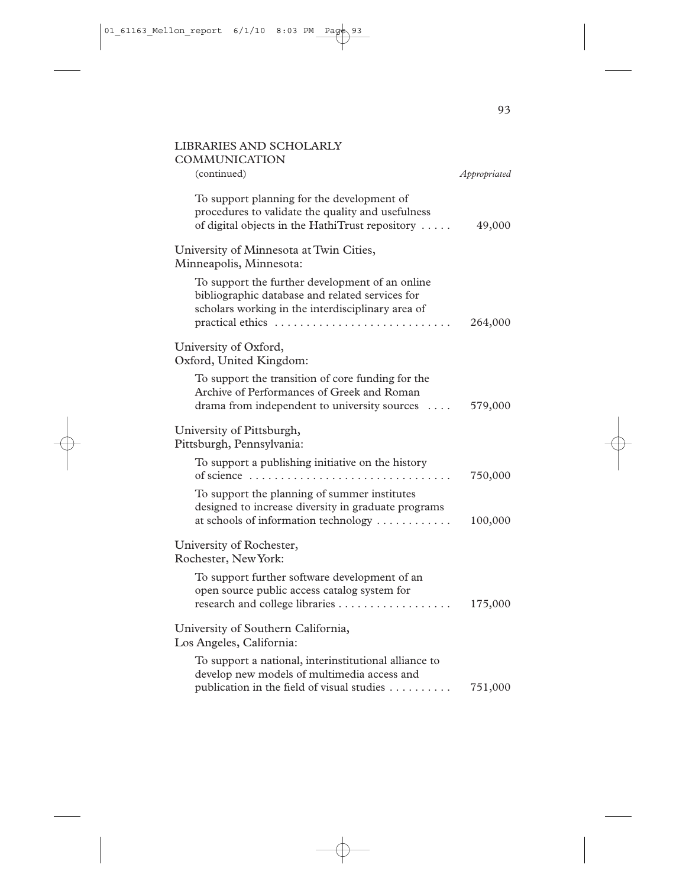| <b>LIBRARIES AND SCHOLARLY</b><br>COMMUNICATION                                                                                                                             |              |
|-----------------------------------------------------------------------------------------------------------------------------------------------------------------------------|--------------|
| (continued)                                                                                                                                                                 | Appropriated |
| To support planning for the development of<br>procedures to validate the quality and usefulness<br>of digital objects in the HathiTrust repository                          | 49,000       |
| University of Minnesota at Twin Cities,<br>Minneapolis, Minnesota:                                                                                                          |              |
| To support the further development of an online<br>bibliographic database and related services for<br>scholars working in the interdisciplinary area of<br>practical ethics | 264,000      |
| University of Oxford,<br>Oxford, United Kingdom:                                                                                                                            |              |
| To support the transition of core funding for the<br>Archive of Performances of Greek and Roman<br>drama from independent to university sources                             | 579,000      |
| University of Pittsburgh,<br>Pittsburgh, Pennsylvania:                                                                                                                      |              |
| To support a publishing initiative on the history<br>of science $\ldots \ldots \ldots \ldots \ldots \ldots \ldots \ldots \ldots \ldots$                                     | 750,000      |
| To support the planning of summer institutes<br>designed to increase diversity in graduate programs<br>at schools of information technology                                 | 100,000      |
| University of Rochester,<br>Rochester, New York:                                                                                                                            |              |
| To support further software development of an<br>open source public access catalog system for<br>research and college libraries                                             | 175,000      |
| University of Southern California,<br>Los Angeles, California:                                                                                                              |              |
| To support a national, interinstitutional alliance to<br>develop new models of multimedia access and<br>publication in the field of visual studies                          | 751,000      |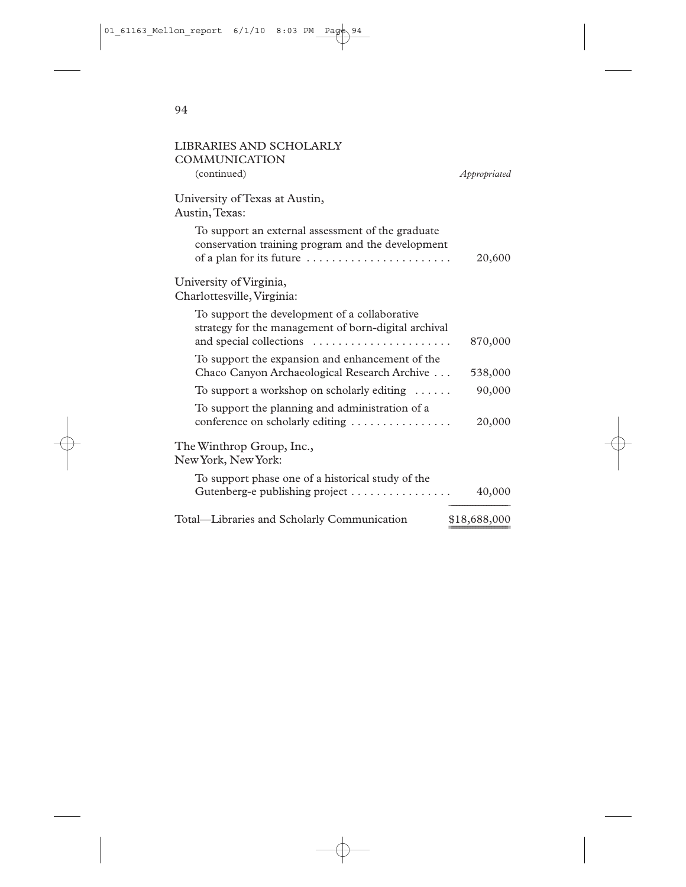| LIBRARIES AND SCHOLARLY<br>COMMUNICATION                                                                                           |              |
|------------------------------------------------------------------------------------------------------------------------------------|--------------|
| (continued)                                                                                                                        | Appropriated |
| University of Texas at Austin,<br>Austin, Texas:                                                                                   |              |
| To support an external assessment of the graduate<br>conservation training program and the development<br>of a plan for its future | 20,600       |
| University of Virginia,<br>Charlottesville, Virginia:                                                                              |              |
| To support the development of a collaborative<br>strategy for the management of born-digital archival<br>and special collections   | 870,000      |
| To support the expansion and enhancement of the<br>Chaco Canyon Archaeological Research Archive                                    | 538,000      |
| To support a workshop on scholarly editing $\dots$ .                                                                               | 90,000       |
| To support the planning and administration of a<br>conference on scholarly editing $\dots \dots \dots \dots$                       | 20,000       |
| The Winthrop Group, Inc.,<br>New York, New York:                                                                                   |              |
| To support phase one of a historical study of the<br>Gutenberg-e publishing project                                                | 40,000       |
| Total-Libraries and Scholarly Communication                                                                                        | \$18,688,000 |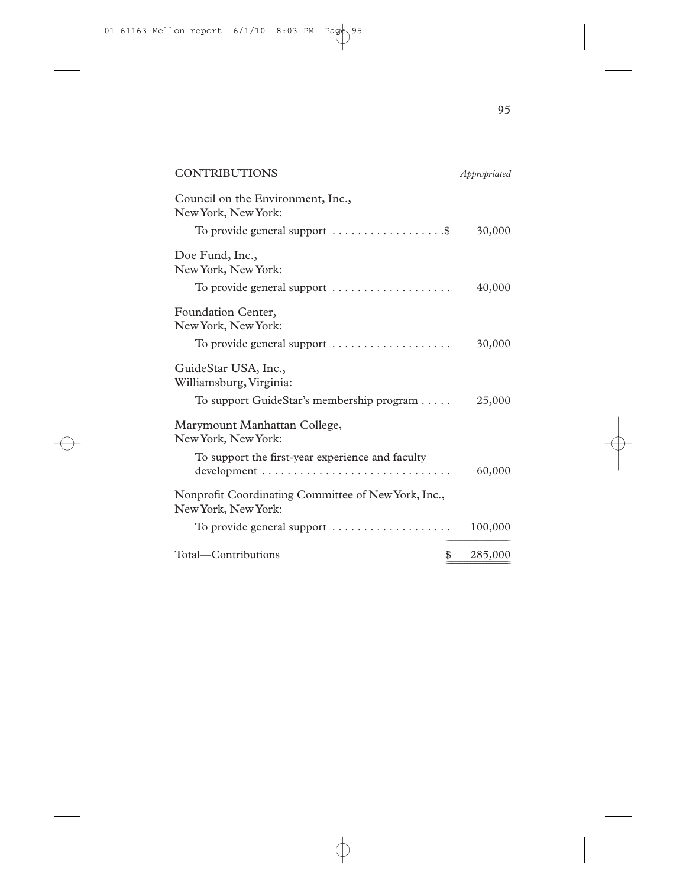| Appropriated                                                                                    |
|-------------------------------------------------------------------------------------------------|
|                                                                                                 |
| To provide general support $\dots \dots \dots \dots \dots$<br>30,000                            |
|                                                                                                 |
| 40,000                                                                                          |
|                                                                                                 |
| To provide general support $\dots \dots \dots \dots \dots \dots$<br>30,000                      |
| To support GuideStar's membership program $\dots$ .<br>25,000                                   |
|                                                                                                 |
| $development \dots \dots \dots \dots \dots \dots \dots \dots \dots \dots \dots \dots$<br>60,000 |
|                                                                                                 |
| To provide general support $\dots\dots\dots\dots\dots\dots\dots$<br>100,000                     |
| \$<br>285,000                                                                                   |
|                                                                                                 |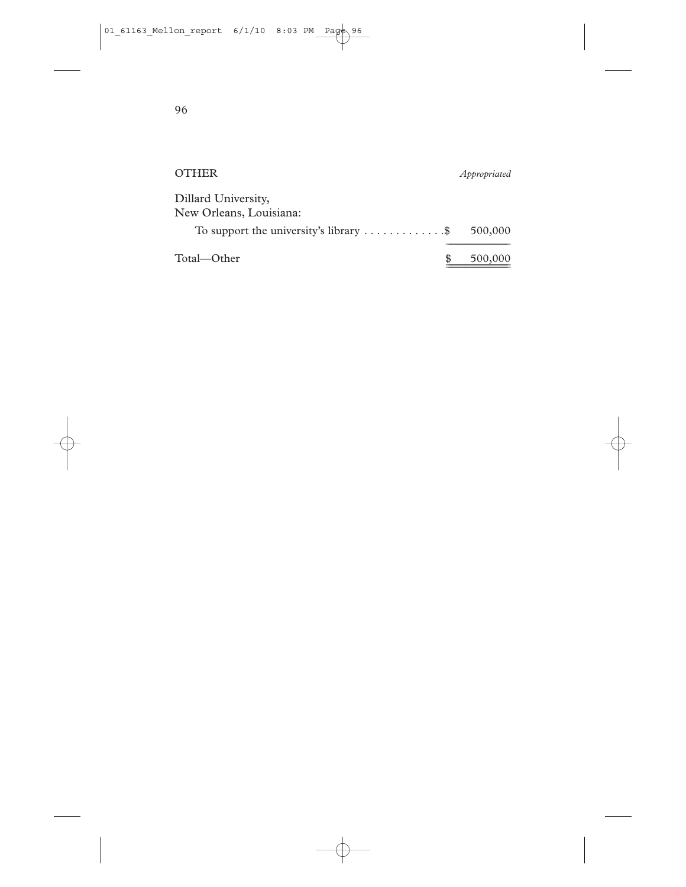| <b>OTHER</b>                                                  | Appropriated |
|---------------------------------------------------------------|--------------|
| Dillard University,<br>New Orleans, Louisiana:                |              |
| To support the university's library $\dots \dots \dots \dots$ | 500,000      |
| Total—Other                                                   | 500,000      |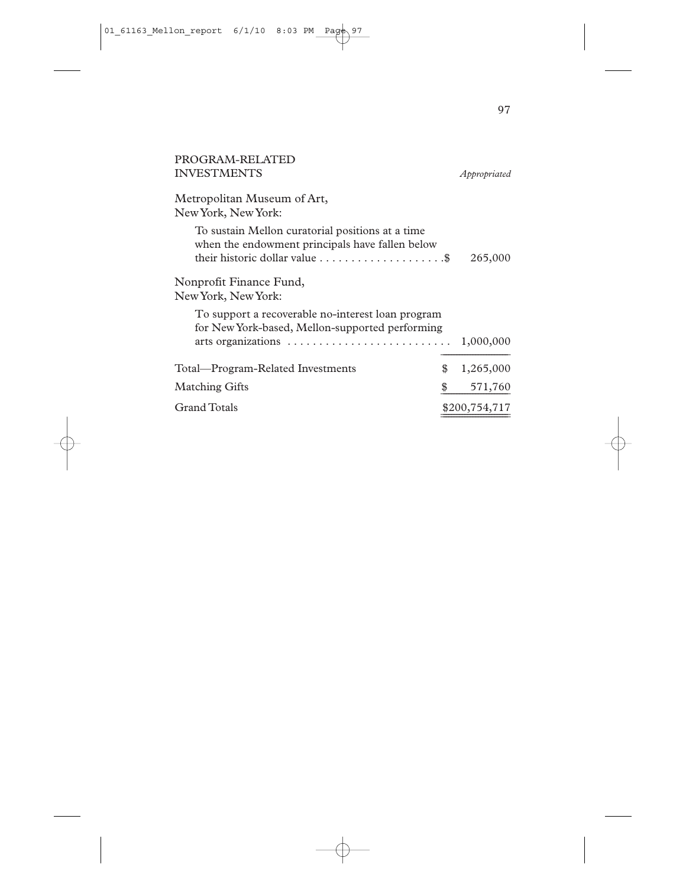| PROGRAM-RELATED                                                                                                                                                            |                 |
|----------------------------------------------------------------------------------------------------------------------------------------------------------------------------|-----------------|
| <b>INVESTMENTS</b>                                                                                                                                                         | Appropriated    |
| Metropolitan Museum of Art,<br>New York, New York:                                                                                                                         |                 |
| To sustain Mellon curatorial positions at a time<br>when the endowment principals have fallen below<br>their historic dollar value $\dots \dots \dots \dots \dots \dots$ . | 265,000         |
| Nonprofit Finance Fund,<br>New York, New York:                                                                                                                             |                 |
| To support a recoverable no-interest loan program<br>for New York-based, Mellon-supported performing                                                                       | 1,000,000       |
| Total—Program-Related Investments                                                                                                                                          | \$<br>1,265,000 |
| <b>Matching Gifts</b>                                                                                                                                                      | \$<br>571,760   |
| <b>Grand Totals</b>                                                                                                                                                        | \$200,754,717   |
|                                                                                                                                                                            |                 |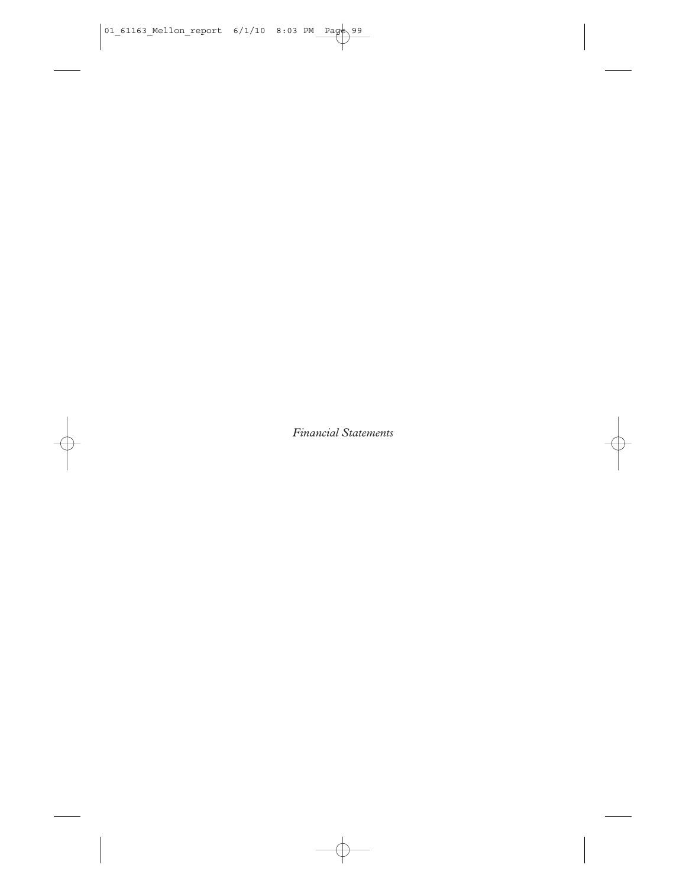*Financial Statements*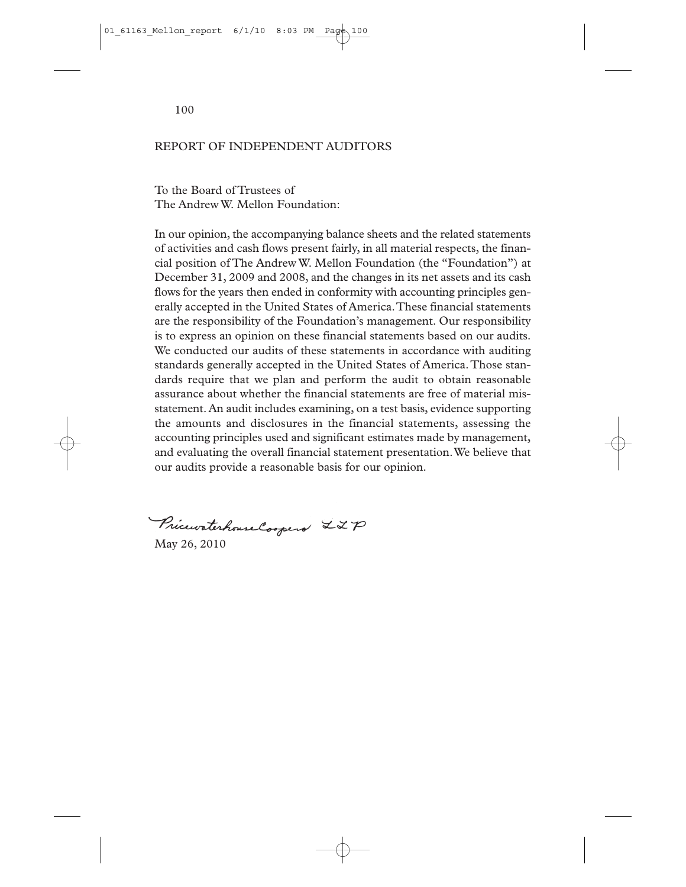100

### REPORT OF INDEPENDENT AUDITORS

To the Board of Trustees of The Andrew W. Mellon Foundation:

In our opinion, the accompanying balance sheets and the related statements of activities and cash flows present fairly, in all material respects, the financial position of The Andrew W. Mellon Foundation (the "Foundation") at December 31, 2009 and 2008, and the changes in its net assets and its cash flows for the years then ended in conformity with accounting principles generally accepted in the United States of America.These financial statements are the responsibility of the Foundation's management. Our responsibility is to express an opinion on these financial statements based on our audits. We conducted our audits of these statements in accordance with auditing standards generally accepted in the United States of America.Those standards require that we plan and perform the audit to obtain reasonable assurance about whether the financial statements are free of material misstatement. An audit includes examining, on a test basis, evidence supporting the amounts and disclosures in the financial statements, assessing the accounting principles used and significant estimates made by management, and evaluating the overall financial statement presentation.We believe that our audits provide a reasonable basis for our opinion.

Pricewaterhouse Coopers LZP

May 26, 2010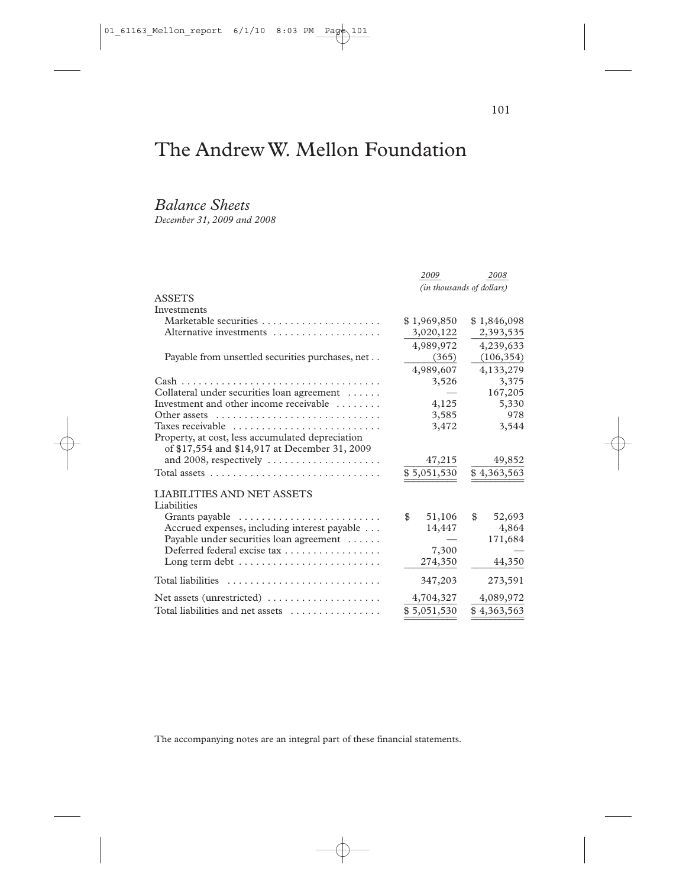# The Andrew W. Mellon Foundation

## *Balance Sheets*

*December 31, 2009 and 2008*

|                                                                               | 2009                      | 2008         |
|-------------------------------------------------------------------------------|---------------------------|--------------|
|                                                                               | (in thousands of dollars) |              |
| <b>ASSETS</b>                                                                 |                           |              |
| Investments                                                                   |                           |              |
|                                                                               | \$1,969,850               | \$1,846,098  |
| Alternative investments                                                       | 3,020,122                 | 2,393,535    |
|                                                                               | 4,989,972                 | 4,239,633    |
| Payable from unsettled securities purchases, net                              | (365)                     | (106, 354)   |
|                                                                               | 4,989,607                 | 4,133,279    |
|                                                                               | 3,526                     | 3,375        |
| Collateral under securities loan agreement                                    |                           | 167,205      |
| Investment and other income receivable                                        | 4,125                     | 5,330        |
|                                                                               | 3,585                     | 978          |
| Taxes receivable                                                              | 3,472                     | 3,544        |
| Property, at cost, less accumulated depreciation                              |                           |              |
| of \$17,554 and \$14,917 at December 31, 2009                                 |                           |              |
| and 2008, respectively $\dots \dots \dots \dots \dots \dots$                  | 47,215                    | 49,852       |
| Total assets $\ldots \ldots \ldots \ldots \ldots \ldots \ldots \ldots \ldots$ | \$5,051,530               | \$4,363,563  |
| <b>LIABILITIES AND NET ASSETS</b>                                             |                           |              |
| Liabilities                                                                   |                           |              |
| Grants payable $\dots\dots\dots\dots\dots\dots\dots\dots\dots\dots$           | 51,106<br>\$              | \$<br>52,693 |
| Accrued expenses, including interest payable                                  | 14,447                    | 4,864        |
| Payable under securities loan agreement                                       |                           | 171,684      |
| Deferred federal excise tax                                                   | 7,300                     |              |
| Long term debt $\dots\dots\dots\dots\dots\dots\dots\dots\dots\dots$           | 274,350                   | 44,350       |
|                                                                               | 347,203                   | 273,591      |
| Net assets (unrestricted)                                                     | 4,704,327                 | 4,089,972    |
| Total liabilities and net assets                                              | \$5,051,530               | \$4,363,563  |

The accompanying notes are an integral part of these financial statements.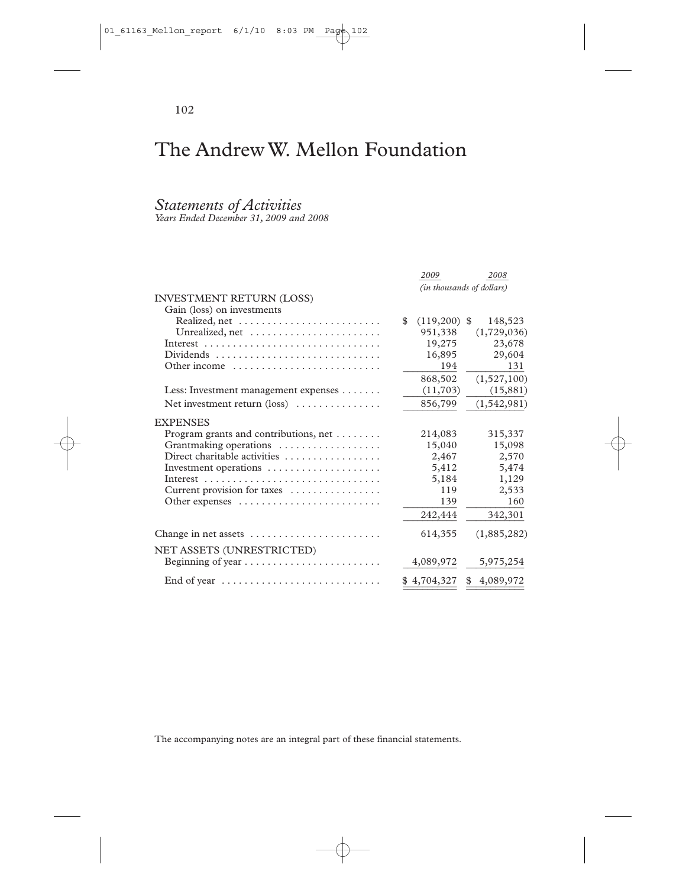# The Andrew W. Mellon Foundation

### *Statements of Activities*

*Years Ended December 31, 2009 and 2008*

|                                                             | 2009                      | 2008            |
|-------------------------------------------------------------|---------------------------|-----------------|
|                                                             | (in thousands of dollars) |                 |
| <b>INVESTMENT RETURN (LOSS)</b>                             |                           |                 |
| Gain (loss) on investments                                  |                           |                 |
|                                                             | \$<br>$(119,200)$ \$      | 148,523         |
|                                                             | 951,338                   | (1,729,036)     |
|                                                             | 19,275                    | 23,678          |
| $Dividends$                                                 | 16,895                    | 29,604          |
| Other income                                                | 194                       | 131             |
|                                                             | 868,502                   | (1,527,100)     |
| Less: Investment management expenses $\dots \dots$          | (11,703)                  | (15, 881)       |
| Net investment return $(\text{loss})$                       | 856,799                   | (1, 542, 981)   |
| <b>EXPENSES</b>                                             |                           |                 |
| Program grants and contributions, net $\dots \dots$         | 214,083                   | 315,337         |
| Grantmaking operations                                      | 15,040                    | 15,098          |
| Direct charitable activities                                | 2,467                     | 2,570           |
| Investment operations $\dots \dots \dots \dots \dots \dots$ | 5,412                     | 5,474           |
|                                                             | 5,184                     | 1,129           |
| Current provision for taxes                                 | 119                       | 2,533           |
|                                                             | 139                       | 160             |
|                                                             | 242,444                   | 342,301         |
| Change in net assets                                        | 614,355                   | (1,885,282)     |
| NET ASSETS (UNRESTRICTED)                                   |                           |                 |
|                                                             | 4,089,972                 | 5,975,254       |
| End of year                                                 | \$4,704,327               | \$<br>4,089,972 |

The accompanying notes are an integral part of these financial statements.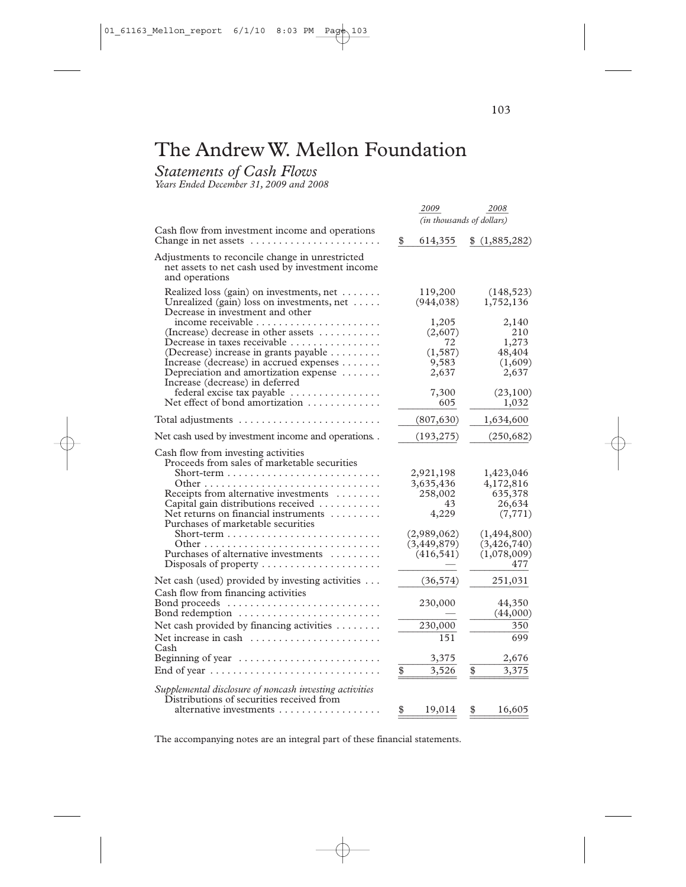## The Andrew W. Mellon Foundation

*Statements of Cash Flows*

*Years Ended December 31, 2009 and 2008*

|                                                                                                                                                                                                                                                                                                                                                                                                                                                                                       | 2009                                                                                          | 2008                                                                                                          |  |
|---------------------------------------------------------------------------------------------------------------------------------------------------------------------------------------------------------------------------------------------------------------------------------------------------------------------------------------------------------------------------------------------------------------------------------------------------------------------------------------|-----------------------------------------------------------------------------------------------|---------------------------------------------------------------------------------------------------------------|--|
|                                                                                                                                                                                                                                                                                                                                                                                                                                                                                       | (in thousands of dollars)                                                                     |                                                                                                               |  |
| Cash flow from investment income and operations<br>Change in net assets                                                                                                                                                                                                                                                                                                                                                                                                               | \$<br>614,355                                                                                 | \$(1,885,282)                                                                                                 |  |
| Adjustments to reconcile change in unrestricted<br>net assets to net cash used by investment income<br>and operations                                                                                                                                                                                                                                                                                                                                                                 |                                                                                               |                                                                                                               |  |
| Realized loss (gain) on investments, net<br>Unrealized (gain) loss on investments, net $\dots$ .<br>Decrease in investment and other                                                                                                                                                                                                                                                                                                                                                  | 119,200<br>(944, 038)                                                                         | (148, 523)<br>1,752,136                                                                                       |  |
| (Increase) decrease in other assets $\dots\dots\dots$<br>Decrease in taxes receivable<br>(Decrease) increase in grants payable<br>Increase (decrease) in accrued expenses<br>Depreciation and amortization expense $\dots\dots$<br>Increase (decrease) in deferred                                                                                                                                                                                                                    | 1,205<br>(2,607)<br>72<br>(1, 587)<br>9,583<br>2,637                                          | 2,140<br>210<br>1,273<br>48,404<br>(1,609)<br>2,637                                                           |  |
| federal excise tax payable<br>Net effect of bond amortization $\dots\dots\dots\dots$                                                                                                                                                                                                                                                                                                                                                                                                  | 7,300<br>605                                                                                  | (23,100)<br>1,032                                                                                             |  |
| Total adjustments $\ldots \ldots \ldots \ldots \ldots \ldots \ldots$                                                                                                                                                                                                                                                                                                                                                                                                                  | (807, 630)                                                                                    | 1,634,600                                                                                                     |  |
| Net cash used by investment income and operations. .                                                                                                                                                                                                                                                                                                                                                                                                                                  | (193, 275)                                                                                    | (250, 682)                                                                                                    |  |
| Cash flow from investing activities<br>Proceeds from sales of marketable securities<br>Receipts from alternative investments<br>Capital gain distributions received<br>Net returns on financial instruments<br>Purchases of marketable securities<br>Purchases of alternative investments<br>Disposals of property                                                                                                                                                                    | 2,921,198<br>3,635,436<br>258,002<br>43<br>4,229<br>(2,989,062)<br>(3, 449, 879)<br>(416,541) | 1,423,046<br>4,172,816<br>635,378<br>26,634<br>(7, 771)<br>(1,494,800)<br>(3, 426, 740)<br>(1,078,009)<br>477 |  |
| Net cash (used) provided by investing activities $\dots$<br>Cash flow from financing activities<br>Bond proceeds<br>Bond redemption $\dots \dots \dots \dots \dots \dots \dots \dots$<br>Net cash provided by financing activities $\dots \dots$<br>Net increase in cash $\ldots, \ldots, \ldots, \ldots, \ldots, \ldots$<br>Cash<br>Beginning of year $\dots \dots \dots \dots \dots \dots \dots \dots$<br>End of year $\dots \dots \dots \dots \dots \dots \dots \dots \dots \dots$ | \$<br>(36, 574)<br>230,000<br>230,000<br>151<br>3,375<br>3,526                                | 251,031<br>44,350<br>(44,000)<br>350<br>699<br>2,676<br>\$<br>3,375                                           |  |
| Supplemental disclosure of noncash investing activities<br>Distributions of securities received from<br>alternative investments                                                                                                                                                                                                                                                                                                                                                       | \$<br>19,014                                                                                  | 16,605<br>\$                                                                                                  |  |

The accompanying notes are an integral part of these financial statements.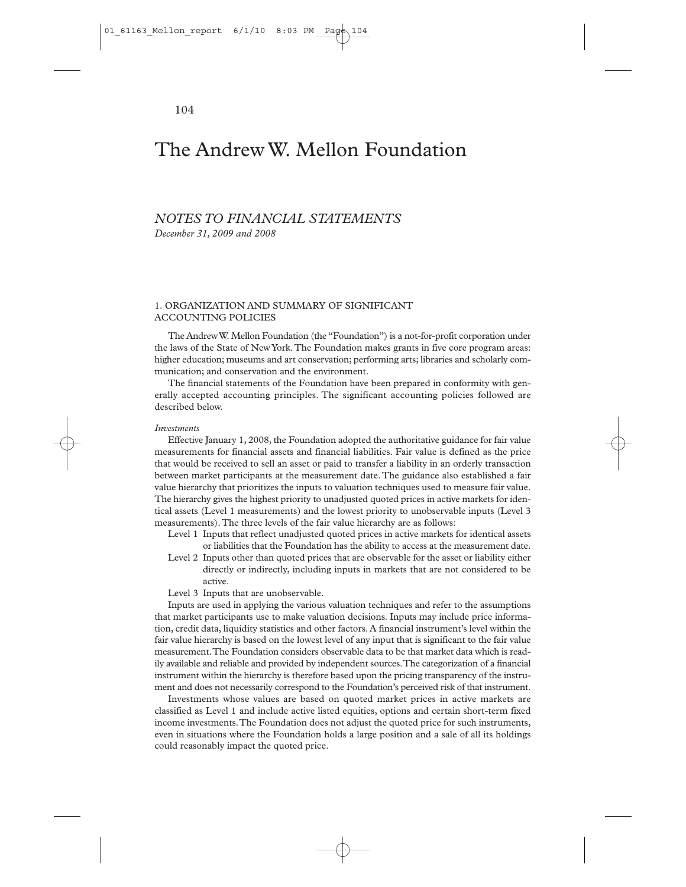## *NOTES TO FINANCIAL STATEMENTS*

*December 31, 2009 and 2008*

#### 1. ORGANIZATION AND SUMMARY OF SIGNIFICANT ACCOUNTING POLICIES

The Andrew W. Mellon Foundation (the "Foundation") is a not-for-profit corporation under the laws of the State of New York.The Foundation makes grants in five core program areas: higher education; museums and art conservation; performing arts; libraries and scholarly communication; and conservation and the environment.

The financial statements of the Foundation have been prepared in conformity with generally accepted accounting principles. The significant accounting policies followed are described below.

#### *Investments*

Effective January 1, 2008, the Foundation adopted the authoritative guidance for fair value measurements for financial assets and financial liabilities. Fair value is defined as the price that would be received to sell an asset or paid to transfer a liability in an orderly transaction between market participants at the measurement date. The guidance also established a fair value hierarchy that prioritizes the inputs to valuation techniques used to measure fair value. The hierarchy gives the highest priority to unadjusted quoted prices in active markets for identical assets (Level 1 measurements) and the lowest priority to unobservable inputs (Level 3 measurements).The three levels of the fair value hierarchy are as follows:

Level 1 Inputs that reflect unadjusted quoted prices in active markets for identical assets or liabilities that the Foundation has the ability to access at the measurement date.

- Level 2 Inputs other than quoted prices that are observable for the asset or liability either directly or indirectly, including inputs in markets that are not considered to be active.
- Level 3 Inputs that are unobservable.

Inputs are used in applying the various valuation techniques and refer to the assumptions that market participants use to make valuation decisions. Inputs may include price information, credit data, liquidity statistics and other factors. A financial instrument's level within the fair value hierarchy is based on the lowest level of any input that is significant to the fair value measurement.The Foundation considers observable data to be that market data which is readily available and reliable and provided by independent sources.The categorization of a financial instrument within the hierarchy is therefore based upon the pricing transparency of the instrument and does not necessarily correspond to the Foundation's perceived risk of that instrument.

Investments whose values are based on quoted market prices in active markets are classified as Level 1 and include active listed equities, options and certain short-term fixed income investments.The Foundation does not adjust the quoted price for such instruments, even in situations where the Foundation holds a large position and a sale of all its holdings could reasonably impact the quoted price.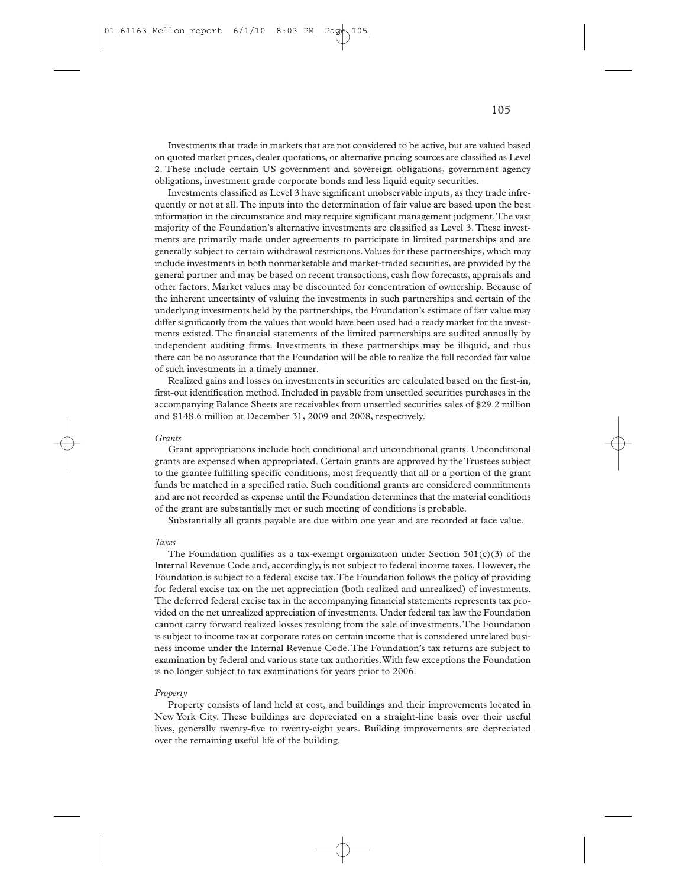Investments that trade in markets that are not considered to be active, but are valued based on quoted market prices, dealer quotations, or alternative pricing sources are classified as Level 2. These include certain US government and sovereign obligations, government agency obligations, investment grade corporate bonds and less liquid equity securities.

Investments classified as Level 3 have significant unobservable inputs, as they trade infrequently or not at all.The inputs into the determination of fair value are based upon the best information in the circumstance and may require significant management judgment.The vast majority of the Foundation's alternative investments are classified as Level 3. These investments are primarily made under agreements to participate in limited partnerships and are generally subject to certain withdrawal restrictions.Values for these partnerships, which may include investments in both nonmarketable and market-traded securities, are provided by the general partner and may be based on recent transactions, cash flow forecasts, appraisals and other factors. Market values may be discounted for concentration of ownership. Because of the inherent uncertainty of valuing the investments in such partnerships and certain of the underlying investments held by the partnerships, the Foundation's estimate of fair value may differ significantly from the values that would have been used had a ready market for the investments existed. The financial statements of the limited partnerships are audited annually by independent auditing firms. Investments in these partnerships may be illiquid, and thus there can be no assurance that the Foundation will be able to realize the full recorded fair value of such investments in a timely manner.

Realized gains and losses on investments in securities are calculated based on the first-in, first-out identification method. Included in payable from unsettled securities purchases in the accompanying Balance Sheets are receivables from unsettled securities sales of \$29.2 million and \$148.6 million at December 31, 2009 and 2008, respectively.

#### *Grants*

Grant appropriations include both conditional and unconditional grants. Unconditional grants are expensed when appropriated. Certain grants are approved by the Trustees subject to the grantee fulfilling specific conditions, most frequently that all or a portion of the grant funds be matched in a specified ratio. Such conditional grants are considered commitments and are not recorded as expense until the Foundation determines that the material conditions of the grant are substantially met or such meeting of conditions is probable.

Substantially all grants payable are due within one year and are recorded at face value.

#### *Taxes*

The Foundation qualifies as a tax-exempt organization under Section  $501(c)(3)$  of the Internal Revenue Code and, accordingly, is not subject to federal income taxes. However, the Foundation is subject to a federal excise tax.The Foundation follows the policy of providing for federal excise tax on the net appreciation (both realized and unrealized) of investments. The deferred federal excise tax in the accompanying financial statements represents tax provided on the net unrealized appreciation of investments. Under federal tax law the Foundation cannot carry forward realized losses resulting from the sale of investments.The Foundation is subject to income tax at corporate rates on certain income that is considered unrelated business income under the Internal Revenue Code.The Foundation's tax returns are subject to examination by federal and various state tax authorities.With few exceptions the Foundation is no longer subject to tax examinations for years prior to 2006.

#### *Property*

Property consists of land held at cost, and buildings and their improvements located in New York City. These buildings are depreciated on a straight-line basis over their useful lives, generally twenty-five to twenty-eight years. Building improvements are depreciated over the remaining useful life of the building.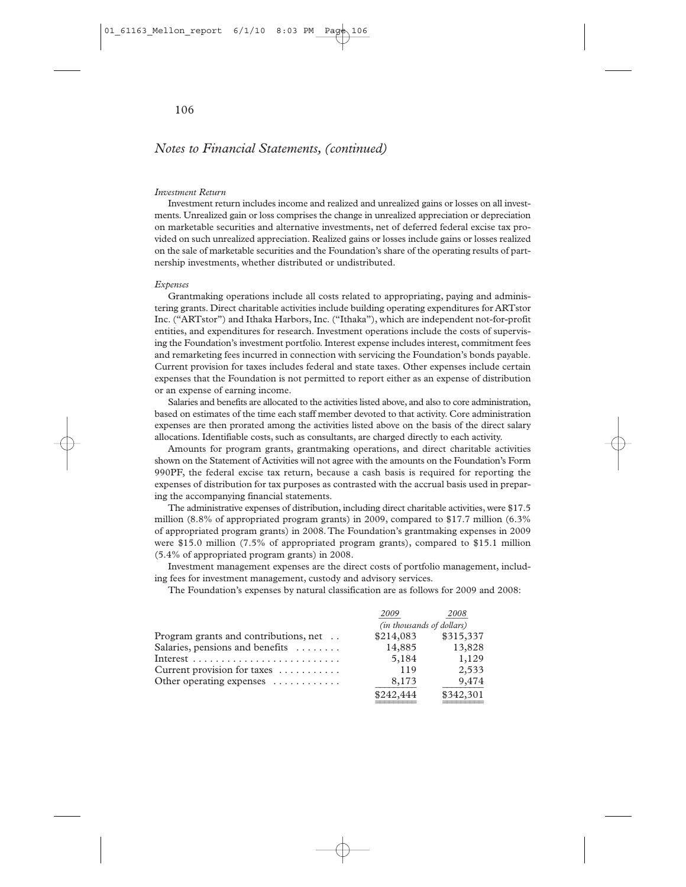### *Notes to Financial Statements, (continued)*

#### *Investment Return*

Investment return includes income and realized and unrealized gains or losses on all investments. Unrealized gain or loss comprises the change in unrealized appreciation or depreciation on marketable securities and alternative investments, net of deferred federal excise tax provided on such unrealized appreciation. Realized gains or losses include gains or losses realized on the sale of marketable securities and the Foundation's share of the operating results of partnership investments, whether distributed or undistributed.

#### *Expenses*

Grantmaking operations include all costs related to appropriating, paying and administering grants. Direct charitable activities include building operating expenditures for ARTstor Inc. ("ARTstor") and Ithaka Harbors, Inc. ("Ithaka"), which are independent not-for-profit entities, and expenditures for research. Investment operations include the costs of supervising the Foundation's investment portfolio. Interest expense includes interest, commitment fees and remarketing fees incurred in connection with servicing the Foundation's bonds payable. Current provision for taxes includes federal and state taxes. Other expenses include certain expenses that the Foundation is not permitted to report either as an expense of distribution or an expense of earning income.

Salaries and benefits are allocated to the activities listed above, and also to core administration, based on estimates of the time each staff member devoted to that activity. Core administration expenses are then prorated among the activities listed above on the basis of the direct salary allocations. Identifiable costs, such as consultants, are charged directly to each activity.

Amounts for program grants, grantmaking operations, and direct charitable activities shown on the Statement of Activities will not agree with the amounts on the Foundation's Form 990PF, the federal excise tax return, because a cash basis is required for reporting the expenses of distribution for tax purposes as contrasted with the accrual basis used in preparing the accompanying financial statements.

The administrative expenses of distribution, including direct charitable activities, were \$17.5 million (8.8% of appropriated program grants) in 2009, compared to \$17.7 million (6.3% of appropriated program grants) in 2008.The Foundation's grantmaking expenses in 2009 were \$15.0 million (7.5% of appropriated program grants), compared to \$15.1 million (5.4% of appropriated program grants) in 2008.

Investment management expenses are the direct costs of portfolio management, including fees for investment management, custody and advisory services.

The Foundation's expenses by natural classification are as follows for 2009 and 2008:

|                                       | 2009                      | 2008      |
|---------------------------------------|---------------------------|-----------|
|                                       | (in thousands of dollars) |           |
| Program grants and contributions, net | \$214,083                 | \$315,337 |
| Salaries, pensions and benefits       | 14,885                    | 13,828    |
|                                       | 5,184                     | 1,129     |
| Current provision for taxes           | 119                       | 2,533     |
| Other operating expenses              | 8,173                     | 9,474     |
|                                       | \$242,444                 | \$342,301 |
|                                       |                           |           |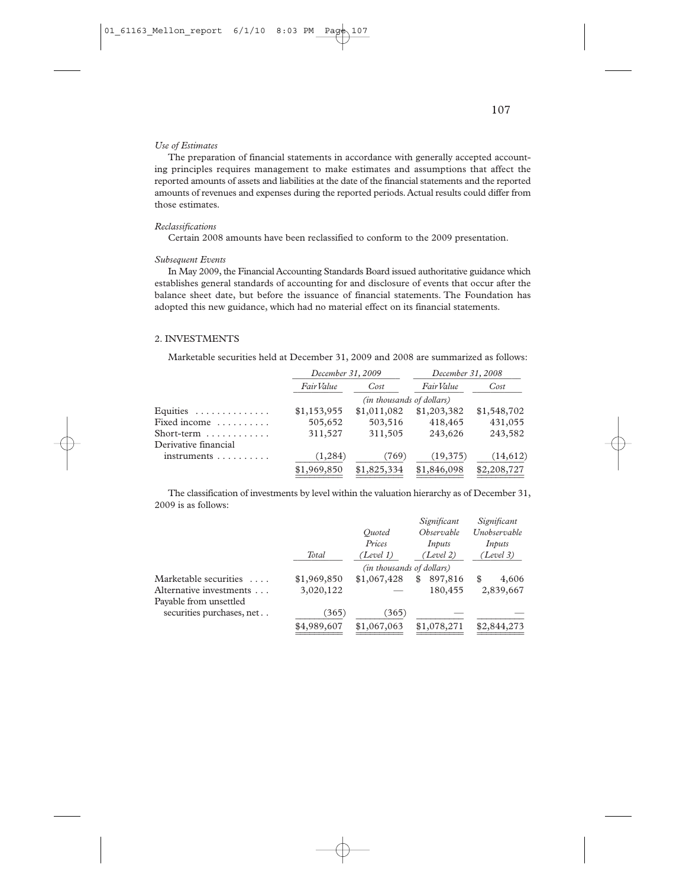#### *Use of Estimates*

The preparation of financial statements in accordance with generally accepted accounting principles requires management to make estimates and assumptions that affect the reported amounts of assets and liabilities at the date of the financial statements and the reported amounts of revenues and expenses during the reported periods. Actual results could differ from those estimates.

#### *Reclassifications*

Certain 2008 amounts have been reclassified to conform to the 2009 presentation.

#### *Subsequent Events*

In May 2009, the Financial Accounting Standards Board issued authoritative guidance which establishes general standards of accounting for and disclosure of events that occur after the balance sheet date, but before the issuance of financial statements. The Foundation has adopted this new guidance, which had no material effect on its financial statements.

#### 2. INVESTMENTS

Marketable securities held at December 31, 2009 and 2008 are summarized as follows:

|                                        | December 31, 2009                |             | December 31, 2008 |             |
|----------------------------------------|----------------------------------|-------------|-------------------|-------------|
|                                        | Fair Value                       | Cost        | Fair Value        | Cost        |
|                                        | <i>(in thousands of dollars)</i> |             |                   |             |
| Equities $\ldots \ldots \ldots \ldots$ | \$1,153,955                      | \$1,011,082 | \$1,203,382       | \$1,548,702 |
| Fixed income                           | 505,652                          | 503,516     | 418,465           | 431,055     |
| Short-term $\dots\dots\dots\dots$      | 311,527                          | 311,505     | 243,626           | 243,582     |
| Derivative financial                   |                                  |             |                   |             |
| $in$ struments $\ldots \ldots \ldots$  | (1, 284)                         | (769)       | (19, 375)         | (14,612)    |
|                                        | \$1,969,850                      | \$1,825,334 | \$1,846,098       | \$2,208,727 |
|                                        |                                  |             |                   |             |

The classification of investments by level within the valuation hierarchy as of December 31, 2009 is as follows:

|                           |             |                           | Significant  | Significant  |
|---------------------------|-------------|---------------------------|--------------|--------------|
|                           |             | Ouoted                    | Observable   | Unobservable |
|                           |             | Prices                    | Inputs       | Inputs       |
|                           | Total       | (Level 1)                 | (Level 2)    | (Level 3)    |
|                           |             | (in thousands of dollars) |              |              |
| Marketable securities     | \$1,969,850 | \$1,067,428               | 897,816<br>S | 4,606<br>\$  |
| Alternative investments   | 3,020,122   |                           | 180,455      | 2,839,667    |
| Payable from unsettled    |             |                           |              |              |
| securities purchases, net | (365)       | (365)                     |              |              |
|                           | \$4,989,607 | \$1,067,063               | \$1,078,271  | \$2,844,273  |
|                           |             |                           |              |              |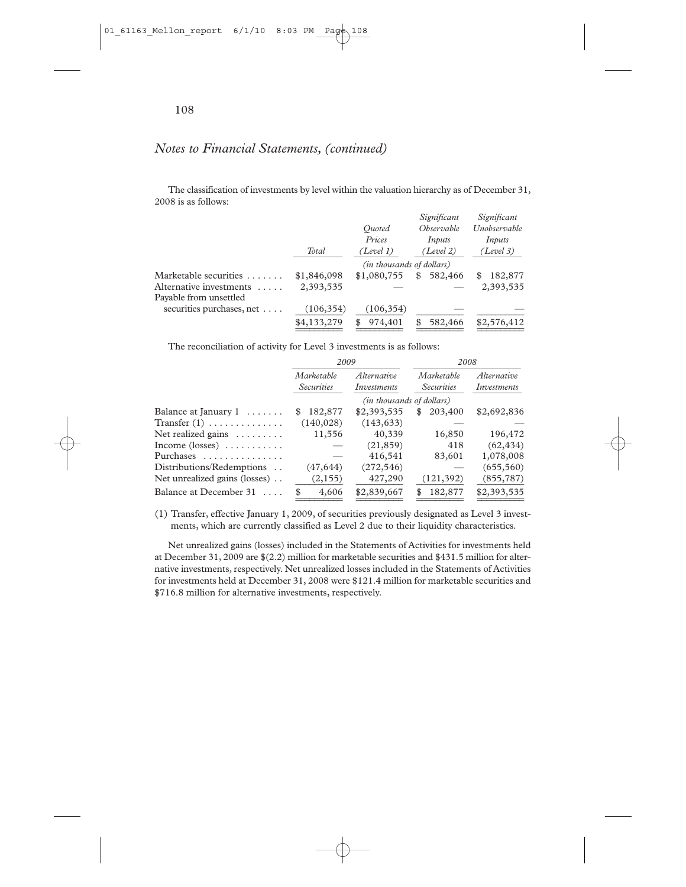### *Notes to Financial Statements, (continued)*

The classification of investments by level within the valuation hierarchy as of December 31, 2008 is as follows:

|             |             |               | Significant                              |
|-------------|-------------|---------------|------------------------------------------|
|             | Ouoted      | Observable    | Unobservable                             |
|             | Prices      | Inputs        | Inputs                                   |
| Total       | (Level 1)   | (Level 2)     | (Level 3)                                |
|             |             |               |                                          |
| \$1,846,098 | \$1,080,755 | 582,466<br>\$ | 182,877                                  |
| 2,393,535   |             |               | 2,393,535                                |
|             |             |               |                                          |
| (106, 354)  | (106, 354)  |               |                                          |
| \$4,133,279 | 974,401     | 582,466       | \$2,576,412                              |
|             |             |               | Significant<br>(in thousands of dollars) |

The reconciliation of activity for Level 3 investments is as follows:

|                                                | 2009                            |                            | 2008                            |                            |
|------------------------------------------------|---------------------------------|----------------------------|---------------------------------|----------------------------|
|                                                | Marketable<br><b>Securities</b> | Alternative<br>Investments | Marketable<br><i>Securities</i> | Alternative<br>Investments |
|                                                | (in thousands of dollars)       |                            |                                 |                            |
| Balance at January $1 \ldots \ldots$           | 182,877<br>S                    | \$2,393,535                | 203,400<br>S                    | \$2,692,836                |
| Transfer $(1)$                                 | (140, 028)                      | (143, 633)                 |                                 |                            |
| Net realized gains $\dots \dots$               | 11,556                          | 40,339                     | 16,850                          | 196,472                    |
| Income $(\text{losses})$                       |                                 | (21, 859)                  | 418                             | (62, 434)                  |
| Purchases                                      |                                 | 416,541                    | 83,601                          | 1,078,008                  |
| Distributions/Redemptions                      | (47, 644)                       | (272, 546)                 |                                 | (655, 560)                 |
| Net unrealized gains (losses)                  | (2, 155)                        | 427,290                    | (121, 392)                      | (855, 787)                 |
| Balance at December 31<br>$\sim$ $\sim$ $\sim$ | 4,606                           | \$2,839,667                | 182,877                         | \$2,393,535                |

(1) Transfer, effective January 1, 2009, of securities previously designated as Level 3 investments, which are currently classified as Level 2 due to their liquidity characteristics.

Net unrealized gains (losses) included in the Statements of Activities for investments held at December 31, 2009 are \$(2.2) million for marketable securities and \$431.5 million for alternative investments, respectively. Net unrealized losses included in the Statements of Activities for investments held at December 31, 2008 were \$121.4 million for marketable securities and \$716.8 million for alternative investments, respectively.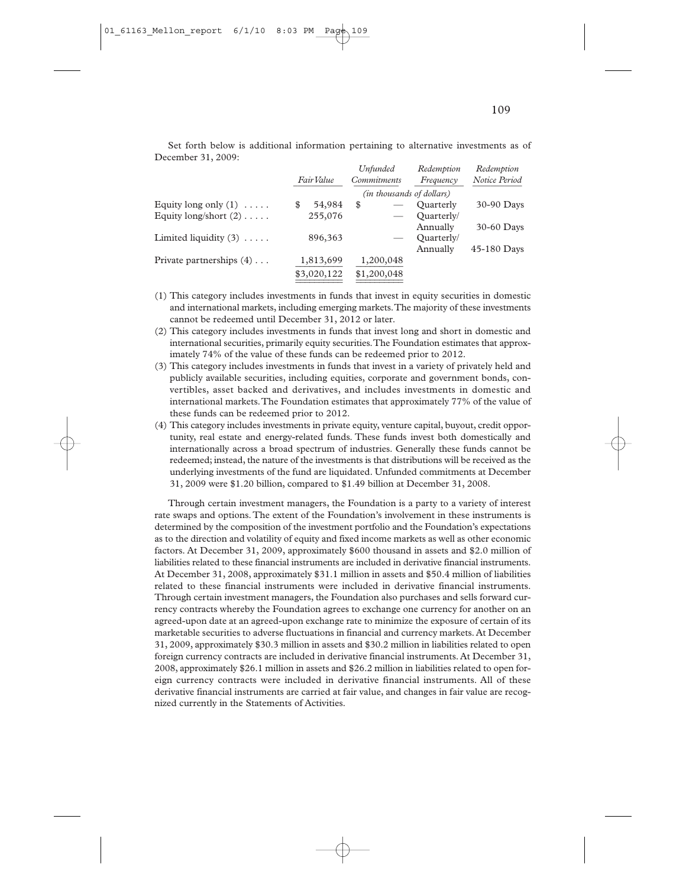|                                 | Fair Value |             | Unfunded<br><i>Commitments</i> |             | Redemption<br>Frequency | Redemption<br>Notice Period |
|---------------------------------|------------|-------------|--------------------------------|-------------|-------------------------|-----------------------------|
|                                 |            |             | (in thousands of dollars)      |             |                         |                             |
| Equity long only $(1) \ldots$ . | \$         | 54,984      | \$                             |             | Ouarterly               | 30-90 Days                  |
| Equity long/short $(2)$         |            | 255,076     |                                |             | Ouarterly/              |                             |
|                                 |            |             |                                |             | Annually                | 30-60 Days                  |
| Limited liquidity $(3)$         |            | 896,363     |                                |             | Ouarterly/              |                             |
|                                 |            |             |                                |             | Annually                | 45-180 Days                 |
| Private partnerships $(4)$      |            | 1,813,699   |                                | 1,200,048   |                         |                             |
|                                 |            | \$3,020,122 |                                | \$1,200,048 |                         |                             |
|                                 |            |             |                                |             |                         |                             |

Set forth below is additional information pertaining to alternative investments as of December 31, 2009:

- (1) This category includes investments in funds that invest in equity securities in domestic and international markets, including emerging markets.The majority of these investments cannot be redeemed until December 31, 2012 or later.
- (2) This category includes investments in funds that invest long and short in domestic and international securities, primarily equity securities.The Foundation estimates that approximately 74% of the value of these funds can be redeemed prior to 2012.
- (3) This category includes investments in funds that invest in a variety of privately held and publicly available securities, including equities, corporate and government bonds, convertibles, asset backed and derivatives, and includes investments in domestic and international markets.The Foundation estimates that approximately 77% of the value of these funds can be redeemed prior to 2012.
- (4) This category includes investments in private equity, venture capital, buyout, credit opportunity, real estate and energy-related funds. These funds invest both domestically and internationally across a broad spectrum of industries. Generally these funds cannot be redeemed; instead, the nature of the investments is that distributions will be received as the underlying investments of the fund are liquidated. Unfunded commitments at December 31, 2009 were \$1.20 billion, compared to \$1.49 billion at December 31, 2008.

Through certain investment managers, the Foundation is a party to a variety of interest rate swaps and options.The extent of the Foundation's involvement in these instruments is determined by the composition of the investment portfolio and the Foundation's expectations as to the direction and volatility of equity and fixed income markets as well as other economic factors. At December 31, 2009, approximately \$600 thousand in assets and \$2.0 million of liabilities related to these financial instruments are included in derivative financial instruments. At December 31, 2008, approximately \$31.1 million in assets and \$50.4 million of liabilities related to these financial instruments were included in derivative financial instruments. Through certain investment managers, the Foundation also purchases and sells forward currency contracts whereby the Foundation agrees to exchange one currency for another on an agreed-upon date at an agreed-upon exchange rate to minimize the exposure of certain of its marketable securities to adverse fluctuations in financial and currency markets. At December 31, 2009, approximately \$30.3 million in assets and \$30.2 million in liabilities related to open foreign currency contracts are included in derivative financial instruments. At December 31, 2008, approximately \$26.1 million in assets and \$26.2 million in liabilities related to open foreign currency contracts were included in derivative financial instruments. All of these derivative financial instruments are carried at fair value, and changes in fair value are recognized currently in the Statements of Activities.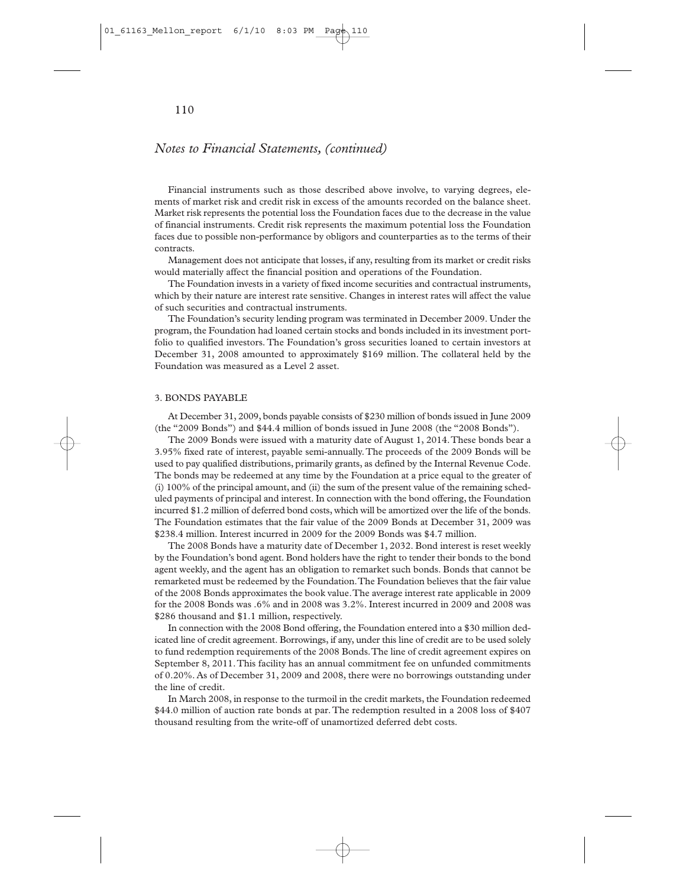# *Notes to Financial Statements, (continued)*

Financial instruments such as those described above involve, to varying degrees, elements of market risk and credit risk in excess of the amounts recorded on the balance sheet. Market risk represents the potential loss the Foundation faces due to the decrease in the value of financial instruments. Credit risk represents the maximum potential loss the Foundation faces due to possible non-performance by obligors and counterparties as to the terms of their contracts.

Management does not anticipate that losses, if any, resulting from its market or credit risks would materially affect the financial position and operations of the Foundation.

The Foundation invests in a variety of fixed income securities and contractual instruments, which by their nature are interest rate sensitive. Changes in interest rates will affect the value of such securities and contractual instruments.

The Foundation's security lending program was terminated in December 2009. Under the program, the Foundation had loaned certain stocks and bonds included in its investment portfolio to qualified investors. The Foundation's gross securities loaned to certain investors at December 31, 2008 amounted to approximately \$169 million. The collateral held by the Foundation was measured as a Level 2 asset.

## 3. BONDS PAYABLE

At December 31, 2009, bonds payable consists of \$230 million of bonds issued in June 2009 (the "2009 Bonds") and \$44.4 million of bonds issued in June 2008 (the "2008 Bonds").

The 2009 Bonds were issued with a maturity date of August 1, 2014.These bonds bear a 3.95% fixed rate of interest, payable semi-annually.The proceeds of the 2009 Bonds will be used to pay qualified distributions, primarily grants, as defined by the Internal Revenue Code. The bonds may be redeemed at any time by the Foundation at a price equal to the greater of (i) 100% of the principal amount, and (ii) the sum of the present value of the remaining scheduled payments of principal and interest. In connection with the bond offering, the Foundation incurred \$1.2 million of deferred bond costs, which will be amortized over the life of the bonds. The Foundation estimates that the fair value of the 2009 Bonds at December 31, 2009 was \$238.4 million. Interest incurred in 2009 for the 2009 Bonds was \$4.7 million.

The 2008 Bonds have a maturity date of December 1, 2032. Bond interest is reset weekly by the Foundation's bond agent. Bond holders have the right to tender their bonds to the bond agent weekly, and the agent has an obligation to remarket such bonds. Bonds that cannot be remarketed must be redeemed by the Foundation.The Foundation believes that the fair value of the 2008 Bonds approximates the book value.The average interest rate applicable in 2009 for the 2008 Bonds was .6% and in 2008 was 3.2%. Interest incurred in 2009 and 2008 was \$286 thousand and \$1.1 million, respectively.

In connection with the 2008 Bond offering, the Foundation entered into a \$30 million dedicated line of credit agreement. Borrowings, if any, under this line of credit are to be used solely to fund redemption requirements of the 2008 Bonds.The line of credit agreement expires on September 8, 2011.This facility has an annual commitment fee on unfunded commitments of 0.20%. As of December 31, 2009 and 2008, there were no borrowings outstanding under the line of credit.

In March 2008, in response to the turmoil in the credit markets, the Foundation redeemed \$44.0 million of auction rate bonds at par. The redemption resulted in a 2008 loss of \$407 thousand resulting from the write-off of unamortized deferred debt costs.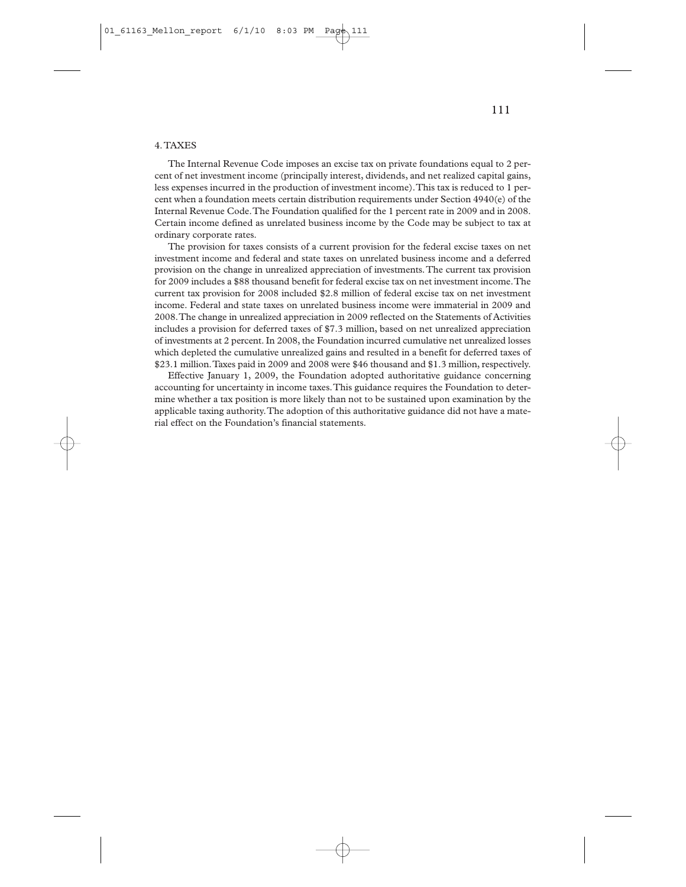The Internal Revenue Code imposes an excise tax on private foundations equal to 2 percent of net investment income (principally interest, dividends, and net realized capital gains, less expenses incurred in the production of investment income).This tax is reduced to 1 percent when a foundation meets certain distribution requirements under Section 4940(e) of the Internal Revenue Code.The Foundation qualified for the 1 percent rate in 2009 and in 2008. Certain income defined as unrelated business income by the Code may be subject to tax at ordinary corporate rates.

The provision for taxes consists of a current provision for the federal excise taxes on net investment income and federal and state taxes on unrelated business income and a deferred provision on the change in unrealized appreciation of investments.The current tax provision for 2009 includes a \$88 thousand benefit for federal excise tax on net investment income.The current tax provision for 2008 included \$2.8 million of federal excise tax on net investment income. Federal and state taxes on unrelated business income were immaterial in 2009 and 2008.The change in unrealized appreciation in 2009 reflected on the Statements of Activities includes a provision for deferred taxes of \$7.3 million, based on net unrealized appreciation of investments at 2 percent. In 2008, the Foundation incurred cumulative net unrealized losses which depleted the cumulative unrealized gains and resulted in a benefit for deferred taxes of \$23.1 million.Taxes paid in 2009 and 2008 were \$46 thousand and \$1.3 million, respectively.

Effective January 1, 2009, the Foundation adopted authoritative guidance concerning accounting for uncertainty in income taxes.This guidance requires the Foundation to determine whether a tax position is more likely than not to be sustained upon examination by the applicable taxing authority.The adoption of this authoritative guidance did not have a material effect on the Foundation's financial statements.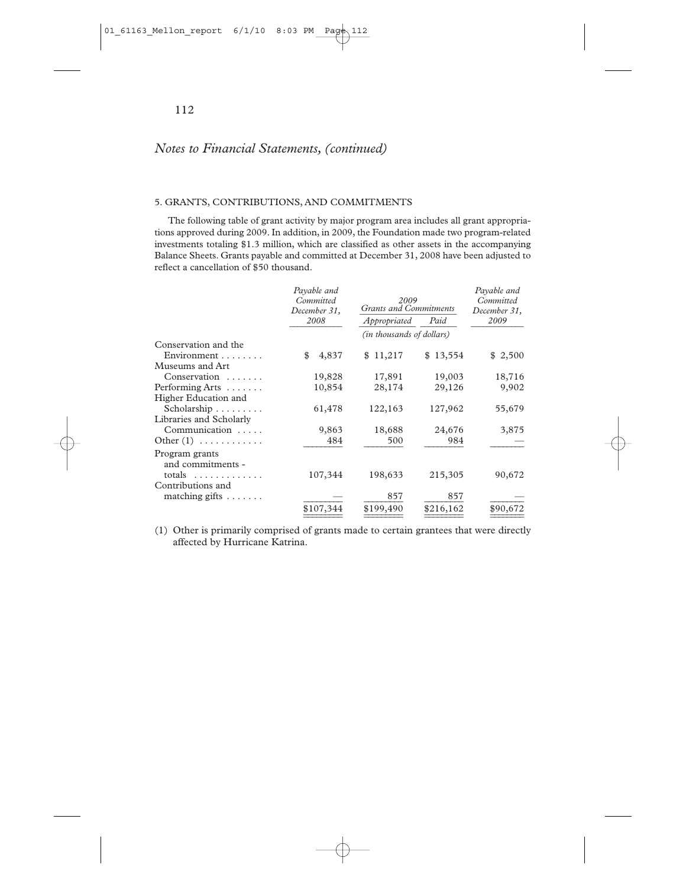## 5. GRANTS, CONTRIBUTIONS, AND COMMITMENTS

The following table of grant activity by major program area includes all grant appropriations approved during 2009. In addition, in 2009, the Foundation made two program-related investments totaling \$1.3 million, which are classified as other assets in the accompanying Balance Sheets. Grants payable and committed at December 31, 2008 have been adjusted to reflect a cancellation of \$50 thousand.

|                                     | Payable and<br>Committed<br>December 31, | 2009<br><b>Grants and Commitments</b> | Payable and<br>Committed<br>December 31, |          |  |  |  |
|-------------------------------------|------------------------------------------|---------------------------------------|------------------------------------------|----------|--|--|--|
|                                     | 2008                                     | Appropriated                          | Paid                                     | 2009     |  |  |  |
|                                     | (in thousands of dollars)                |                                       |                                          |          |  |  |  |
| Conservation and the                |                                          |                                       |                                          |          |  |  |  |
| Environment                         | \$<br>4,837                              | \$11,217                              | \$13,554                                 | \$2,500  |  |  |  |
| Museums and Art                     |                                          |                                       |                                          |          |  |  |  |
| $Conservation$                      | 19,828                                   | 17,891                                | 19,003                                   | 18,716   |  |  |  |
| Performing Arts $\dots\dots$        | 10,854                                   | 28,174                                | 29,126                                   | 9,902    |  |  |  |
| Higher Education and                |                                          |                                       |                                          |          |  |  |  |
| Scholarship                         | 61,478                                   | 122,163                               | 127,962                                  | 55,679   |  |  |  |
| Libraries and Scholarly             |                                          |                                       |                                          |          |  |  |  |
| Communication                       | 9,863                                    | 18,688                                | 24,676                                   | 3,875    |  |  |  |
| Other $(1)$                         | 484                                      | 500                                   | 984                                      |          |  |  |  |
| Program grants<br>and commitments - |                                          |                                       |                                          |          |  |  |  |
| totals $\dots\dots\dots\dots$       | 107,344                                  | 198,633                               | 215,305                                  | 90,672   |  |  |  |
| Contributions and                   |                                          |                                       |                                          |          |  |  |  |
| matching gifts $\dots \dots$        |                                          | 857                                   | 857                                      |          |  |  |  |
|                                     | \$107,344                                | \$199,490                             | \$216,162                                | \$90,672 |  |  |  |

(1) Other is primarily comprised of grants made to certain grantees that were directly affected by Hurricane Katrina.